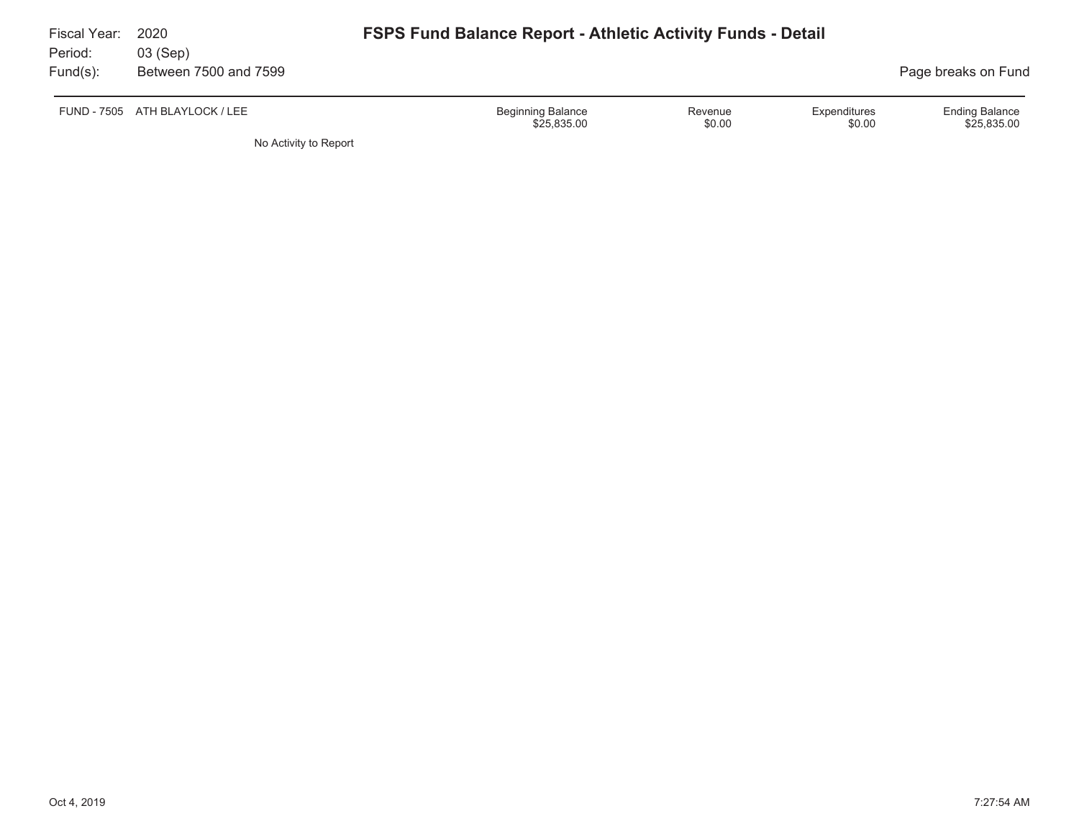| Fiscal Year:<br>Period: | 2020<br>03 (Sep)               |                                         | <b>FSPS Fund Balance Report - Athletic Activity Funds - Detail</b> |                        |                                      |  |  |  |  |
|-------------------------|--------------------------------|-----------------------------------------|--------------------------------------------------------------------|------------------------|--------------------------------------|--|--|--|--|
| $Fund(s)$ :             | Between 7500 and 7599          |                                         |                                                                    |                        | Page breaks on Fund                  |  |  |  |  |
|                         | FUND - 7505 ATH BLAYLOCK / LEE | <b>Beginning Balance</b><br>\$25,835.00 | Revenue<br>\$0.00                                                  | Expenditures<br>\$0.00 | <b>Ending Balance</b><br>\$25,835.00 |  |  |  |  |

No Activity to Report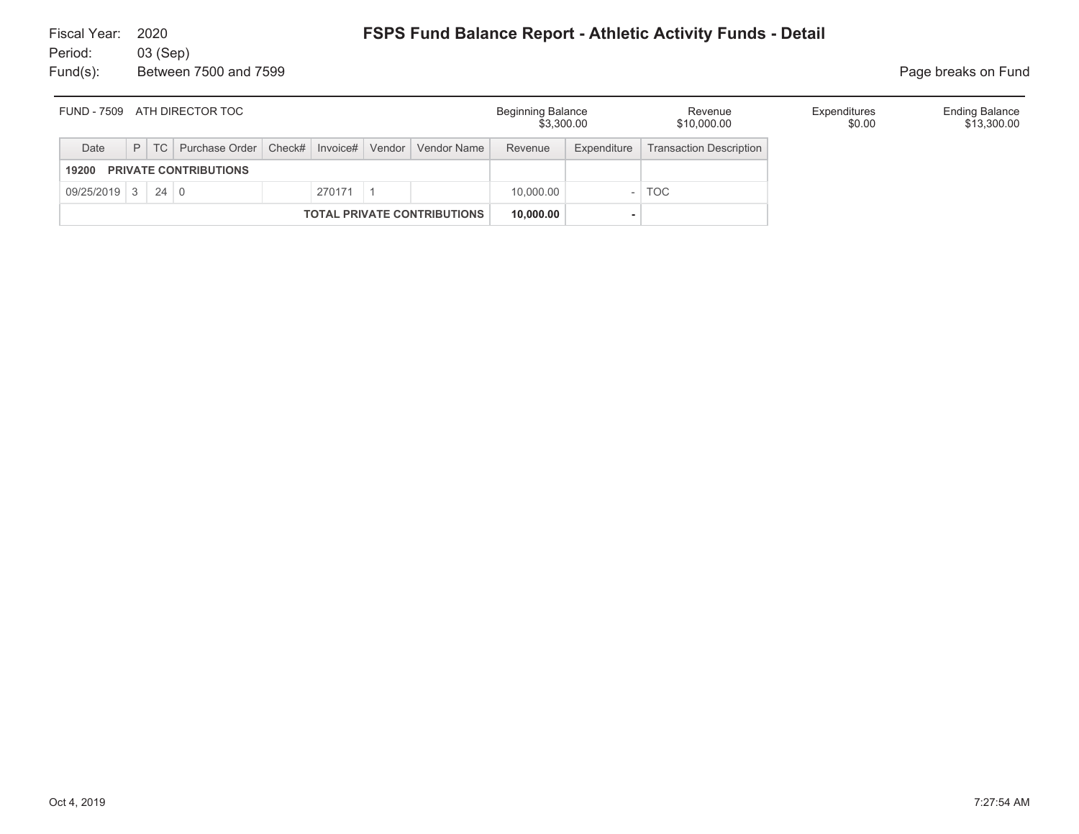| ATH DIRECTOR TOC<br>FUND - 7509       |  |  |                                                                    |  |          |  |  | <b>Beginning Balance</b><br>\$3,300.00 |             | Revenue<br>\$10,000.00         | Expenditures<br>\$0.00 | <b>Ending Balance</b><br>\$13,300.00 |
|---------------------------------------|--|--|--------------------------------------------------------------------|--|----------|--|--|----------------------------------------|-------------|--------------------------------|------------------------|--------------------------------------|
| Date                                  |  |  | P   TC   Purchase Order   Check#   Invoice#   Vendor   Vendor Name |  |          |  |  | Revenue                                | Expenditure | <b>Transaction Description</b> |                        |                                      |
| <b>PRIVATE CONTRIBUTIONS</b><br>19200 |  |  |                                                                    |  |          |  |  |                                        |             |                                |                        |                                      |
| $09/25/2019$ 3 24 0                   |  |  |                                                                    |  | 270171 1 |  |  | 10.000.00                              |             | <b>TOC</b>                     |                        |                                      |
| <b>TOTAL PRIVATE CONTRIBUTIONS</b>    |  |  |                                                                    |  |          |  |  | 10,000.00                              |             |                                |                        |                                      |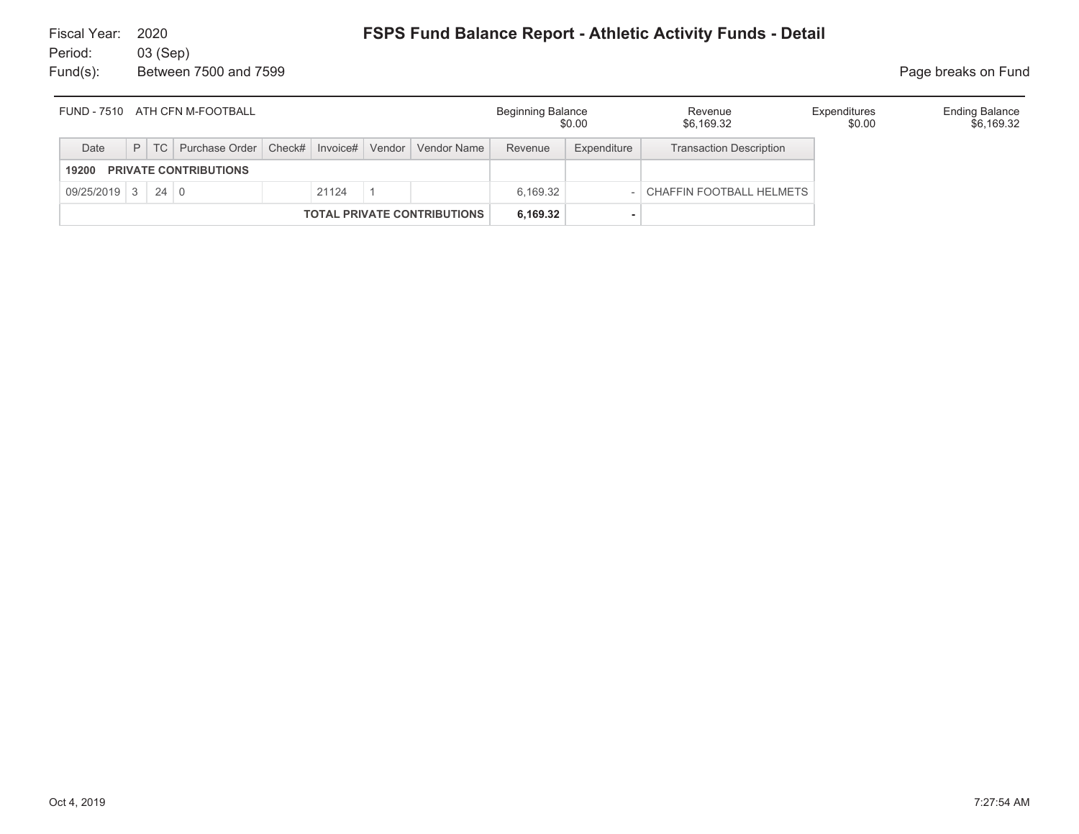Fund(s): Between 7500 and 7599 **Page breaks on Fund** 

| FUND - 7510 ATH CFN M-FOOTBALL        |   |    |  |  |                                                           |  |         | <b>Beginning Balance</b><br>\$0.00 |                                | Revenue<br>\$6,169.32    | Expenditures<br>\$0.00 | <b>Ending Balance</b><br>\$6,169.32 |
|---------------------------------------|---|----|--|--|-----------------------------------------------------------|--|---------|------------------------------------|--------------------------------|--------------------------|------------------------|-------------------------------------|
| Date                                  | P | TC |  |  | Purchase Order   Check#   Invoice#   Vendor   Vendor Name |  | Revenue | Expenditure                        | <b>Transaction Description</b> |                          |                        |                                     |
| <b>PRIVATE CONTRIBUTIONS</b><br>19200 |   |    |  |  |                                                           |  |         |                                    |                                |                          |                        |                                     |
| $09/25/2019$ 3 24 0                   |   |    |  |  | 21124                                                     |  |         | 6.169.32                           |                                | CHAFFIN FOOTBALL HELMETS |                        |                                     |
| <b>TOTAL PRIVATE CONTRIBUTIONS</b>    |   |    |  |  |                                                           |  |         | 6.169.32                           |                                |                          |                        |                                     |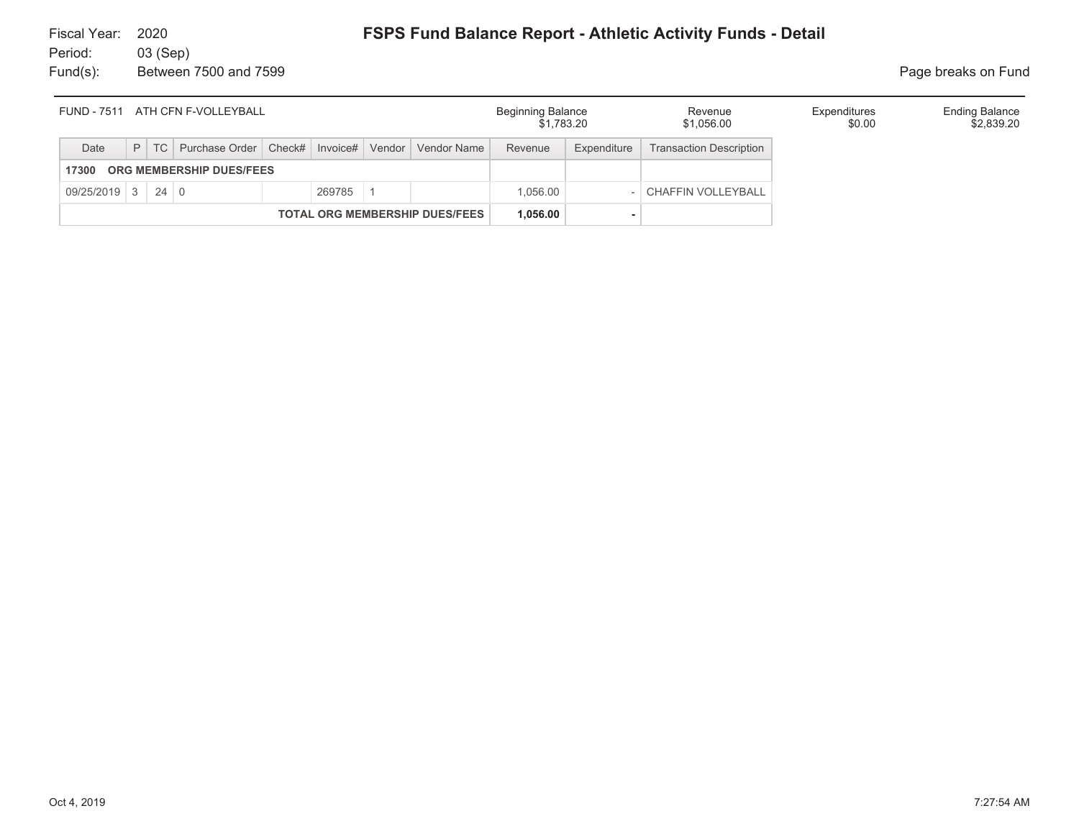## **FSPS Fund Balance Report - Athletic Activity Funds - Detail**

Fiscal Year: 2020Period: 03 (Sep) Fund(s): Between 7500 and 7599 **Page breaks on Fund** 

| ATH CFN F-VOLLEYBALL<br><b>FUND - 7511</b> |                                                                                  |  |  |  |          |  |  | <b>Beginning Balance</b><br>\$1.783.20 |             | Revenue<br>\$1,056.00          | Expenditures<br>\$0.00 | <b>Ending Balance</b><br>\$2,839.20 |
|--------------------------------------------|----------------------------------------------------------------------------------|--|--|--|----------|--|--|----------------------------------------|-------------|--------------------------------|------------------------|-------------------------------------|
| Date                                       | Purchase Order   Check#   Invoice#   Vendor   Vendor Name  <br>$P$ TC<br>Revenue |  |  |  |          |  |  |                                        | Expenditure | <b>Transaction Description</b> |                        |                                     |
| 17300                                      | ORG MEMBERSHIP DUES/FEES                                                         |  |  |  |          |  |  |                                        |             |                                |                        |                                     |
| $09/25/2019$ 3 24 0                        |                                                                                  |  |  |  | 269785   |  |  | 1.056.00                               |             | <b>I CHAFFIN VOLLEYBALL</b>    |                        |                                     |
| <b>TOTAL ORG MEMBERSHIP DUES/FEES</b>      |                                                                                  |  |  |  | 1.056.00 |  |  |                                        |             |                                |                        |                                     |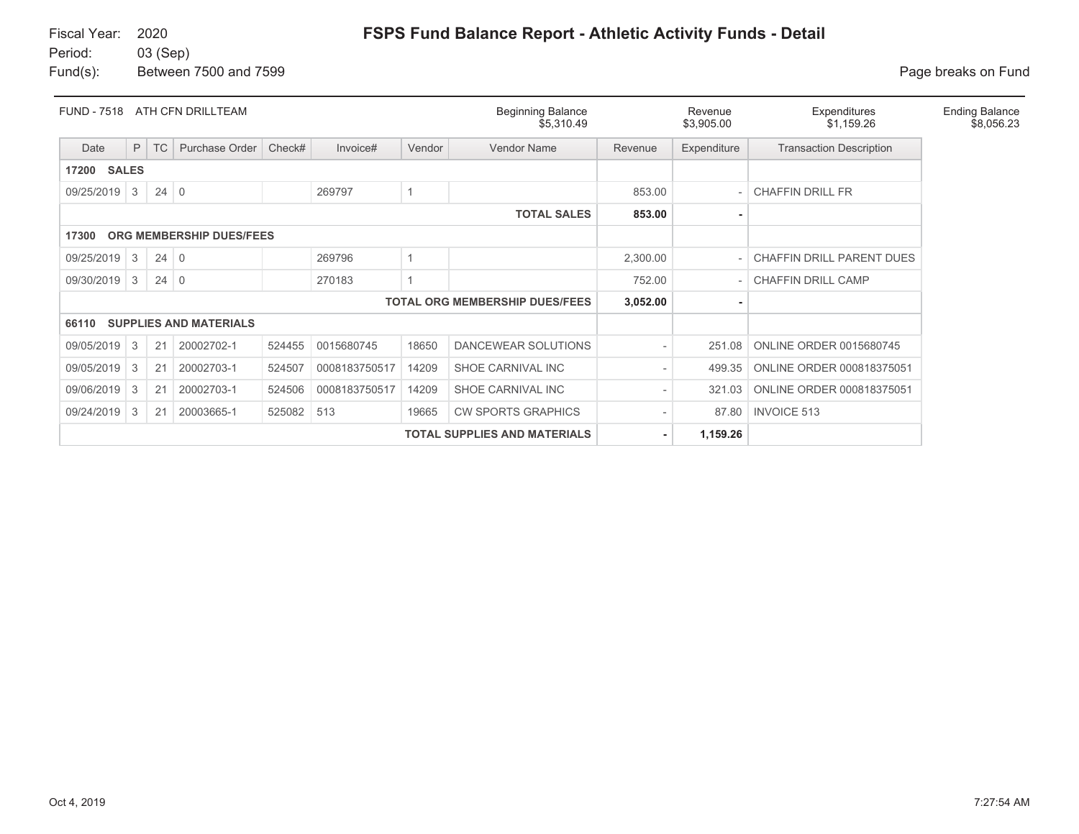| <b>FUND - 7518</b>    |   |             | ATH CFN DRILLTEAM             |        |               |        | <b>Beginning Balance</b><br>\$5,310.49 |          | Revenue<br>\$3,905.00 | Expenditures<br>\$1,159.26     | <b>Ending Balance</b><br>\$8,056.23 |
|-----------------------|---|-------------|-------------------------------|--------|---------------|--------|----------------------------------------|----------|-----------------------|--------------------------------|-------------------------------------|
| Date                  | P | <b>TC</b>   | Purchase Order                | Check# | Invoice#      | Vendor | Vendor Name                            | Revenue  | Expenditure           | <b>Transaction Description</b> |                                     |
| <b>SALES</b><br>17200 |   |             |                               |        |               |        |                                        |          |                       |                                |                                     |
| 09/25/2019            | 3 | $24 \mid 0$ |                               |        | 269797        |        |                                        | 853.00   |                       | <b>CHAFFIN DRILL FR</b>        |                                     |
|                       |   |             |                               |        |               |        | <b>TOTAL SALES</b>                     | 853.00   |                       |                                |                                     |
| 17300                 |   |             | ORG MEMBERSHIP DUES/FEES      |        |               |        |                                        |          |                       |                                |                                     |
| 09/25/2019            | 3 | $24 \mid 0$ |                               |        | 269796        |        |                                        | 2,300.00 |                       | CHAFFIN DRILL PARENT DUES      |                                     |
| 09/30/2019            | 3 | $24 \mid 0$ |                               |        | 270183        |        |                                        | 752.00   |                       | <b>CHAFFIN DRILL CAMP</b>      |                                     |
|                       |   |             |                               |        |               |        | <b>TOTAL ORG MEMBERSHIP DUES/FEES</b>  | 3,052.00 |                       |                                |                                     |
| 66110                 |   |             | <b>SUPPLIES AND MATERIALS</b> |        |               |        |                                        |          |                       |                                |                                     |
| 09/05/2019            | 3 | 21          | 20002702-1                    | 524455 | 0015680745    | 18650  | DANCEWEAR SOLUTIONS                    |          | 251.08                | ONLINE ORDER 0015680745        |                                     |
| 09/05/2019            | 3 | 21          | 20002703-1                    | 524507 | 0008183750517 | 14209  | SHOE CARNIVAL INC                      |          | 499.35                | ONLINE ORDER 000818375051      |                                     |
| 09/06/2019            | 3 | 21          | 20002703-1                    | 524506 | 0008183750517 | 14209  | SHOE CARNIVAL INC                      |          | 321.03                | ONLINE ORDER 000818375051      |                                     |
| 09/24/2019            | 3 | 21          | 20003665-1                    | 525082 | 513           | 19665  | <b>CW SPORTS GRAPHICS</b>              |          | 87.80                 | <b>INVOICE 513</b>             |                                     |
|                       |   |             |                               |        |               |        | <b>TOTAL SUPPLIES AND MATERIALS</b>    |          | 1,159.26              |                                |                                     |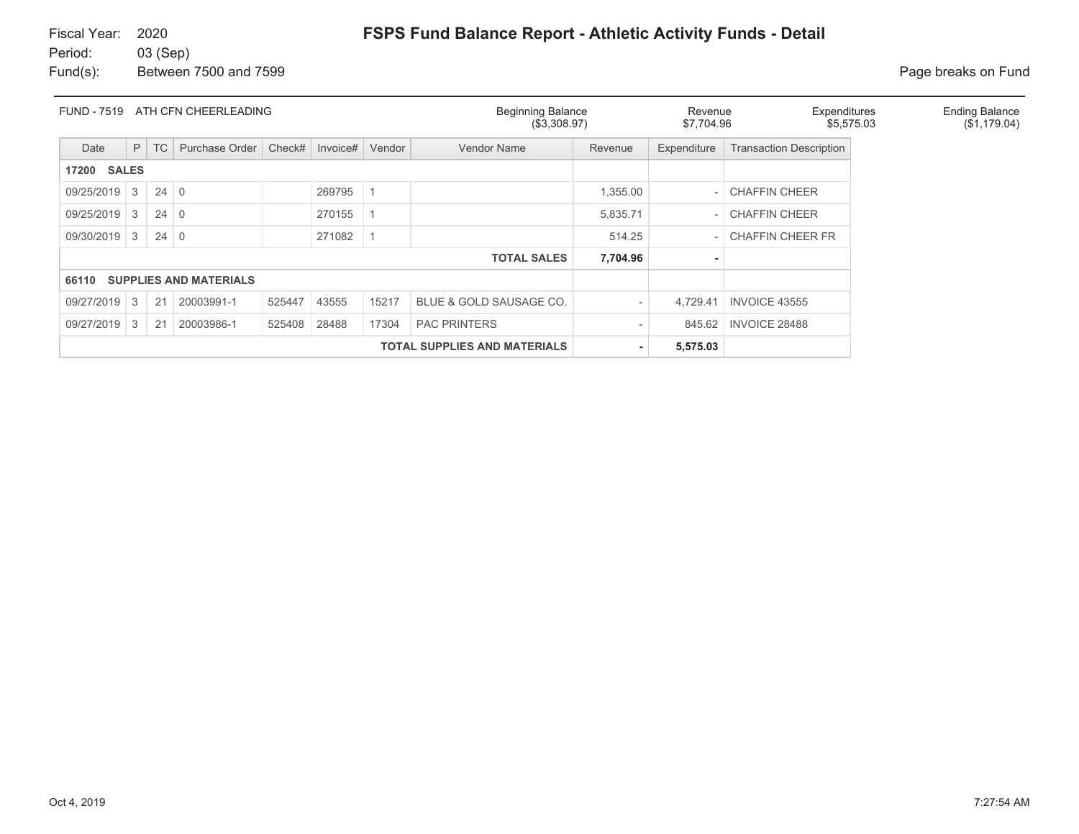Fund(s): Between 7500 and 7599 **Page breaks** on Fund

| FUND - 7519<br>ATH CFN CHEERLEADING |   |             |                               |        |          |        | <b>Beginning Balance</b><br>(\$3,308.97) | Revenue<br>\$7,704.96 |             | Expenditures<br>\$5,575.03     | <b>Ending Balance</b><br>(\$1,179.04) |  |
|-------------------------------------|---|-------------|-------------------------------|--------|----------|--------|------------------------------------------|-----------------------|-------------|--------------------------------|---------------------------------------|--|
| Date                                | P | <b>TC</b>   | Purchase Order                | Check# | Invoice# | Vendor | <b>Vendor Name</b>                       | Revenue               | Expenditure | <b>Transaction Description</b> |                                       |  |
| <b>SALES</b><br>17200               |   |             |                               |        |          |        |                                          |                       |             |                                |                                       |  |
| 09/25/2019                          | 3 | $24 \mid 0$ |                               |        | 269795   |        |                                          | 1,355.00              |             | <b>CHAFFIN CHEER</b>           |                                       |  |
| 09/25/2019                          | 3 | $24 \mid 0$ |                               |        | 270155   |        |                                          | 5,835.71              | $\sim$      | <b>CHAFFIN CHEER</b>           |                                       |  |
| 09/30/2019                          | 3 | $24 \mid 0$ |                               |        | 271082   |        |                                          | 514.25                | $\sim$      | <b>CHAFFIN CHEER FR</b>        |                                       |  |
|                                     |   |             |                               |        |          |        | <b>TOTAL SALES</b>                       | 7,704.96              |             |                                |                                       |  |
| 66110                               |   |             | <b>SUPPLIES AND MATERIALS</b> |        |          |        |                                          |                       |             |                                |                                       |  |
| 09/27/2019                          | 3 | 21          | 20003991-1                    | 525447 | 43555    | 15217  | BLUE & GOLD SAUSAGE CO.                  |                       | 4.729.41    | <b>INVOICE 43555</b>           |                                       |  |
| 09/27/2019                          | 3 | 21          | 20003986-1                    | 525408 | 28488    | 17304  | <b>PAC PRINTERS</b>                      |                       | 845.62      | <b>INVOICE 28488</b>           |                                       |  |
|                                     |   |             |                               |        |          |        | <b>TOTAL SUPPLIES AND MATERIALS</b>      | ۰                     | 5,575.03    |                                |                                       |  |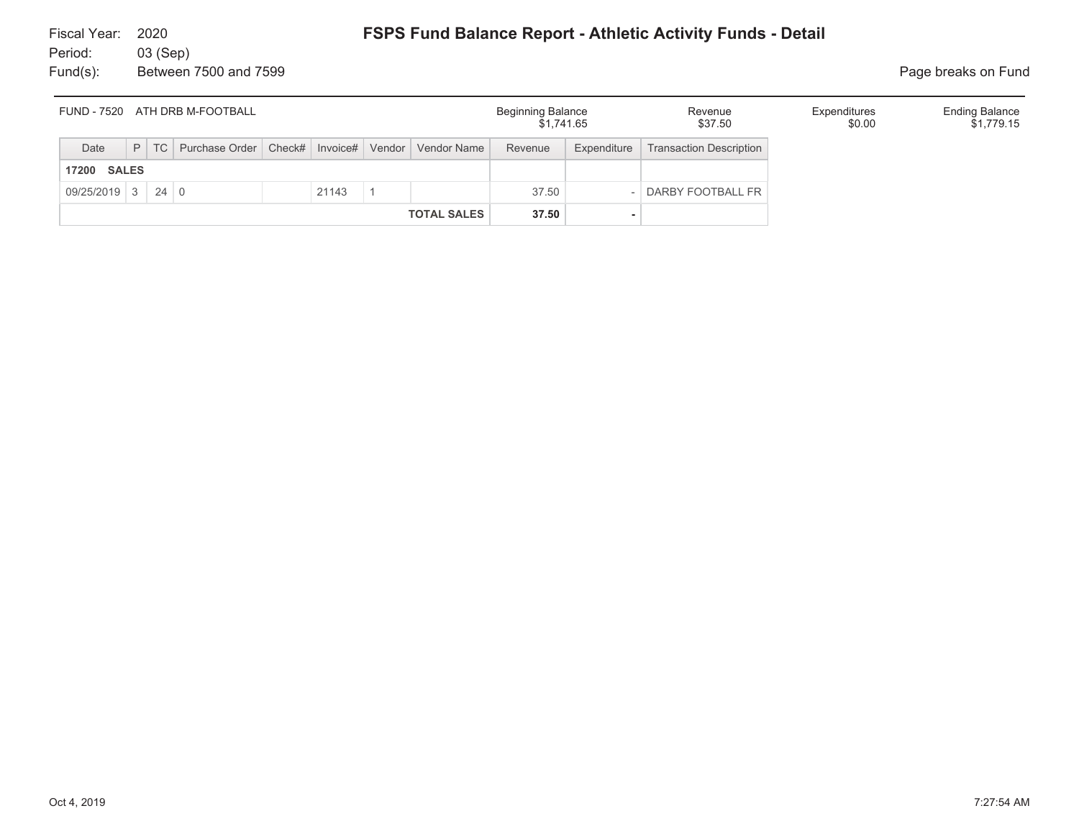Fund(s): Between 7500 and 7599 **Page breaks on Fund** 

| <b>FUND - 7520</b><br>ATH DRB M-FOOTBALL |  |        |                                                           |  |       |  |                    | <b>Beginning Balance</b><br>\$1.741.65 |             | Revenue<br>\$37.50             | Expenditures<br>\$0.00 | <b>Ending Balance</b><br>\$1,779.15 |
|------------------------------------------|--|--------|-----------------------------------------------------------|--|-------|--|--------------------|----------------------------------------|-------------|--------------------------------|------------------------|-------------------------------------|
| Date                                     |  | $P$ TC | Purchase Order   Check#   Invoice#   Vendor   Vendor Name |  |       |  |                    | Revenue                                | Expenditure | <b>Transaction Description</b> |                        |                                     |
| <b>17200 SALES</b>                       |  |        |                                                           |  |       |  |                    |                                        |             |                                |                        |                                     |
| $09/25/2019$ 3 24 0                      |  |        |                                                           |  | 21143 |  |                    | 37.50                                  |             | DARBY FOOTBALL FR              |                        |                                     |
|                                          |  |        |                                                           |  |       |  | <b>TOTAL SALES</b> | 37.50                                  |             |                                |                        |                                     |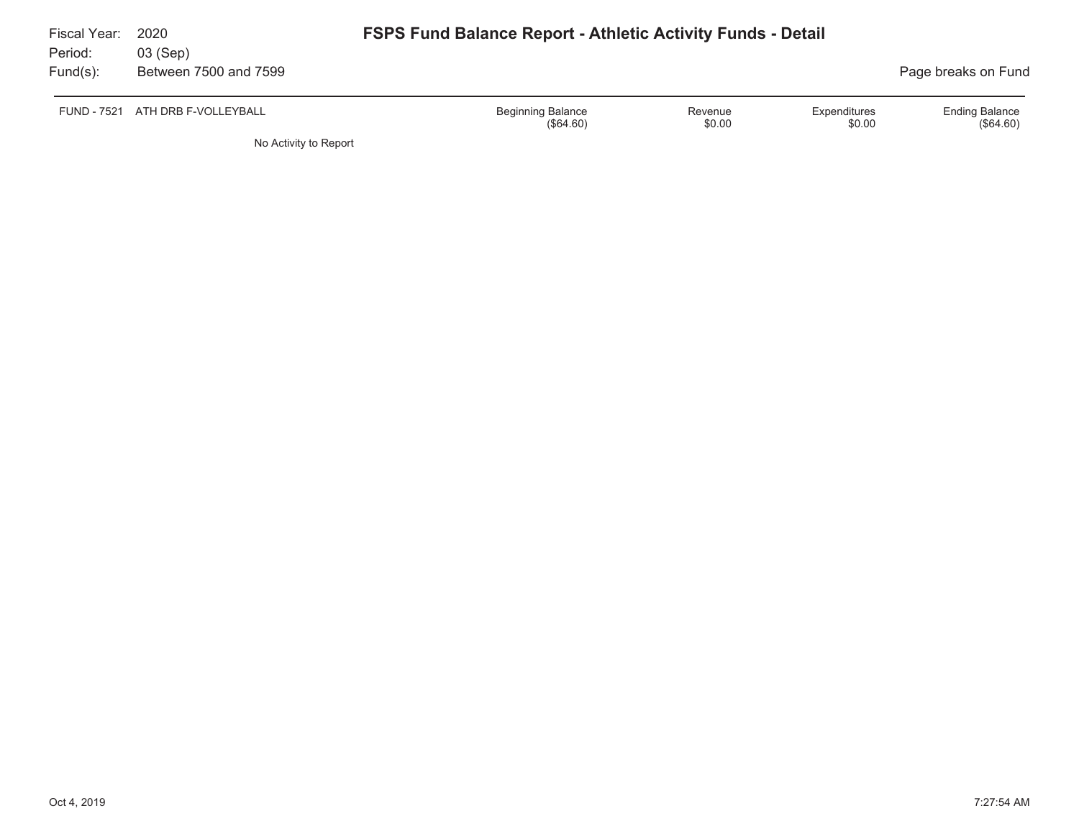| Fiscal Year:<br>Period: | 2020<br>03 (Sep)      | <b>FSPS Fund Balance Report - Athletic Activity Funds - Detail</b>                  |                                      |
|-------------------------|-----------------------|-------------------------------------------------------------------------------------|--------------------------------------|
| $Fund(s)$ :             | Between 7500 and 7599 |                                                                                     | Page breaks on Fund                  |
| <b>FUND - 7521</b>      | ATH DRB F-VOLLEYBALL  | <b>Beginning Balance</b><br>Expenditures<br>Revenue<br>\$0.00<br>\$0.00<br>(S64.60) | <b>Ending Balance</b><br>$(\$64.60)$ |
|                         | No Activity to Report |                                                                                     |                                      |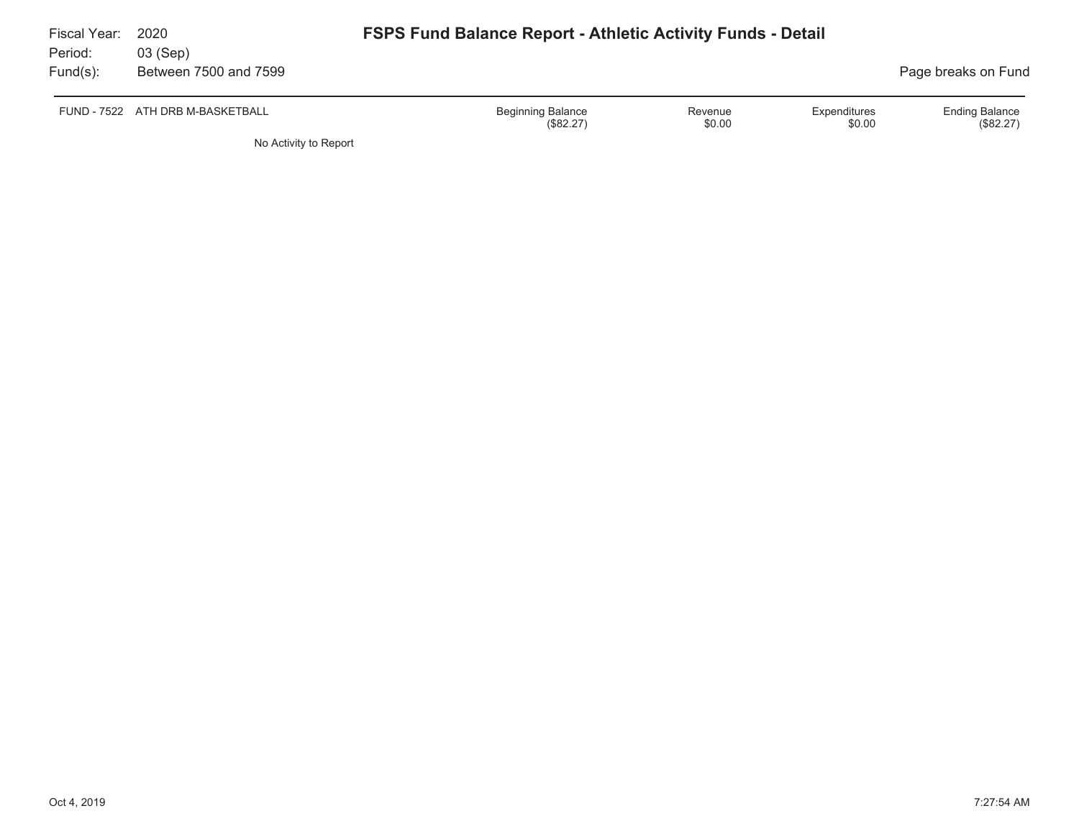| Fiscal Year:<br>Period: | 2020<br>03 (Sep)                 | <b>FSPS Fund Balance Report - Athletic Activity Funds - Detail</b> |                   |                        |                                    |
|-------------------------|----------------------------------|--------------------------------------------------------------------|-------------------|------------------------|------------------------------------|
| $Fund(s)$ :             | Between 7500 and 7599            |                                                                    |                   |                        | Page breaks on Fund                |
|                         | FUND - 7522 ATH DRB M-BASKETBALL | <b>Beginning Balance</b><br>(\$82.27)                              | Revenue<br>\$0.00 | Expenditures<br>\$0.00 | <b>Ending Balance</b><br>(\$82.27) |
|                         | No Activity to Report            |                                                                    |                   |                        |                                    |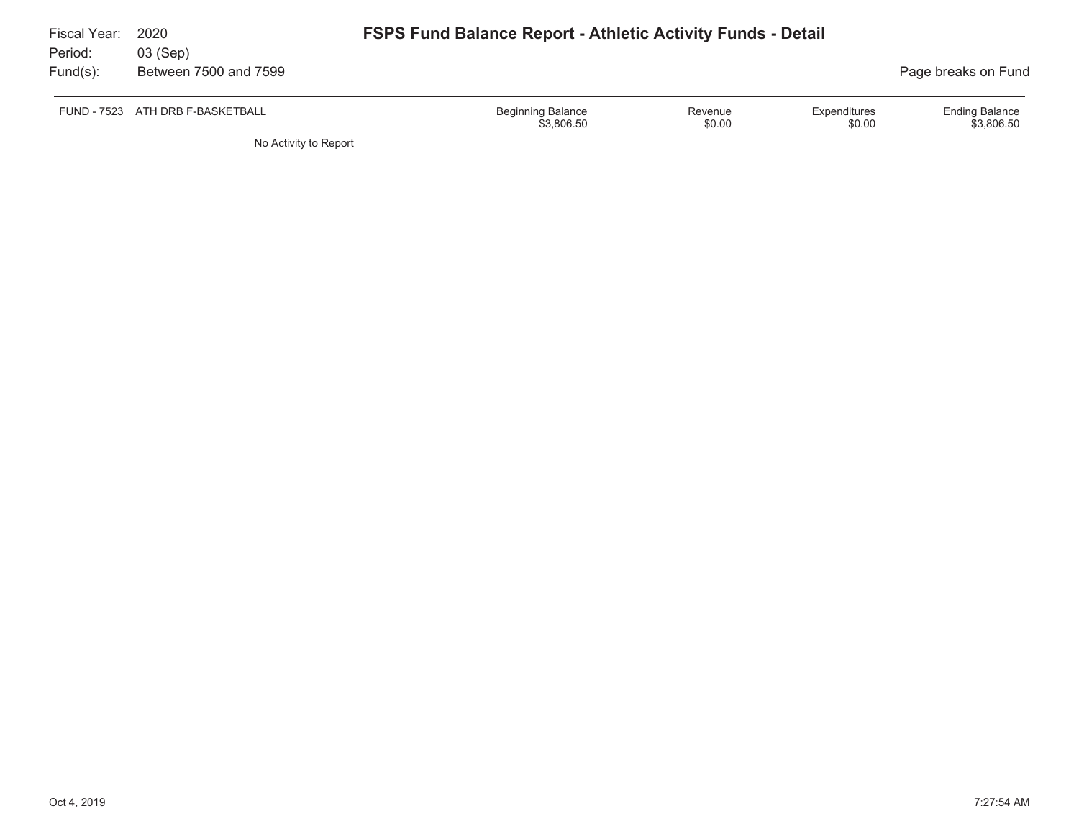| Fiscal Year:<br>Period: | 2020<br>03 (Sep)                 | <b>FSPS Fund Balance Report - Athletic Activity Funds - Detail</b> |                   |                        |                                     |
|-------------------------|----------------------------------|--------------------------------------------------------------------|-------------------|------------------------|-------------------------------------|
| Fund(s):                | Between 7500 and 7599            |                                                                    |                   |                        | Page breaks on Fund                 |
|                         | FUND - 7523 ATH DRB F-BASKETBALL | <b>Beginning Balance</b><br>\$3,806.50                             | Revenue<br>\$0.00 | Expenditures<br>\$0.00 | <b>Ending Balance</b><br>\$3.806.50 |

No Activity to Report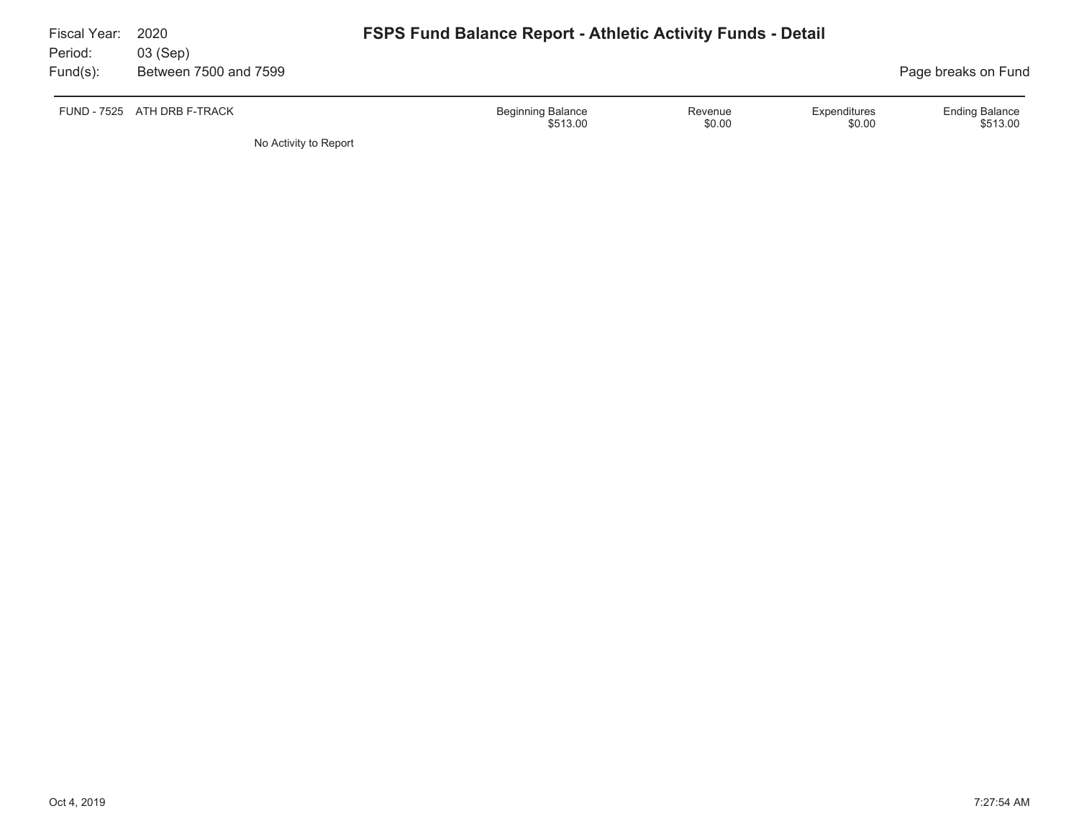| Fiscal Year:<br>Period: | 2020<br>03 (Sep)            | <b>FSPS Fund Balance Report - Athletic Activity Funds - Detail</b>                  |                                   |
|-------------------------|-----------------------------|-------------------------------------------------------------------------------------|-----------------------------------|
| $Fund(s)$ :             | Between 7500 and 7599       |                                                                                     | Page breaks on Fund               |
|                         | FUND - 7525 ATH DRB F-TRACK | <b>Beginning Balance</b><br>Expenditures<br>Revenue<br>\$0.00<br>\$513.00<br>\$0.00 | <b>Ending Balance</b><br>\$513.00 |
|                         | No Activity to Report       |                                                                                     |                                   |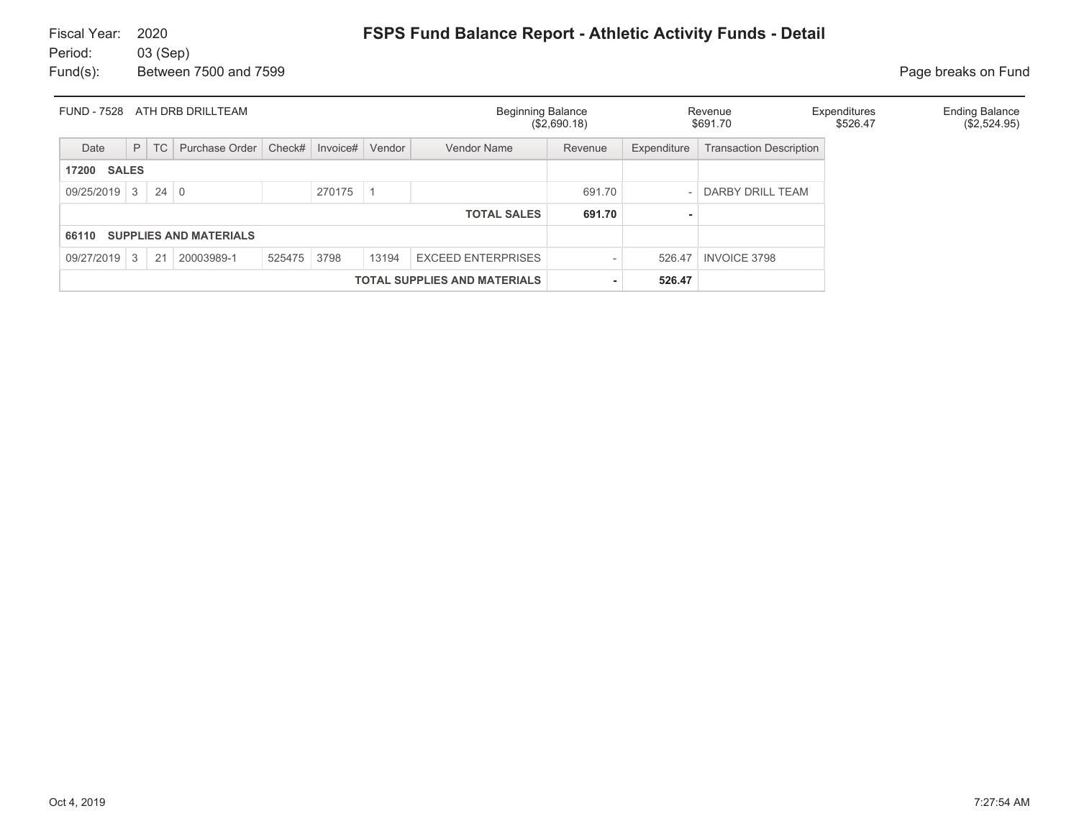| <b>FUND - 7528</b><br>ATH DRB DRILLTEAM |                                     |             |                               |             |          | <b>Beginning Balance</b> | (\$2,690.18)              |         | Revenue<br>\$691.70 | Expenditures<br>\$526.47       | <b>Ending Balance</b><br>(\$2,524.95) |  |
|-----------------------------------------|-------------------------------------|-------------|-------------------------------|-------------|----------|--------------------------|---------------------------|---------|---------------------|--------------------------------|---------------------------------------|--|
| Date                                    | P                                   | TC          | Purchase Order                | Check#      | Invoice# | Vendor                   | <b>Vendor Name</b>        | Revenue | Expenditure         | <b>Transaction Description</b> |                                       |  |
| <b>SALES</b><br>17200                   |                                     |             |                               |             |          |                          |                           |         |                     |                                |                                       |  |
| $09/25/2019$ 3                          |                                     | $24 \mid 0$ |                               |             | 270175   |                          |                           | 691.70  |                     | DARBY DRILL TEAM               |                                       |  |
|                                         |                                     |             |                               |             |          |                          | <b>TOTAL SALES</b>        | 691.70  |                     |                                |                                       |  |
| 66110                                   |                                     |             | <b>SUPPLIES AND MATERIALS</b> |             |          |                          |                           |         |                     |                                |                                       |  |
| 09/27/2019                              | $\mathcal{S}$                       | 21          | 20003989-1                    | 525475 3798 |          | 13194                    | <b>EXCEED ENTERPRISES</b> |         | 526.47              | <b>INVOICE 3798</b>            |                                       |  |
|                                         | <b>TOTAL SUPPLIES AND MATERIALS</b> |             |                               |             |          |                          |                           |         | 526.47              |                                |                                       |  |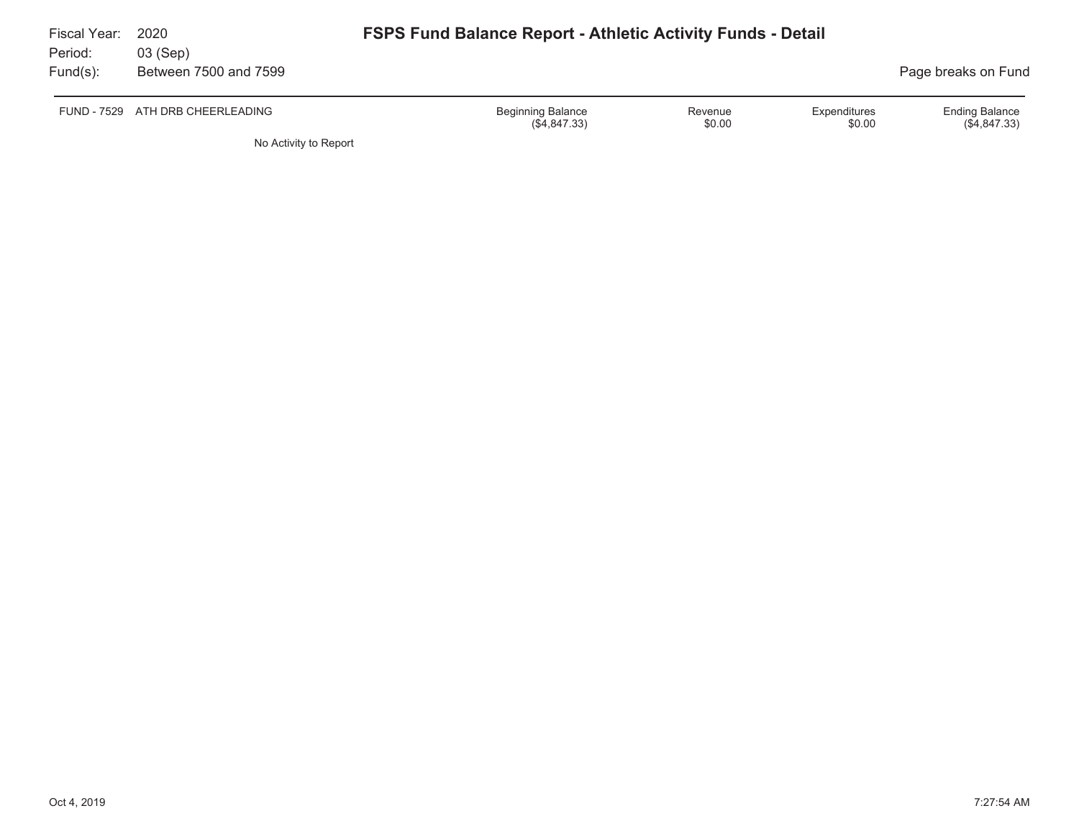| Fiscal Year:<br>Period: | 2020<br>03 (Sep)                 | <b>FSPS Fund Balance Report - Athletic Activity Funds - Detail</b> |                   |                        |                                       |
|-------------------------|----------------------------------|--------------------------------------------------------------------|-------------------|------------------------|---------------------------------------|
| $Fund(s)$ :             | Between 7500 and 7599            |                                                                    |                   |                        | Page breaks on Fund                   |
|                         | FUND - 7529 ATH DRB CHEERLEADING | <b>Beginning Balance</b><br>(\$4,847.33)                           | Revenue<br>\$0.00 | Expenditures<br>\$0.00 | <b>Ending Balance</b><br>(\$4,847.33) |

No Activity to Report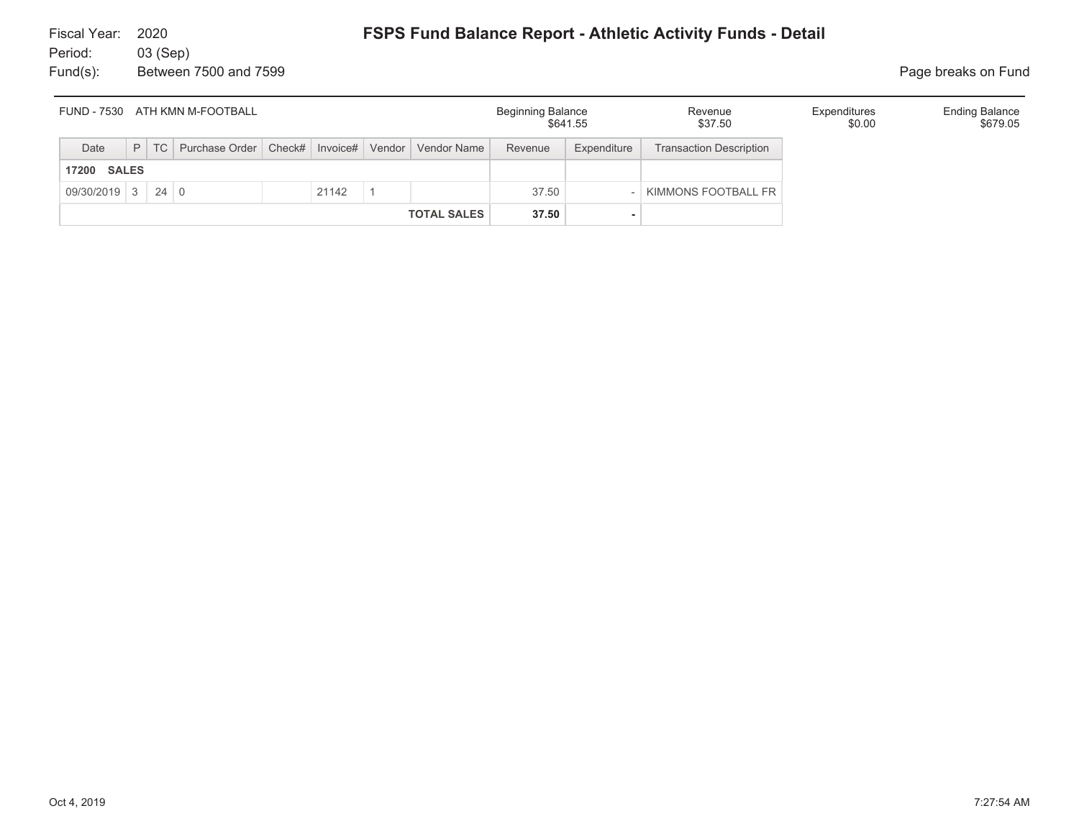| FUND - 7530 ATH KMN M-FOOTBALL |                              |  |                                                                    |       |  |                     |                    | Beginning Balance | \$641.55    | Revenue<br>\$37.50             | Expenditures<br>\$0.00 | <b>Ending Balance</b><br>\$679.05 |
|--------------------------------|------------------------------|--|--------------------------------------------------------------------|-------|--|---------------------|--------------------|-------------------|-------------|--------------------------------|------------------------|-----------------------------------|
| Date                           |                              |  | P   TC   Purchase Order   Check#   Invoice#   Vendor   Vendor Name |       |  |                     |                    | Revenue           | Expenditure | <b>Transaction Description</b> |                        |                                   |
| <b>SALES</b><br>17200          |                              |  |                                                                    |       |  |                     |                    |                   |             |                                |                        |                                   |
|                                | $09/30/2019$ 3 24 0<br>21142 |  |                                                                    | 37.50 |  | KIMMONS FOOTBALL FR |                    |                   |             |                                |                        |                                   |
|                                |                              |  |                                                                    |       |  |                     | <b>TOTAL SALES</b> | 37.50             |             |                                |                        |                                   |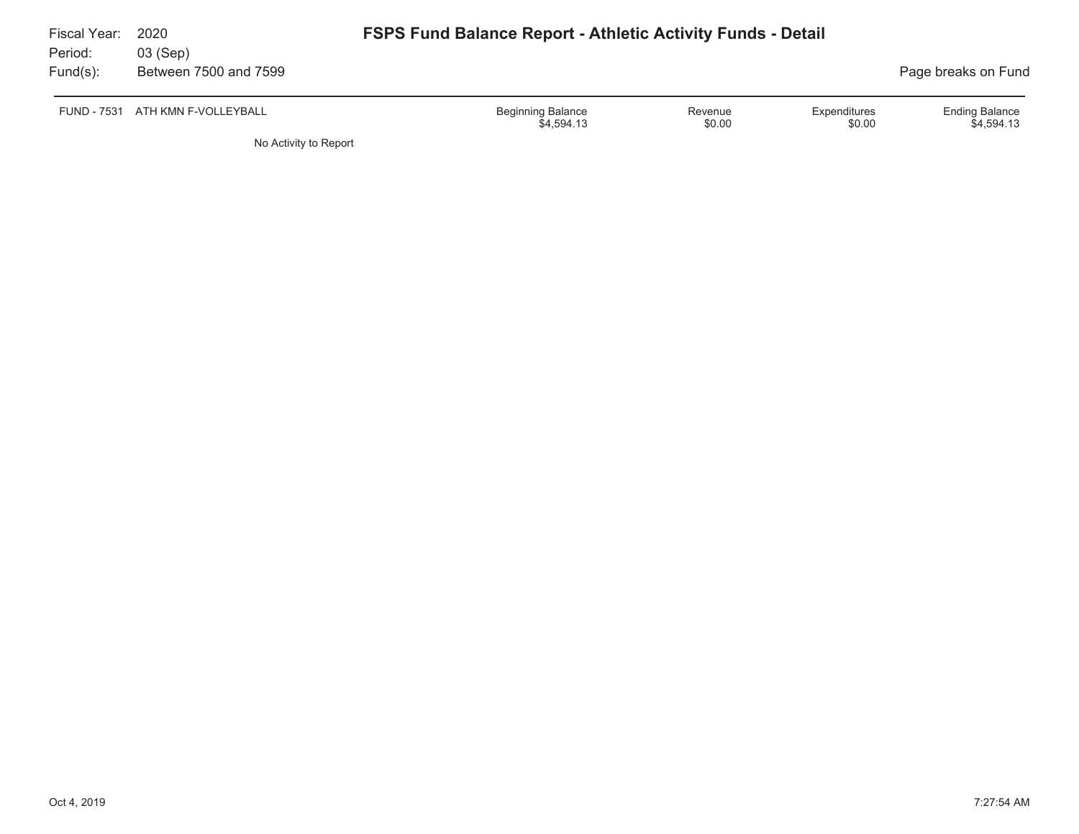| Fiscal Year:<br>Period: | 2020<br>03 (Sep)                 | <b>FSPS Fund Balance Report - Athletic Activity Funds - Detail</b> |                   |                        |                                     |
|-------------------------|----------------------------------|--------------------------------------------------------------------|-------------------|------------------------|-------------------------------------|
| Fund(s):                | Between 7500 and 7599            |                                                                    |                   |                        | Page breaks on Fund                 |
|                         | FUND - 7531 ATH KMN F-VOLLEYBALL | <b>Beginning Balance</b><br>\$4,594.13                             | Revenue<br>\$0.00 | Expenditures<br>\$0.00 | <b>Ending Balance</b><br>\$4.594.13 |

No Activity to Report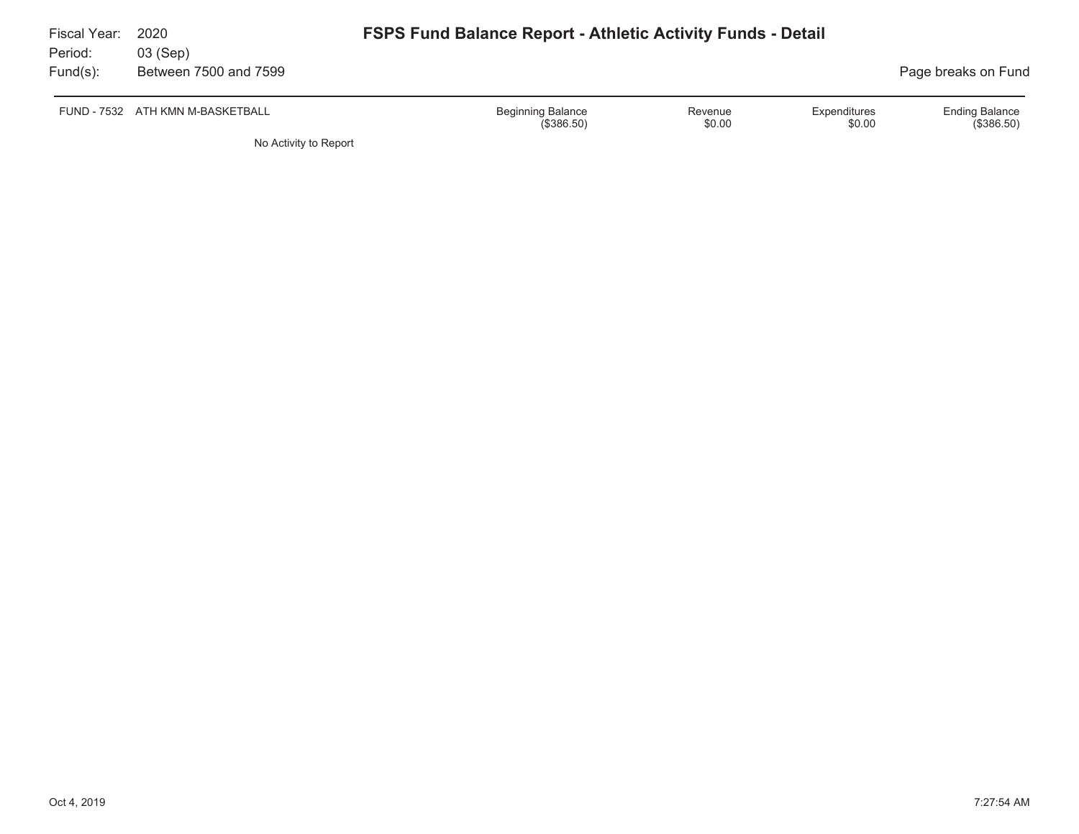| Fiscal Year:<br>Period:<br>$Fund(s)$ : | 2020<br>03 (Sep)<br>Between 7500 and 7599 | <b>FSPS Fund Balance Report - Athletic Activity Funds - Detail</b> | Page breaks on Fund    |                                     |
|----------------------------------------|-------------------------------------------|--------------------------------------------------------------------|------------------------|-------------------------------------|
| FUND - 7532                            | ATH KMN M-BASKETBALL                      | <b>Beginning Balance</b><br>Revenue<br>\$0.00<br>(\$386.50)        | Expenditures<br>\$0.00 | <b>Ending Balance</b><br>(\$386.50) |
|                                        | No Activity to Report                     |                                                                    |                        |                                     |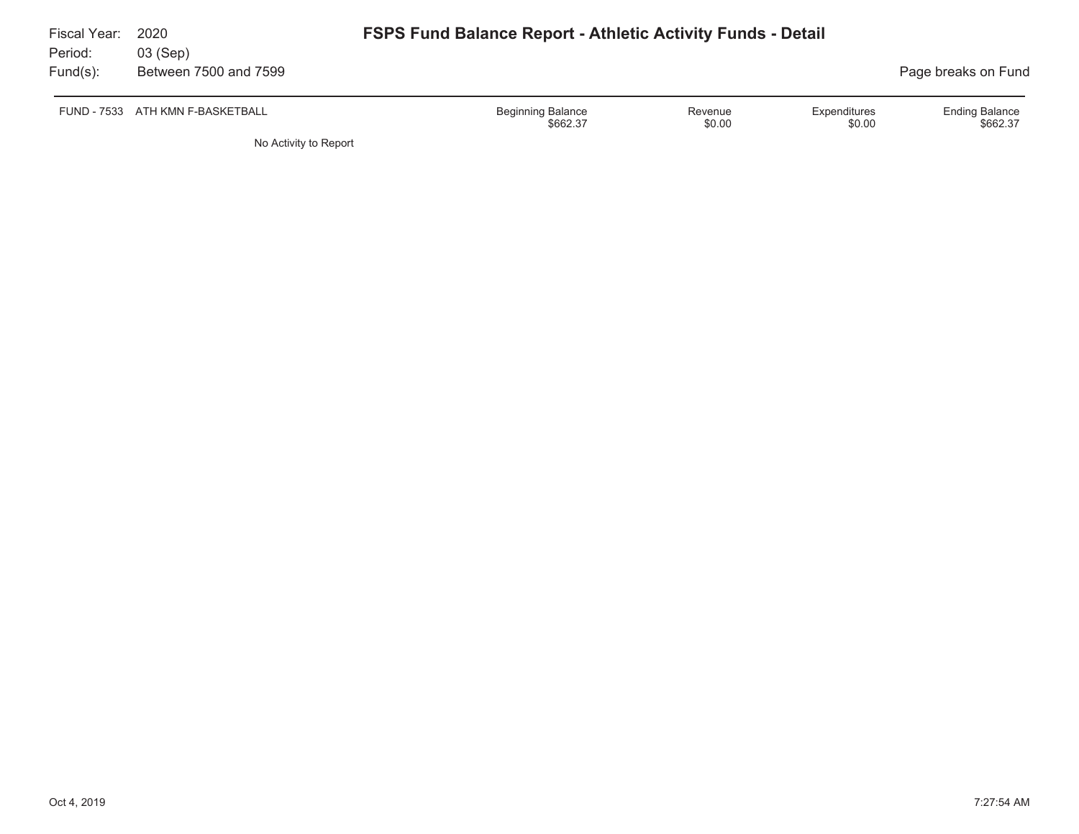| Fiscal Year:<br>Period: | 2020<br>03 (Sep)                 | <b>FSPS Fund Balance Report - Athletic Activity Funds - Detail</b> |                   |                        |                                   |
|-------------------------|----------------------------------|--------------------------------------------------------------------|-------------------|------------------------|-----------------------------------|
| $Fund(s)$ :             | Between 7500 and 7599            |                                                                    |                   |                        | Page breaks on Fund               |
|                         | FUND - 7533 ATH KMN F-BASKETBALL | Beginning Balance<br>\$662.37                                      | Revenue<br>\$0.00 | Expenditures<br>\$0.00 | <b>Ending Balance</b><br>\$662.37 |
|                         |                                  |                                                                    |                   |                        |                                   |

No Activity to Report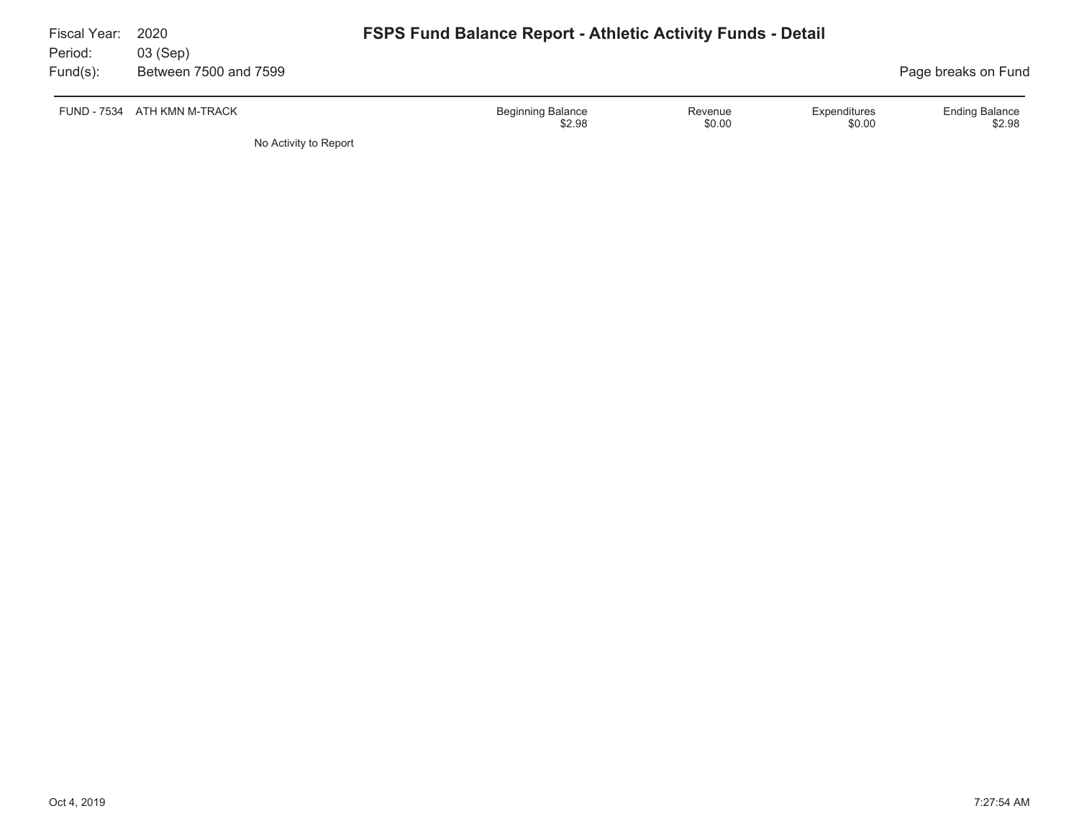| Fiscal Year:<br>Period:<br>$Fund(s)$ : | 2020<br>03 (Sep)<br>Between 7500 and 7599 | <b>FSPS Fund Balance Report - Athletic Activity Funds - Detail</b> |         |              | Page breaks on Fund   |
|----------------------------------------|-------------------------------------------|--------------------------------------------------------------------|---------|--------------|-----------------------|
|                                        | FUND - 7534 ATH KMN M-TRACK               | <b>Beginning Balance</b>                                           | Revenue | Expenditures | <b>Ending Balance</b> |
|                                        | No Activity to Report                     | \$2.98                                                             | \$0.00  | \$0.00       | \$2.98                |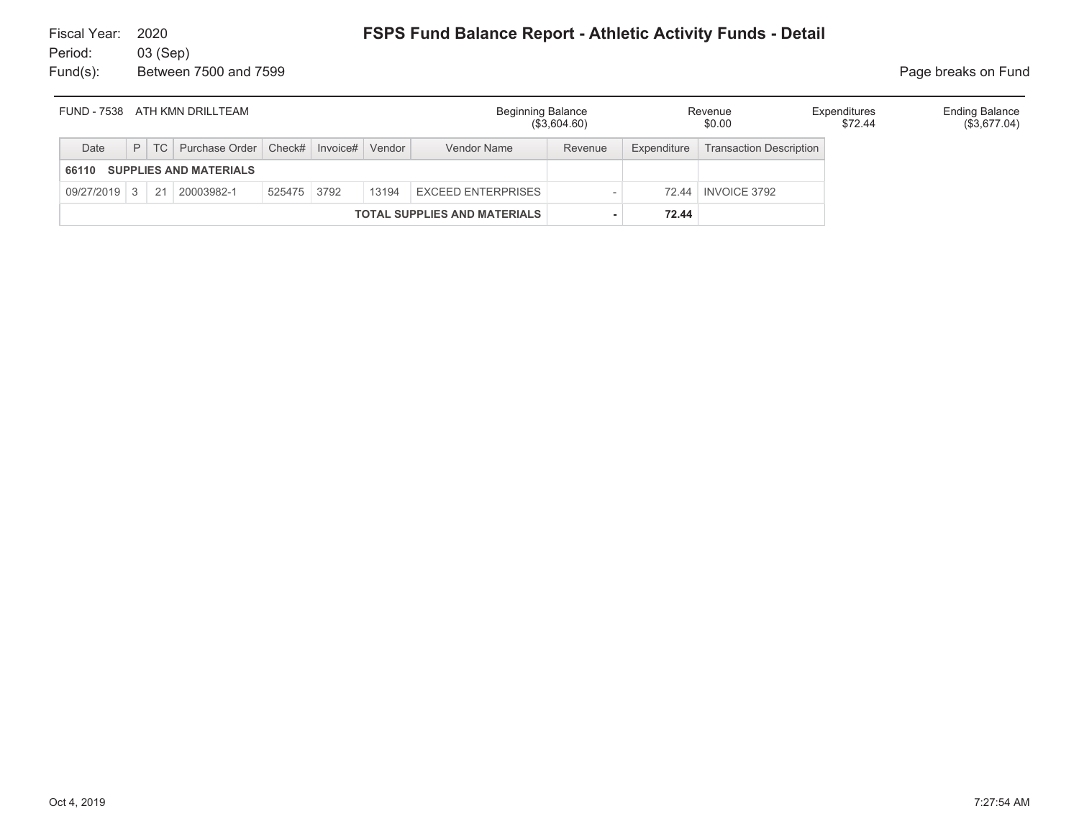| FUND - 7538 ATH KMN DRILLTEAM          |                                                    |  |                                                      |  |                           |  |             | <b>Beginning Balance</b><br>Revenue<br>(\$3,604.60) |             |                                | Expenditures<br>\$72.44 | <b>Ending Balance</b><br>(\$3,677.04) |
|----------------------------------------|----------------------------------------------------|--|------------------------------------------------------|--|---------------------------|--|-------------|-----------------------------------------------------|-------------|--------------------------------|-------------------------|---------------------------------------|
| Date                                   |                                                    |  | P   TC   Purchase Order   Check#   Invoice#   Vendor |  |                           |  | Vendor Name | Revenue                                             | Expenditure | <b>Transaction Description</b> |                         |                                       |
| <b>SUPPLIES AND MATERIALS</b><br>66110 |                                                    |  |                                                      |  |                           |  |             |                                                     |             |                                |                         |                                       |
|                                        | 525475 3792<br>09/27/2019 3 21 20003982-1<br>13194 |  |                                                      |  | <b>EXCEED ENTERPRISES</b> |  |             | 72.44   INVOICE 3792                                |             |                                |                         |                                       |
| <b>TOTAL SUPPLIES AND MATERIALS</b>    |                                                    |  |                                                      |  |                           |  |             |                                                     | 72.44       |                                |                         |                                       |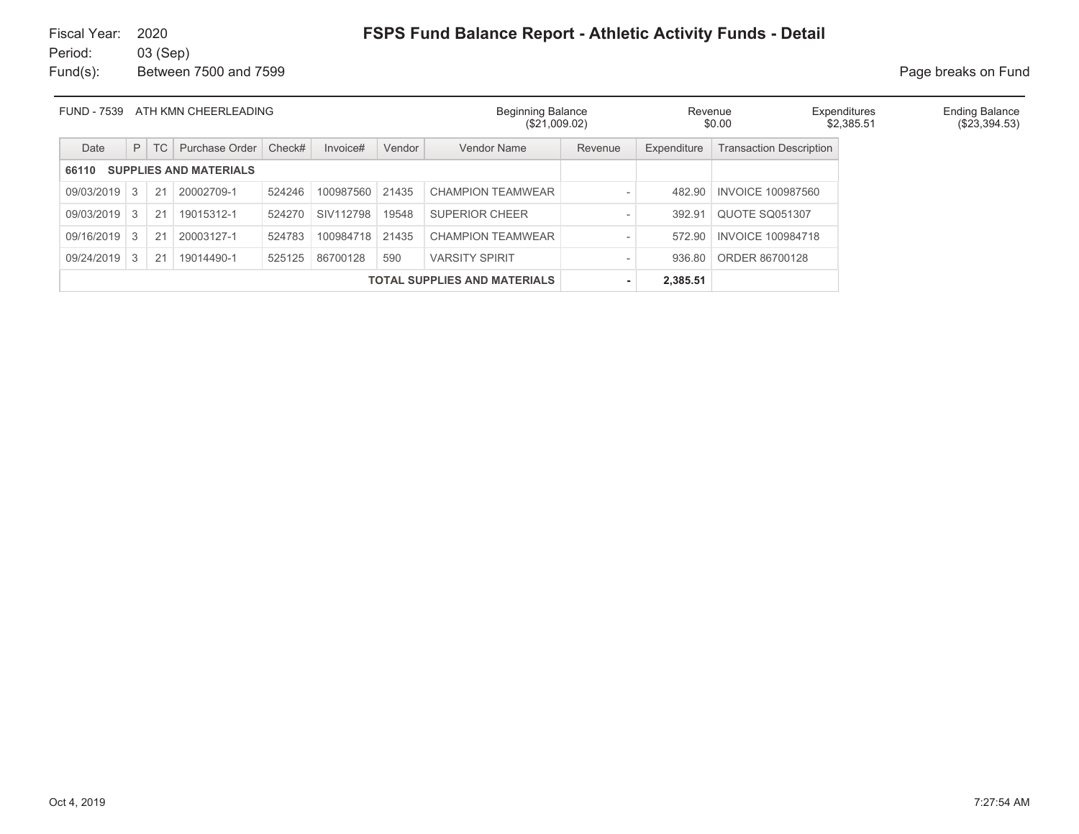# Fiscal Year: 2020

## **FSPS Fund Balance Report - Athletic Activity Funds - Detail**

Period: 03 (Sep) Fund(s): Between 7500 and 7599 **Page breaks** on Fund

| <b>FUND - 7539</b><br>ATH KMN CHEERLEADING |           |        |                               |        |           | <b>Beginning Balance</b><br>(\$21,009.02) |                                     | Revenue<br>\$0.00 |                    | Expenditures<br>\$2.385.51     | <b>Ending Balance</b><br>(\$23,394.53) |  |
|--------------------------------------------|-----------|--------|-------------------------------|--------|-----------|-------------------------------------------|-------------------------------------|-------------------|--------------------|--------------------------------|----------------------------------------|--|
| Date                                       |           | $P$ TC | Purchase Order                | Check# | Invoice#  | Vendor                                    | <b>Vendor Name</b>                  | Revenue           | <b>Expenditure</b> | <b>Transaction Description</b> |                                        |  |
| 66110                                      |           |        | <b>SUPPLIES AND MATERIALS</b> |        |           |                                           |                                     |                   |                    |                                |                                        |  |
| 09/03/2019                                 | $\vert$ 3 | 21     | 20002709-1                    | 524246 | 100987560 | 21435                                     | CHAMPION TEAMWEAR                   |                   | 482.90             | <b>INVOICE 100987560</b>       |                                        |  |
| 09/03/2019 3                               |           | 21     | 19015312-1                    | 524270 | SIV112798 | 19548                                     | <b>SUPERIOR CHEER</b>               |                   | 392.91             | <b>QUOTE SQ051307</b>          |                                        |  |
| 09/16/2019                                 | -3        | 21     | 20003127-1                    | 524783 | 100984718 | 21435                                     | <b>CHAMPION TEAMWEAR</b>            |                   | 572.90             | <b>INVOICE 100984718</b>       |                                        |  |
| 09/24/2019 3                               |           | 21     | 19014490-1                    | 525125 | 86700128  | 590                                       | <b>VARSITY SPIRIT</b>               |                   | 936.80             | ORDER 86700128                 |                                        |  |
|                                            |           |        |                               |        |           |                                           | <b>TOTAL SUPPLIES AND MATERIALS</b> |                   | 2,385.51           |                                |                                        |  |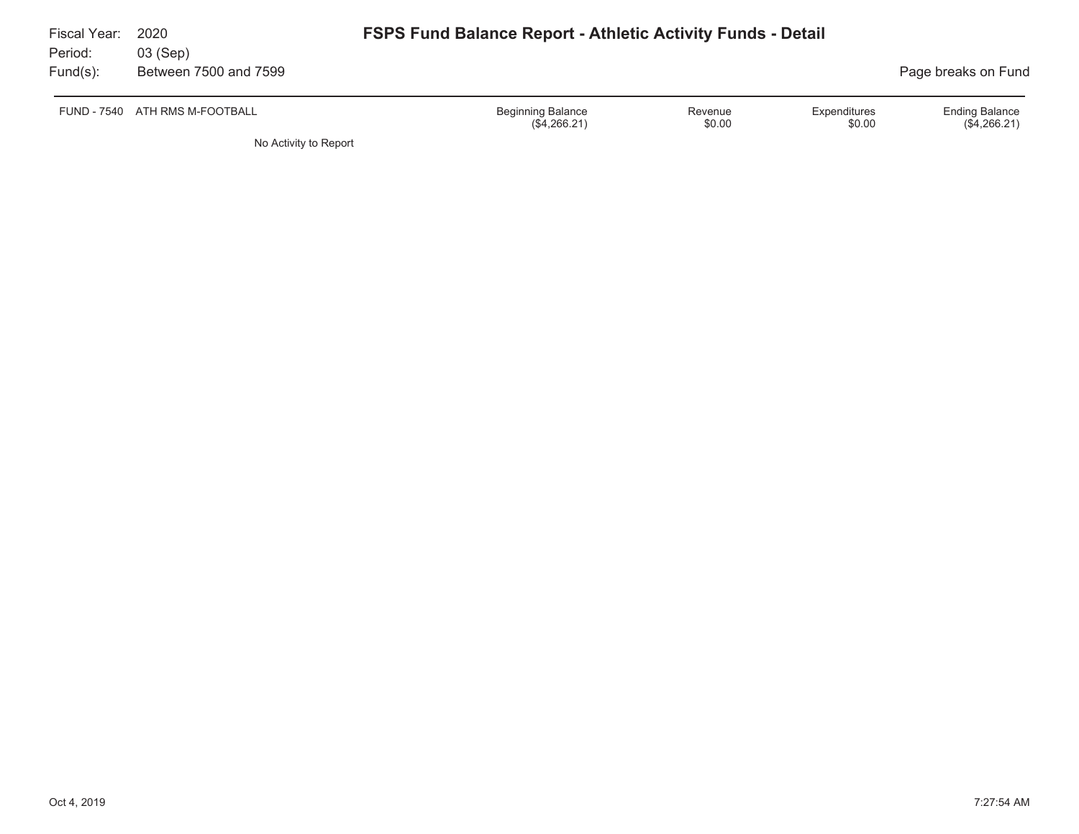| Fiscal Year:<br>Period: | 2020<br>03 (Sep)               | <b>FSPS Fund Balance Report - Athletic Activity Funds - Detail</b> |                   |                        |                                         |  |  |
|-------------------------|--------------------------------|--------------------------------------------------------------------|-------------------|------------------------|-----------------------------------------|--|--|
| $Fund(s)$ :             | Between 7500 and 7599          | Page breaks on Fund                                                |                   |                        |                                         |  |  |
|                         | FUND - 7540 ATH RMS M-FOOTBALL | <b>Beginning Balance</b><br>(\$4,266.21)                           | Revenue<br>\$0.00 | Expenditures<br>\$0.00 | <b>Ending Balance</b><br>$(\$4,266.21)$ |  |  |

No Activity to Report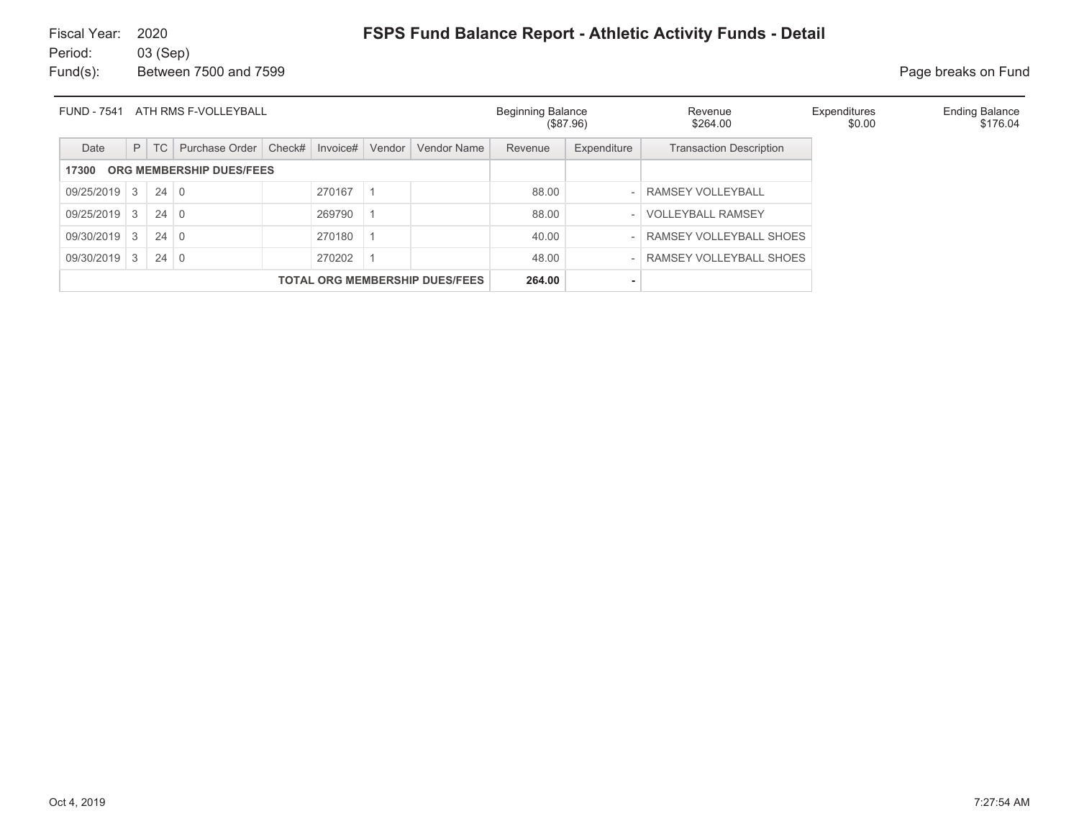## **FSPS Fund Balance Report - Athletic Activity Funds - Detail**

Fiscal Year: 2020Period: 03 (Sep) Fund(s): Between 7500 and 7599 **Page breaks on Fund** 

| <b>FUND - 7541</b><br>ATH RMS F-VOLLEYBALL |               |             |                |        |          |        |             | <b>Beginning Balance</b><br>(\$87.96) |             | Revenue<br>\$264.00            | Expenditures<br>\$0.00 | <b>Ending Balance</b><br>\$176.04 |
|--------------------------------------------|---------------|-------------|----------------|--------|----------|--------|-------------|---------------------------------------|-------------|--------------------------------|------------------------|-----------------------------------|
| Date                                       |               | $P$ TC      | Purchase Order | Check# | Invoice# | Vendor | Vendor Name | Revenue                               | Expenditure | <b>Transaction Description</b> |                        |                                   |
| ORG MEMBERSHIP DUES/FEES<br>17300          |               |             |                |        |          |        |             |                                       |             |                                |                        |                                   |
| $09/25/2019$ 3                             |               | $24 \mid 0$ |                |        | 270167   |        |             | 88.00                                 |             | RAMSEY VOLLEYBALL              |                        |                                   |
| 09/25/2019                                 | $\mathcal{S}$ | 24          | $\overline{0}$ |        | 269790   |        |             | 88.00                                 |             | <b>VOLLEYBALL RAMSEY</b>       |                        |                                   |
| 09/30/2019 3                               |               | $24 \mid 0$ |                |        | 270180   |        |             | 40.00                                 |             | RAMSEY VOLLEYBALL SHOES        |                        |                                   |
| 09/30/2019 3<br>$24 \mid 0$<br>270202      |               |             |                |        |          |        |             | 48.00                                 |             | RAMSEY VOLLEYBALL SHOES        |                        |                                   |
| <b>TOTAL ORG MEMBERSHIP DUES/FEES</b>      |               |             |                |        |          |        |             | 264.00                                |             |                                |                        |                                   |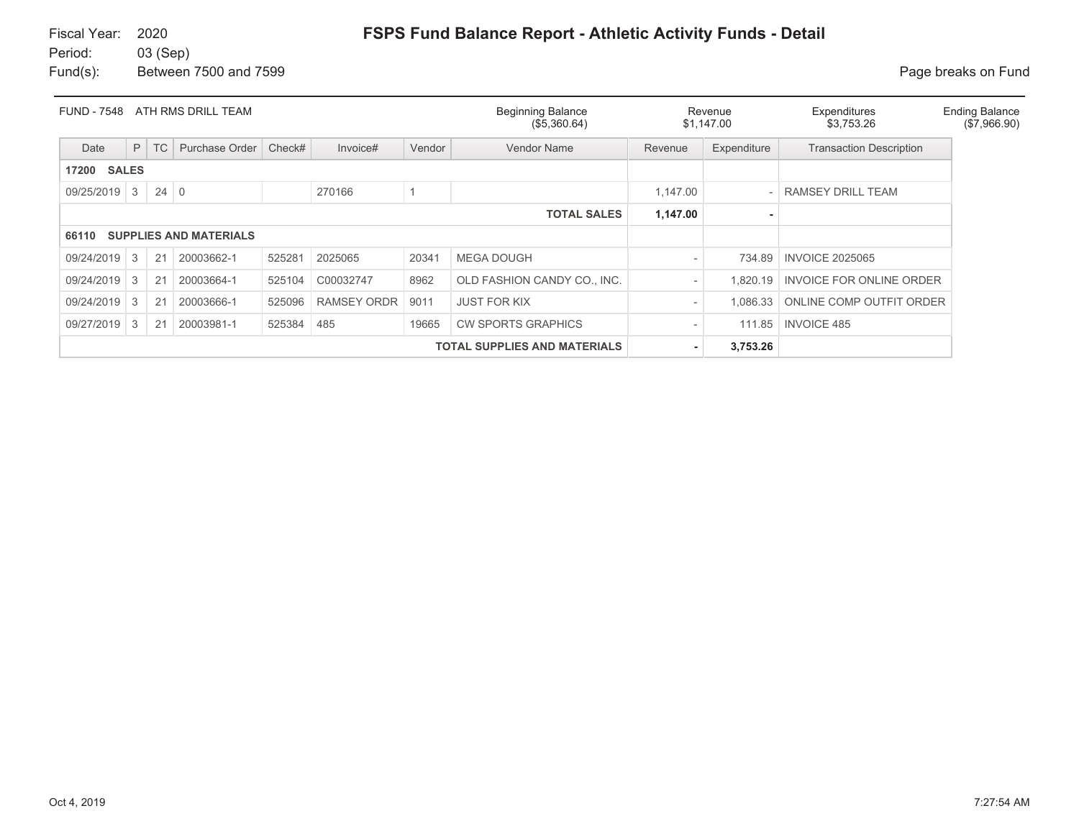| <b>FUND - 7548</b>    |                                     |             | ATH RMS DRILL TEAM            |        |             |        | <b>Beginning Balance</b><br>(\$5,360.64) | Revenue<br>\$1,147.00    |                          | Expenditures<br>\$3,753.26     | <b>Ending Balance</b><br>(\$7,966.90) |
|-----------------------|-------------------------------------|-------------|-------------------------------|--------|-------------|--------|------------------------------------------|--------------------------|--------------------------|--------------------------------|---------------------------------------|
| Date                  | P                                   | <b>TC</b>   | Purchase Order                | Check# | Invoice#    | Vendor | Vendor Name                              | Revenue                  | Expenditure              | <b>Transaction Description</b> |                                       |
| <b>SALES</b><br>17200 |                                     |             |                               |        |             |        |                                          |                          |                          |                                |                                       |
| 09/25/2019            | 3                                   | $24 \mid 0$ |                               |        | 270166      |        |                                          | 1.147.00                 | $\overline{\phantom{0}}$ | <b>RAMSEY DRILL TEAM</b>       |                                       |
|                       |                                     |             |                               |        |             |        | <b>TOTAL SALES</b>                       | 1,147.00                 |                          |                                |                                       |
| 66110                 |                                     |             | <b>SUPPLIES AND MATERIALS</b> |        |             |        |                                          |                          |                          |                                |                                       |
| 09/24/2019            | 3                                   | 21          | 20003662-1                    | 525281 | 2025065     | 20341  | <b>MEGA DOUGH</b>                        |                          | 734.89                   | <b>INVOICE 2025065</b>         |                                       |
| 09/24/2019            | 3                                   | 21          | 20003664-1                    | 525104 | C00032747   | 8962   | OLD FASHION CANDY CO., INC.              |                          | .820.19                  | INVOICE FOR ONLINE ORDER       |                                       |
| 09/24/2019            | 3                                   | 21          | 20003666-1                    | 525096 | RAMSEY ORDR | 9011   | <b>JUST FOR KIX</b>                      | $\overline{\phantom{a}}$ | 1.086.33                 | ONLINE COMP OUTFIT ORDER       |                                       |
| 09/27/2019            | 3                                   | 21          | 20003981-1                    | 525384 | 485         | 19665  | <b>CW SPORTS GRAPHICS</b>                |                          | 111.85                   | <b>INVOICE 485</b>             |                                       |
|                       | <b>TOTAL SUPPLIES AND MATERIALS</b> |             |                               |        |             |        |                                          |                          | 3,753.26                 |                                |                                       |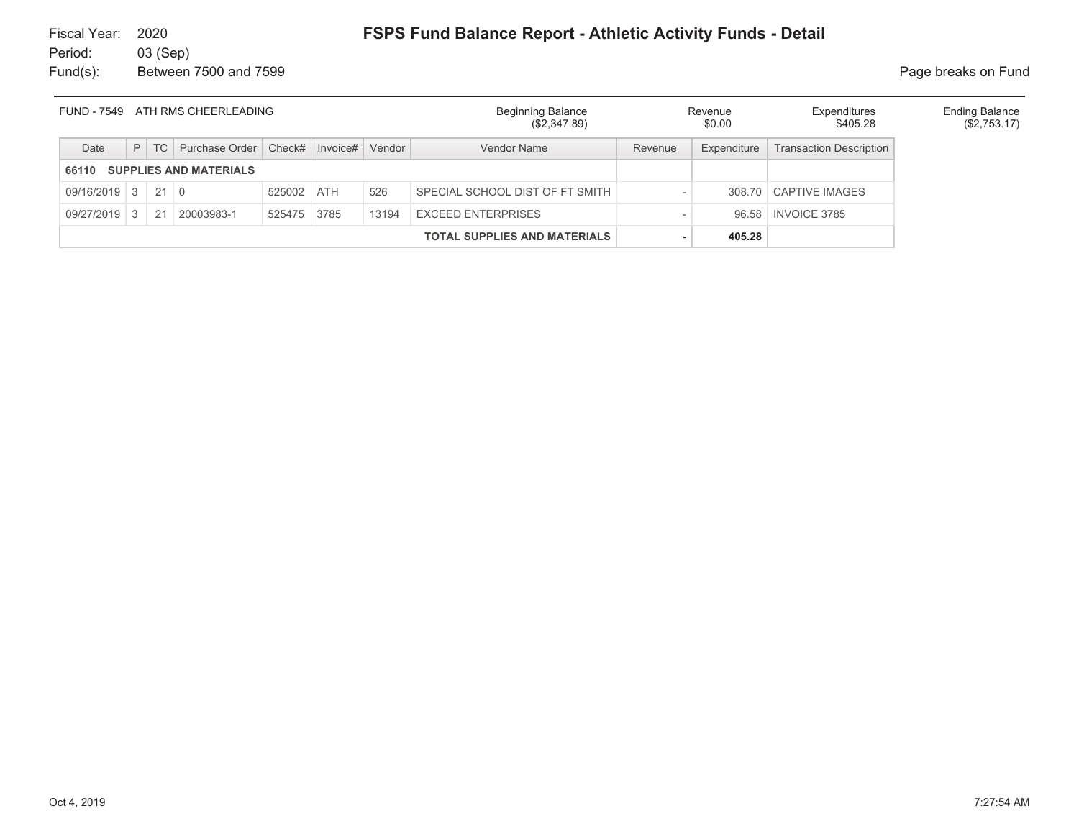| FUND - 7549 ATH RMS CHEERLEADING       |  |        |                         |             |                 |       | <b>Beginning Balance</b><br>(\$2,347.89) |         | Revenue<br>\$0.00 | Expenditures<br>\$405.28       | <b>Ending Balance</b><br>$(\$2,753.17)$ |
|----------------------------------------|--|--------|-------------------------|-------------|-----------------|-------|------------------------------------------|---------|-------------------|--------------------------------|-----------------------------------------|
| Date                                   |  | $P$ TC | Purchase Order   Check# |             | Invoice# Vendor |       | Vendor Name                              | Revenue | Expenditure       | <b>Transaction Description</b> |                                         |
| <b>SUPPLIES AND MATERIALS</b><br>66110 |  |        |                         |             |                 |       |                                          |         |                   |                                |                                         |
| $09/16/2019$ 3 21 0                    |  |        |                         | 525002 ATH  |                 | 526   | SPECIAL SCHOOL DIST OF FT SMITH          |         |                   | 308.70 CAPTIVE IMAGES          |                                         |
| 09/27/2019 3                           |  | 21     | 20003983-1              | 525475 3785 |                 | 13194 | <b>EXCEED ENTERPRISES</b>                |         | 96.58             | <b>INVOICE 3785</b>            |                                         |
| <b>TOTAL SUPPLIES AND MATERIALS</b>    |  |        |                         |             |                 |       |                                          | 405.28  |                   |                                |                                         |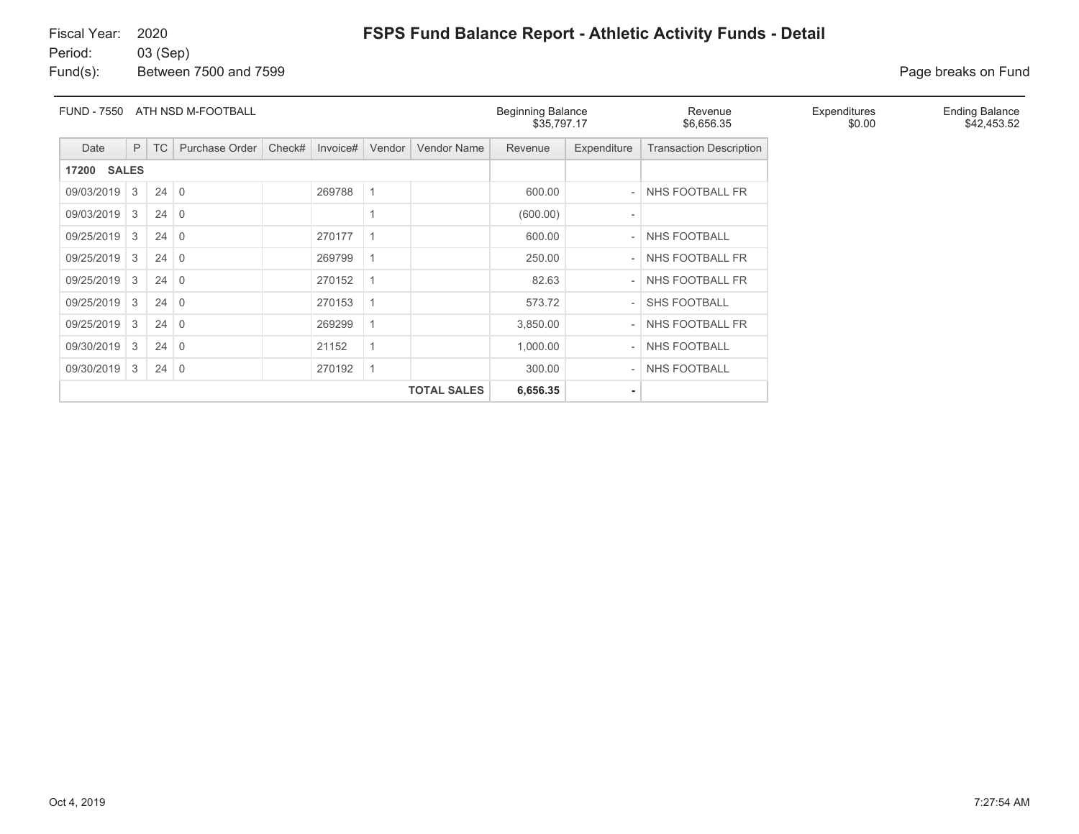## **FSPS Fund Balance Report - Athletic Activity Funds - Detail**

Fiscal Year: 2020Period: 03 (Sep) Fund(s): Between 7500 and 7599 **Page breaks on Fund** 

| <b>FUND - 7550</b>    | ATH NSD M-FOOTBALL |             |                |        |          |                |                    | <b>Beginning Balance</b><br>\$35,797.17 |                          | Revenue<br>\$6,656.35          | Expenditures<br>\$0.00 | <b>Ending Balance</b><br>\$42,453.52 |
|-----------------------|--------------------|-------------|----------------|--------|----------|----------------|--------------------|-----------------------------------------|--------------------------|--------------------------------|------------------------|--------------------------------------|
| Date                  | P                  | TC          | Purchase Order | Check# | Invoice# | Vendor         | <b>Vendor Name</b> | Revenue                                 | Expenditure              | <b>Transaction Description</b> |                        |                                      |
| <b>SALES</b><br>17200 |                    |             |                |        |          |                |                    |                                         |                          |                                |                        |                                      |
| 09/03/2019            | 3                  | $24 \mid 0$ |                |        | 269788   | $\overline{1}$ |                    | 600.00                                  | $\overline{a}$           | NHS FOOTBALL FR                |                        |                                      |
| 09/03/2019            | 3                  | $24 \mid 0$ |                |        |          |                |                    | (600.00)                                |                          |                                |                        |                                      |
| 09/25/2019            | 3                  | $24 \mid 0$ |                |        | 270177   | -1             |                    | 600.00                                  | $\overline{a}$           | <b>NHS FOOTBALL</b>            |                        |                                      |
| 09/25/2019            | 3                  | $24 \mid 0$ |                |        | 269799   | -1             |                    | 250.00                                  | $\overline{\phantom{a}}$ | NHS FOOTBALL FR                |                        |                                      |
| 09/25/2019            | 3                  | $24 \mid 0$ |                |        | 270152   | $\overline{1}$ |                    | 82.63                                   |                          | NHS FOOTBALL FR                |                        |                                      |
| 09/25/2019            | 3                  | $24 \mid 0$ |                |        | 270153   | $\overline{1}$ |                    | 573.72                                  |                          | <b>SHS FOOTBALL</b>            |                        |                                      |
| 09/25/2019            | 3                  | $24 \mid 0$ |                |        | 269299   | -1             |                    | 3,850.00                                | $\overline{\phantom{a}}$ | NHS FOOTBALL FR                |                        |                                      |
| 09/30/2019            | 3                  | $24 \mid 0$ |                |        | 21152    |                |                    | 1,000.00                                | $\overline{\phantom{a}}$ | NHS FOOTBALL                   |                        |                                      |
| 09/30/2019            | 3                  | $24 \mid 0$ |                |        | 270192   | $\overline{1}$ |                    | 300.00                                  |                          | NHS FOOTBALL                   |                        |                                      |
|                       |                    |             |                |        |          |                | <b>TOTAL SALES</b> | 6,656.35                                | $\overline{\phantom{a}}$ |                                |                        |                                      |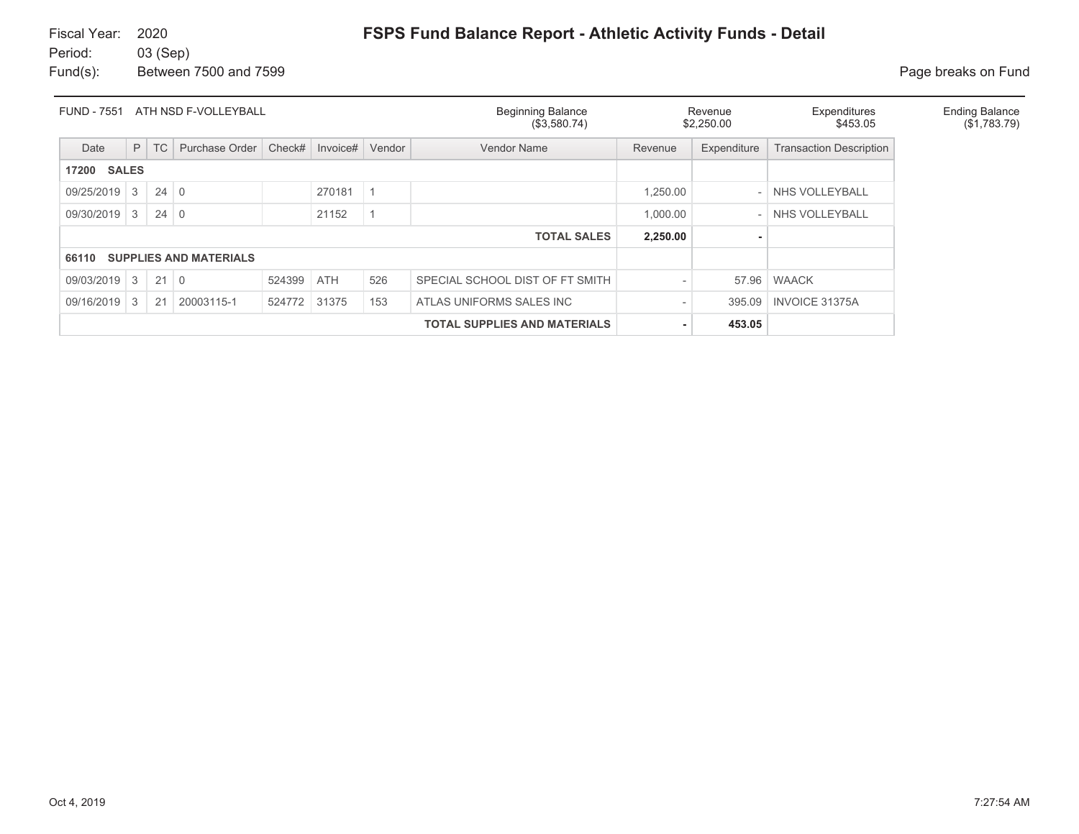Fund(s): Between 7500 and 7599 **Page breaks** on Fund

| <b>FUND - 7551</b> | ATH NSD F-VOLLEYBALL |             |                               |        |            |        | <b>Beginning Balance</b><br>(\$3,580.74) |          | Revenue<br>\$2,250.00    | Expenditures<br>\$453.05       | <b>Ending Balance</b><br>(\$1,783.79) |
|--------------------|----------------------|-------------|-------------------------------|--------|------------|--------|------------------------------------------|----------|--------------------------|--------------------------------|---------------------------------------|
| Date               | P                    | TC          | Purchase Order                | Check# | Invoice#   | Vendor | Vendor Name                              | Revenue  | Expenditure              | <b>Transaction Description</b> |                                       |
| <b>17200 SALES</b> |                      |             |                               |        |            |        |                                          |          |                          |                                |                                       |
| 09/25/2019         | 3                    | $24 \mid 0$ |                               |        | 270181     |        |                                          | 1,250.00 |                          | NHS VOLLEYBALL                 |                                       |
| 09/30/2019         | 3                    | $24 \mid 0$ |                               |        | 21152      |        |                                          | 1,000.00 | $\overline{\phantom{0}}$ | NHS VOLLEYBALL                 |                                       |
|                    |                      |             |                               |        |            |        | <b>TOTAL SALES</b>                       | 2,250.00 |                          |                                |                                       |
| 66110              |                      |             | <b>SUPPLIES AND MATERIALS</b> |        |            |        |                                          |          |                          |                                |                                       |
| 09/03/2019         | 3                    | $21 \mid 0$ |                               | 524399 | <b>ATH</b> | 526    | SPECIAL SCHOOL DIST OF FT SMITH          |          | 57.96                    | <b>WAACK</b>                   |                                       |
| 09/16/2019         | 3                    | 21          | 20003115-1                    | 524772 | 31375      | 153    | ATLAS UNIFORMS SALES INC                 |          | 395.09                   | <b>INVOICE 31375A</b>          |                                       |
|                    |                      |             |                               |        |            |        | <b>TOTAL SUPPLIES AND MATERIALS</b>      |          | 453.05                   |                                |                                       |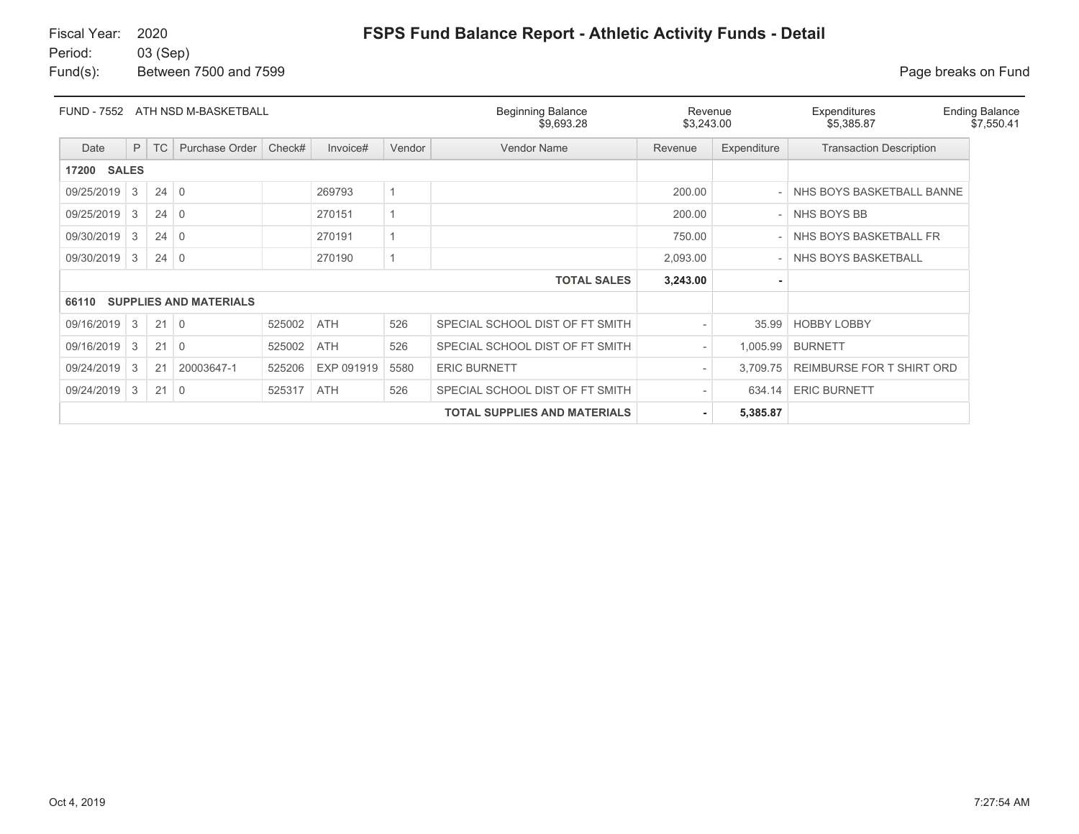Fund(s): Between 7500 and 7599 **Page breaks on Fund** 

| FUND - 7552           |   |             | ATH NSD M-BASKETBALL          |        |            |        | <b>Beginning Balance</b><br>\$9,693.28 | Revenue<br>\$3,243.00    |             | Expenditures<br>\$5,385.87     | <b>Ending Balance</b><br>\$7,550.41 |
|-----------------------|---|-------------|-------------------------------|--------|------------|--------|----------------------------------------|--------------------------|-------------|--------------------------------|-------------------------------------|
| Date                  | P | TC          | Purchase Order                | Check# | Invoice#   | Vendor | Vendor Name                            | Revenue                  | Expenditure | <b>Transaction Description</b> |                                     |
| <b>SALES</b><br>17200 |   |             |                               |        |            |        |                                        |                          |             |                                |                                     |
| 09/25/2019            | 3 | $24 \mid 0$ |                               |        | 269793     |        |                                        | 200.00                   |             | NHS BOYS BASKETBALL BANNE      |                                     |
| 09/25/2019            | 3 | $24 \mid 0$ |                               |        | 270151     |        |                                        | 200.00                   | $-$         | NHS BOYS BB                    |                                     |
| 09/30/2019            | 3 | $24 \mid 0$ |                               |        | 270191     |        |                                        | 750.00                   |             | NHS BOYS BASKETBALL FR         |                                     |
| 09/30/2019            | 3 | $24 \mid 0$ |                               |        | 270190     |        |                                        | 2,093.00                 |             | NHS BOYS BASKETBALL            |                                     |
|                       |   |             |                               |        |            |        | <b>TOTAL SALES</b>                     | 3,243.00                 |             |                                |                                     |
| 66110                 |   |             | <b>SUPPLIES AND MATERIALS</b> |        |            |        |                                        |                          |             |                                |                                     |
| 09/16/2019            | 3 | 21          | $\overline{0}$                | 525002 | <b>ATH</b> | 526    | SPECIAL SCHOOL DIST OF FT SMITH        | $\overline{\phantom{a}}$ | 35.99       | <b>HOBBY LOBBY</b>             |                                     |
| 09/16/2019            | 3 | 21          | $\Omega$                      | 525002 | <b>ATH</b> | 526    | SPECIAL SCHOOL DIST OF FT SMITH        | $\overline{\phantom{a}}$ | 1,005.99    | <b>BURNETT</b>                 |                                     |
| 09/24/2019            | 3 | 21          | 20003647-1                    | 525206 | EXP 091919 | 5580   | <b>ERIC BURNETT</b>                    | $\overline{\phantom{0}}$ | 3,709.75    | REIMBURSE FOR T SHIRT ORD      |                                     |
| 09/24/2019            | 3 | 21          | $\overline{0}$                | 525317 | <b>ATH</b> | 526    | SPECIAL SCHOOL DIST OF FT SMITH        | $\overline{\phantom{0}}$ | 634.14      | <b>ERIC BURNETT</b>            |                                     |
|                       |   |             |                               |        |            |        | <b>TOTAL SUPPLIES AND MATERIALS</b>    | ٠.                       | 5,385.87    |                                |                                     |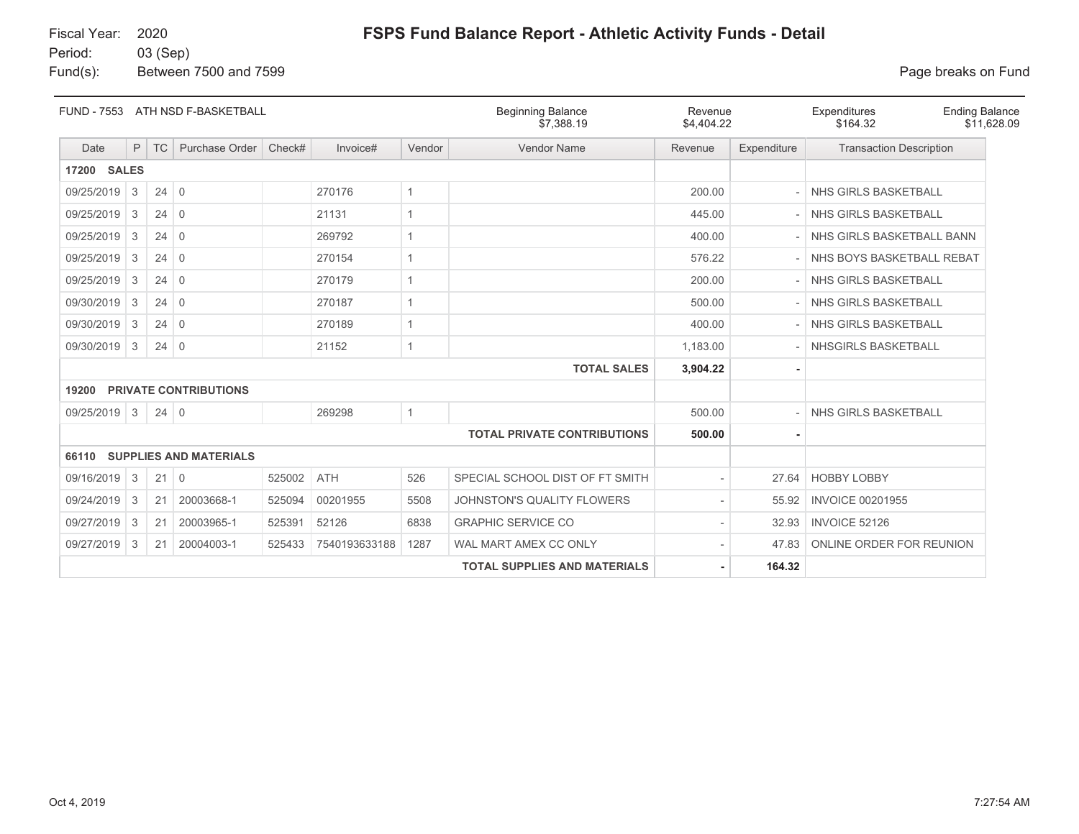# Fiscal Year: 2020

# **FSPS Fund Balance Report - Athletic Activity Funds - Detail**

Period: 03 (Sep) Fund(s): Between 7500 and 7599 **Page breaks on Fund** 

|              |   |             | FUND - 7553 ATH NSD F-BASKETBALL |        |               |              | <b>Beginning Balance</b><br>\$7.388.19 | Revenue<br>\$4,404.22 |             | Expenditures<br><b>Ending Balance</b><br>\$164.32<br>\$11,628.09 |
|--------------|---|-------------|----------------------------------|--------|---------------|--------------|----------------------------------------|-----------------------|-------------|------------------------------------------------------------------|
| Date         | P | <b>TC</b>   | Purchase Order                   | Check# | Invoice#      | Vendor       | <b>Vendor Name</b>                     | Revenue               | Expenditure | <b>Transaction Description</b>                                   |
| 17200 SALES  |   |             |                                  |        |               |              |                                        |                       |             |                                                                  |
| 09/25/2019   | 3 | $24 \mid 0$ |                                  |        | 270176        | $\mathbf{1}$ |                                        | 200.00                |             | NHS GIRLS BASKETBALL                                             |
| 09/25/2019   | 3 | $24 \mid 0$ |                                  |        | 21131         | $\mathbf{1}$ |                                        | 445.00                |             | NHS GIRLS BASKETBALL                                             |
| 09/25/2019   | 3 | 24          | $\overline{0}$                   |        | 269792        | 1            |                                        | 400.00                |             | NHS GIRLS BASKETBALL BANN                                        |
| 09/25/2019   | 3 | $24 \mid 0$ |                                  |        | 270154        | $\mathbf{1}$ |                                        | 576.22                |             | NHS BOYS BASKETBALL REBAT                                        |
| 09/25/2019   | 3 | 24          | $\overline{0}$                   |        | 270179        | 1            |                                        | 200.00                |             | NHS GIRLS BASKETBALL                                             |
| 09/30/2019   | 3 | $24 \mid 0$ |                                  |        | 270187        | $\mathbf{1}$ |                                        | 500.00                |             | NHS GIRLS BASKETBALL                                             |
| 09/30/2019   | 3 | $24 \mid 0$ |                                  |        | 270189        | $\mathbf{1}$ |                                        | 400.00                |             | NHS GIRLS BASKETBALL                                             |
| 09/30/2019   | 3 | $24 \mid 0$ |                                  |        | 21152         | $\mathbf{1}$ |                                        | 1,183.00              |             | NHSGIRLS BASKETBALL                                              |
|              |   |             |                                  |        |               |              | <b>TOTAL SALES</b>                     | 3,904.22              |             |                                                                  |
| 19200        |   |             | <b>PRIVATE CONTRIBUTIONS</b>     |        |               |              |                                        |                       |             |                                                                  |
| 09/25/2019 3 |   | $24 \mid 0$ |                                  |        | 269298        | $\mathbf{1}$ |                                        | 500.00                |             | NHS GIRLS BASKETBALL                                             |
|              |   |             |                                  |        |               |              | <b>TOTAL PRIVATE CONTRIBUTIONS</b>     | 500.00                |             |                                                                  |
| 66110        |   |             | <b>SUPPLIES AND MATERIALS</b>    |        |               |              |                                        |                       |             |                                                                  |
| 09/16/2019   | 3 | $21 \mid 0$ |                                  | 525002 | <b>ATH</b>    | 526          | SPECIAL SCHOOL DIST OF FT SMITH        |                       | 27.64       | <b>HOBBY LOBBY</b>                                               |
| 09/24/2019   | 3 | 21          | 20003668-1                       | 525094 | 00201955      | 5508         | JOHNSTON'S QUALITY FLOWERS             |                       | 55.92       | <b>INVOICE 00201955</b>                                          |
| 09/27/2019   | 3 | 21          | 20003965-1                       | 525391 | 52126         | 6838         | <b>GRAPHIC SERVICE CO</b>              |                       | 32.93       | <b>INVOICE 52126</b>                                             |
| 09/27/2019   | 3 | 21          | 20004003-1                       | 525433 | 7540193633188 | 1287         | WAL MART AMEX CC ONLY                  |                       | 47.83       | ONLINE ORDER FOR REUNION                                         |
|              |   |             |                                  |        |               |              | <b>TOTAL SUPPLIES AND MATERIALS</b>    |                       | 164.32      |                                                                  |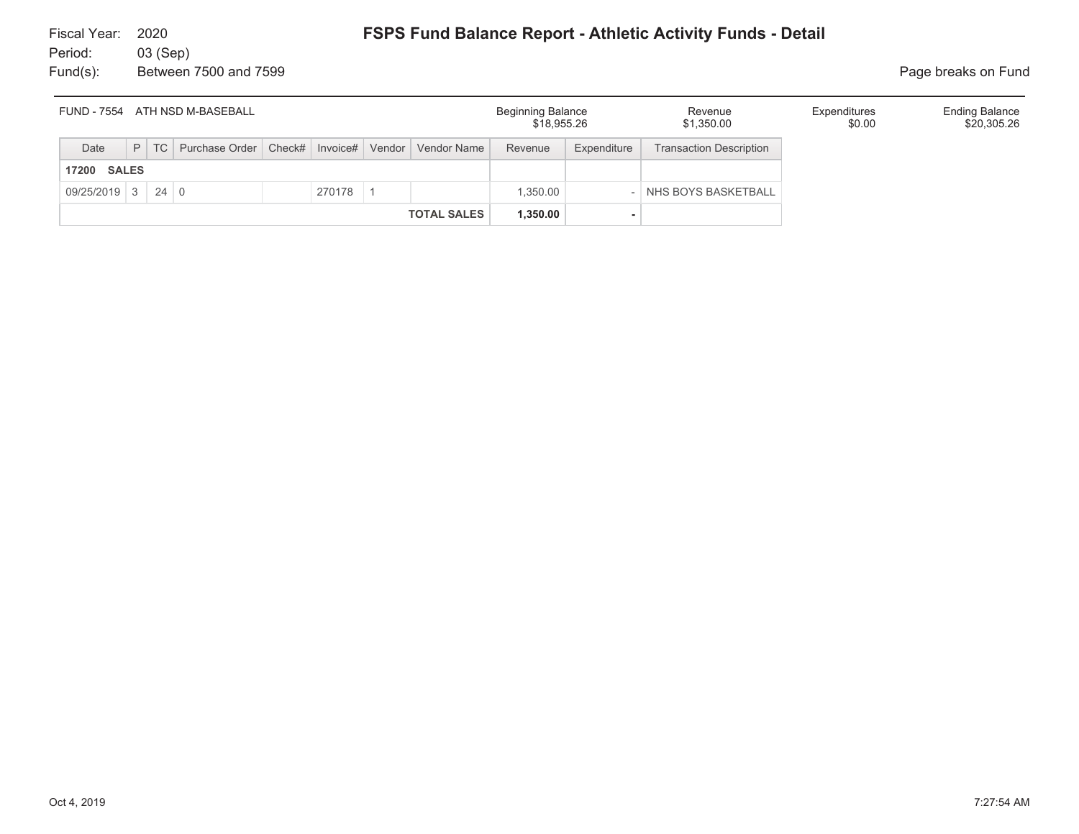| ATH NSD M-BASEBALL<br>FUND - 7554 |  |  |                                                                    |  |        |                    | <b>Beginning Balance</b><br>\$18,955.26 |             | Revenue<br>\$1,350.00          | Expenditures<br>\$0.00 | <b>Ending Balance</b><br>\$20,305.26 |
|-----------------------------------|--|--|--------------------------------------------------------------------|--|--------|--------------------|-----------------------------------------|-------------|--------------------------------|------------------------|--------------------------------------|
| Date                              |  |  | P   TC   Purchase Order   Check#   Invoice#   Vendor   Vendor Name |  |        |                    | Revenue                                 | Expenditure | <b>Transaction Description</b> |                        |                                      |
| <b>SALES</b><br>17200             |  |  |                                                                    |  |        |                    |                                         |             |                                |                        |                                      |
| $09/25/2019$ 3 24 0               |  |  |                                                                    |  | 270178 |                    | 1,350.00                                |             | NHS BOYS BASKETBALL            |                        |                                      |
|                                   |  |  |                                                                    |  |        | <b>TOTAL SALES</b> | 1,350.00                                |             |                                |                        |                                      |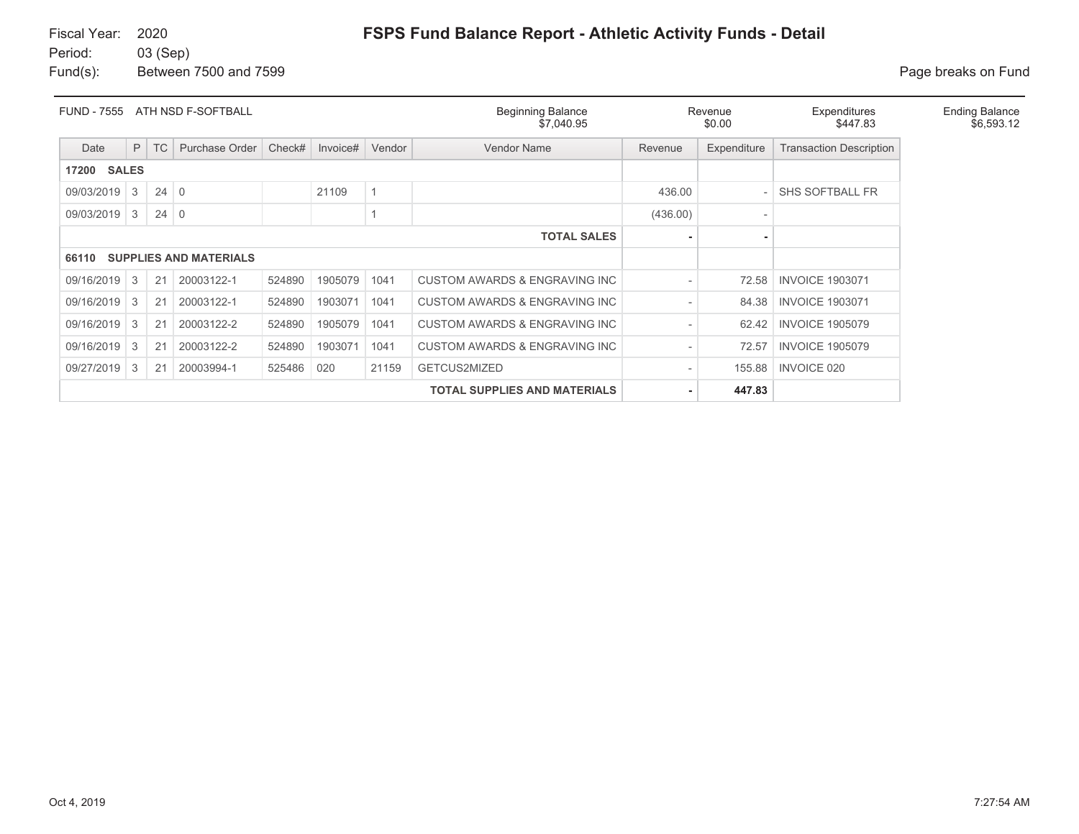Fund(s): Between 7500 and 7599 **Page breaks** on Fund

| <b>FUND - 7555</b> | ATH NSD F-SOFTBALL<br><b>Beginning Balance</b><br>\$7,040.95 |             |                               |        |          |        |                                           |          | Revenue<br>\$0.00 | Expenditures<br>\$447.83       | <b>Ending Balance</b><br>\$6,593.12 |
|--------------------|--------------------------------------------------------------|-------------|-------------------------------|--------|----------|--------|-------------------------------------------|----------|-------------------|--------------------------------|-------------------------------------|
| Date               | P                                                            | <b>TC</b>   | Purchase Order                | Check# | Invoice# | Vendor | Vendor Name                               | Revenue  | Expenditure       | <b>Transaction Description</b> |                                     |
| 17200              | <b>SALES</b>                                                 |             |                               |        |          |        |                                           |          |                   |                                |                                     |
| 09/03/2019         | 3                                                            | $24 \mid 0$ |                               |        | 21109    |        |                                           | 436.00   |                   | <b>SHS SOFTBALL FR</b>         |                                     |
| 09/03/2019         | 3                                                            | $24 \mid 0$ |                               |        |          |        |                                           | (436.00) |                   |                                |                                     |
|                    |                                                              |             |                               |        |          |        | <b>TOTAL SALES</b>                        |          |                   |                                |                                     |
| 66110              |                                                              |             | <b>SUPPLIES AND MATERIALS</b> |        |          |        |                                           |          |                   |                                |                                     |
| 09/16/2019         | 3                                                            | 21          | 20003122-1                    | 524890 | 1905079  | 1041   | <b>CUSTOM AWARDS &amp; ENGRAVING INC.</b> |          | 72.58             | <b>INVOICE 1903071</b>         |                                     |
| 09/16/2019         | 3                                                            | 21          | 20003122-1                    | 524890 | 1903071  | 1041   | CUSTOM AWARDS & ENGRAVING INC             |          | 84.38             | <b>INVOICE 1903071</b>         |                                     |
| 09/16/2019         | 3                                                            | 21          | 20003122-2                    | 524890 | 1905079  | 1041   | CUSTOM AWARDS & ENGRAVING INC             |          | 62.42             | <b>INVOICE 1905079</b>         |                                     |
| 09/16/2019         | 3                                                            | 21          | 20003122-2                    | 524890 | 1903071  | 1041   | CUSTOM AWARDS & ENGRAVING INC             |          | 72.57             | <b>INVOICE 1905079</b>         |                                     |
| 09/27/2019         | 3                                                            | 21          | 20003994-1                    | 525486 | 020      | 21159  | GETCUS2MIZED                              |          | 155.88            | <b>INVOICE 020</b>             |                                     |
|                    |                                                              |             |                               |        |          |        | <b>TOTAL SUPPLIES AND MATERIALS</b>       |          | 447.83            |                                |                                     |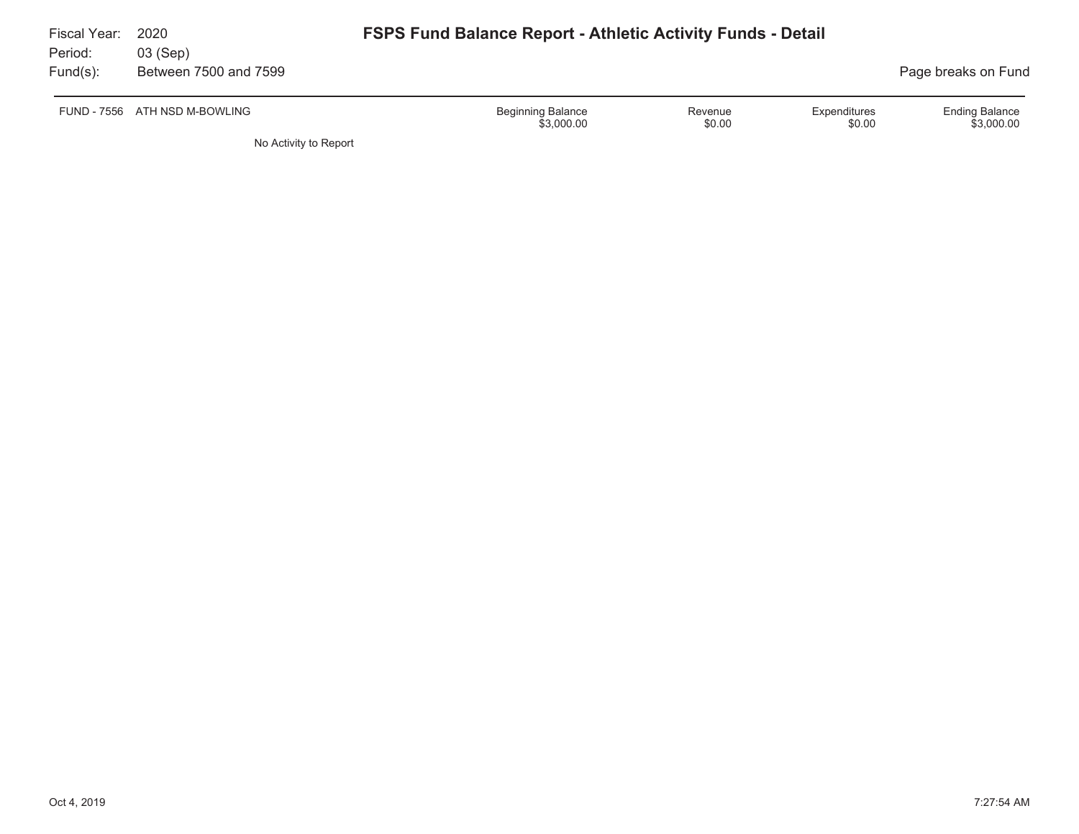| Fiscal Year:        | 2020                              | <b>FSPS Fund Balance Report - Athletic Activity Funds - Detail</b> |                   |                        |                                     |  |  |  |  |  |  |
|---------------------|-----------------------------------|--------------------------------------------------------------------|-------------------|------------------------|-------------------------------------|--|--|--|--|--|--|
| Period:<br>Fund(s): | 03 (Sep)<br>Between 7500 and 7599 |                                                                    |                   |                        | Page breaks on Fund                 |  |  |  |  |  |  |
|                     | FUND - 7556 ATH NSD M-BOWLING     | <b>Beginning Balance</b><br>\$3,000.00                             | Revenue<br>\$0.00 | Expenditures<br>\$0.00 | <b>Ending Balance</b><br>\$3,000.00 |  |  |  |  |  |  |
|                     | No Activity to Report             |                                                                    |                   |                        |                                     |  |  |  |  |  |  |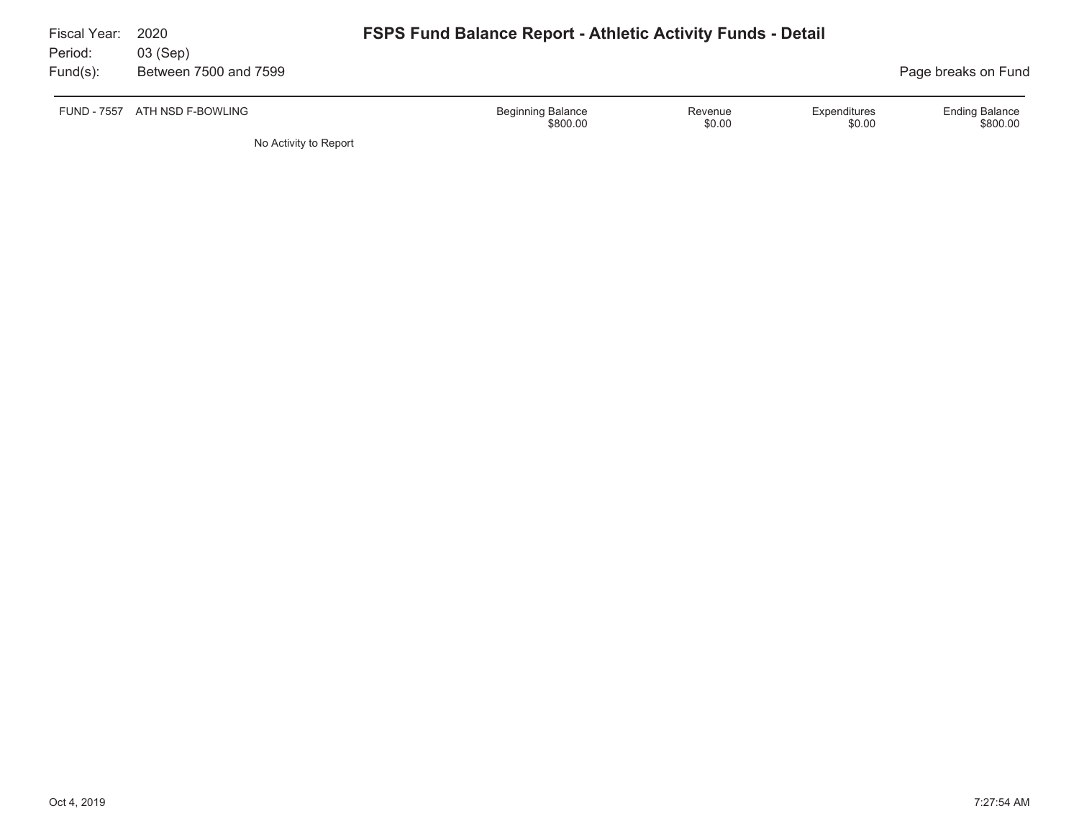| Fiscal Year:<br>Period: | 2020<br>03 (Sep)      |                                                                                     |                                   |
|-------------------------|-----------------------|-------------------------------------------------------------------------------------|-----------------------------------|
| $Fund(s)$ :             | Between 7500 and 7599 |                                                                                     | Page breaks on Fund               |
| <b>FUND - 7557</b>      | ATH NSD F-BOWLING     | <b>Beginning Balance</b><br>Expenditures<br>Revenue<br>\$0.00<br>\$800.00<br>\$0.00 | <b>Ending Balance</b><br>\$800.00 |
|                         | No Activity to Report |                                                                                     |                                   |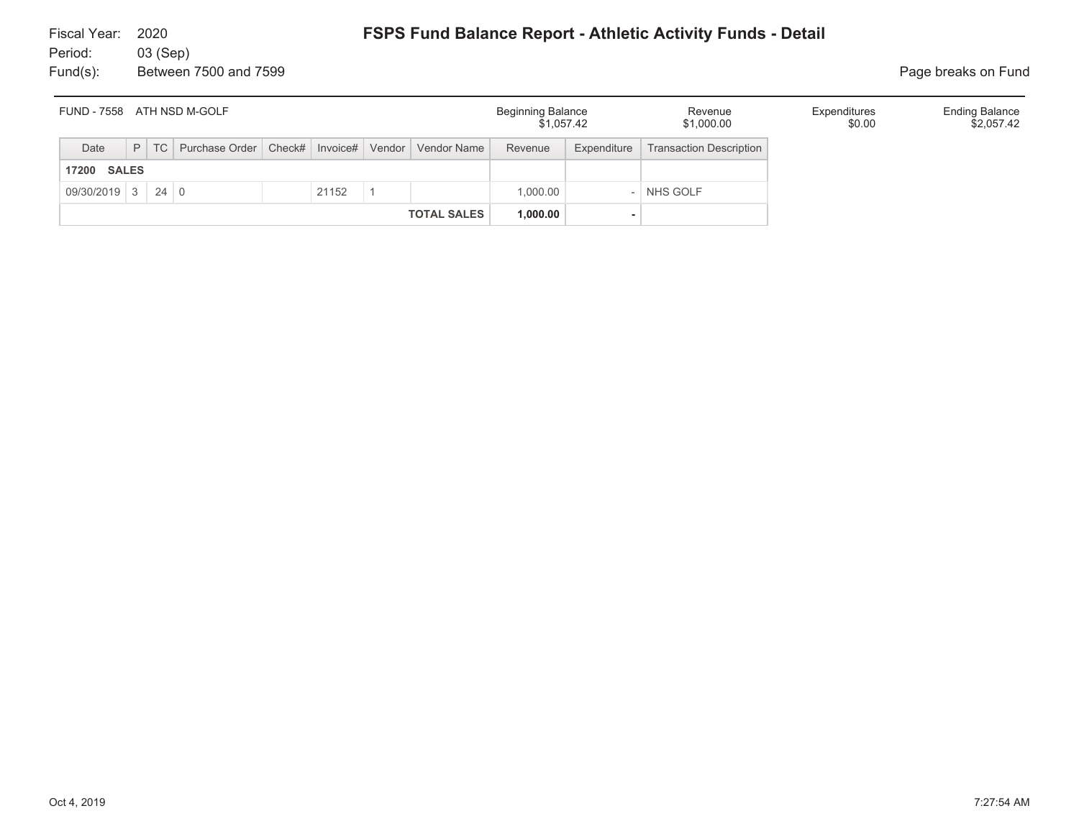| FUND - 7558 ATH NSD M-GOLF |  |        |                                                           |  |       |  |                    | <b>Beginning Balance</b><br>\$1.057.42 |             | Revenue<br>\$1,000.00          | Expenditures<br>\$0.00 | <b>Ending Balance</b><br>\$2,057.42 |
|----------------------------|--|--------|-----------------------------------------------------------|--|-------|--|--------------------|----------------------------------------|-------------|--------------------------------|------------------------|-------------------------------------|
| Date                       |  | $P$ TC | Purchase Order   Check#   Invoice#   Vendor   Vendor Name |  |       |  |                    | Revenue                                | Expenditure | <b>Transaction Description</b> |                        |                                     |
| <b>17200 SALES</b>         |  |        |                                                           |  |       |  |                    |                                        |             |                                |                        |                                     |
| $09/30/2019$ 3 24 0        |  |        |                                                           |  | 21152 |  |                    | 1.000.00                               |             | NHS GOLF                       |                        |                                     |
|                            |  |        |                                                           |  |       |  | <b>TOTAL SALES</b> | 1,000.00                               |             |                                |                        |                                     |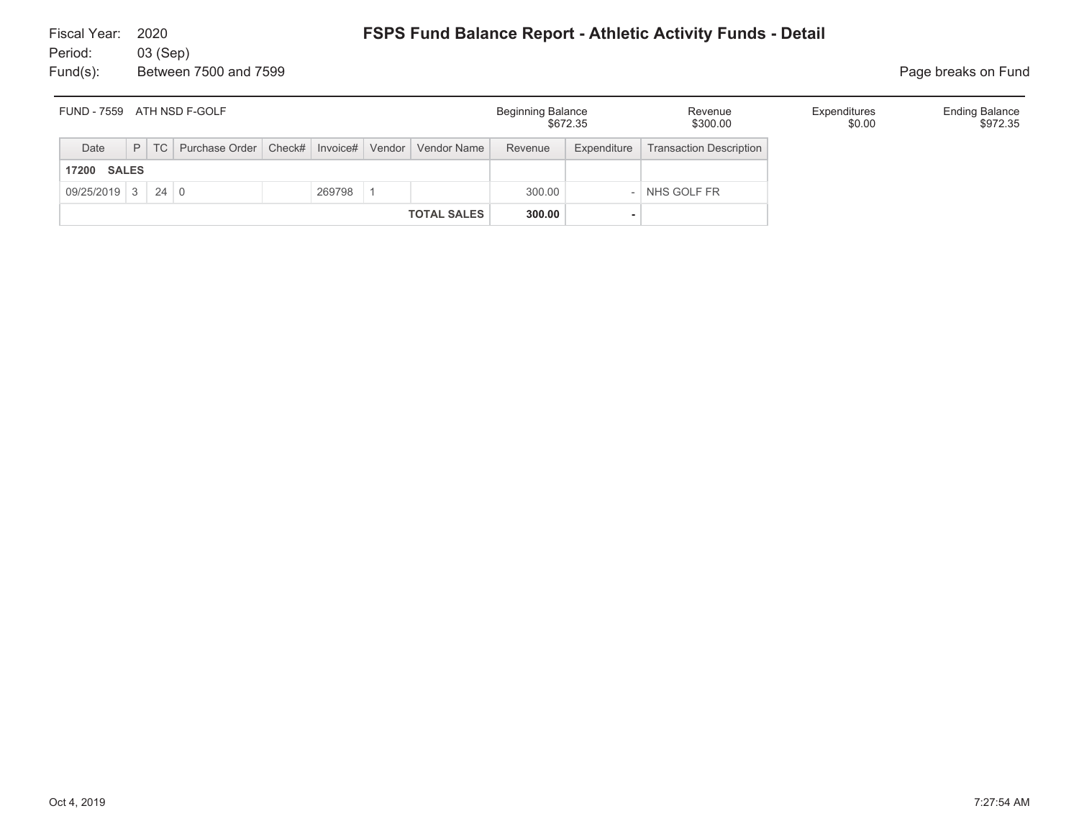| ATH NSD F-GOLF<br>FUND - 7559 |  |  |                                                                    |  |        |  |                    | <b>Beginning Balance</b> | \$672.35    | Revenue<br>\$300.00     | Expenditures<br>\$0.00 | <b>Ending Balance</b><br>\$972.35 |
|-------------------------------|--|--|--------------------------------------------------------------------|--|--------|--|--------------------|--------------------------|-------------|-------------------------|------------------------|-----------------------------------|
| Date                          |  |  | P   TC   Purchase Order   Check#   Invoice#   Vendor   Vendor Name |  |        |  |                    | Revenue                  | Expenditure | Transaction Description |                        |                                   |
| <b>SALES</b><br>17200         |  |  |                                                                    |  |        |  |                    |                          |             |                         |                        |                                   |
| 09/25/2019 3 24 0             |  |  |                                                                    |  | 269798 |  |                    | 300.00                   |             | NHS GOLF FR             |                        |                                   |
|                               |  |  |                                                                    |  |        |  | <b>TOTAL SALES</b> | 300.00                   |             |                         |                        |                                   |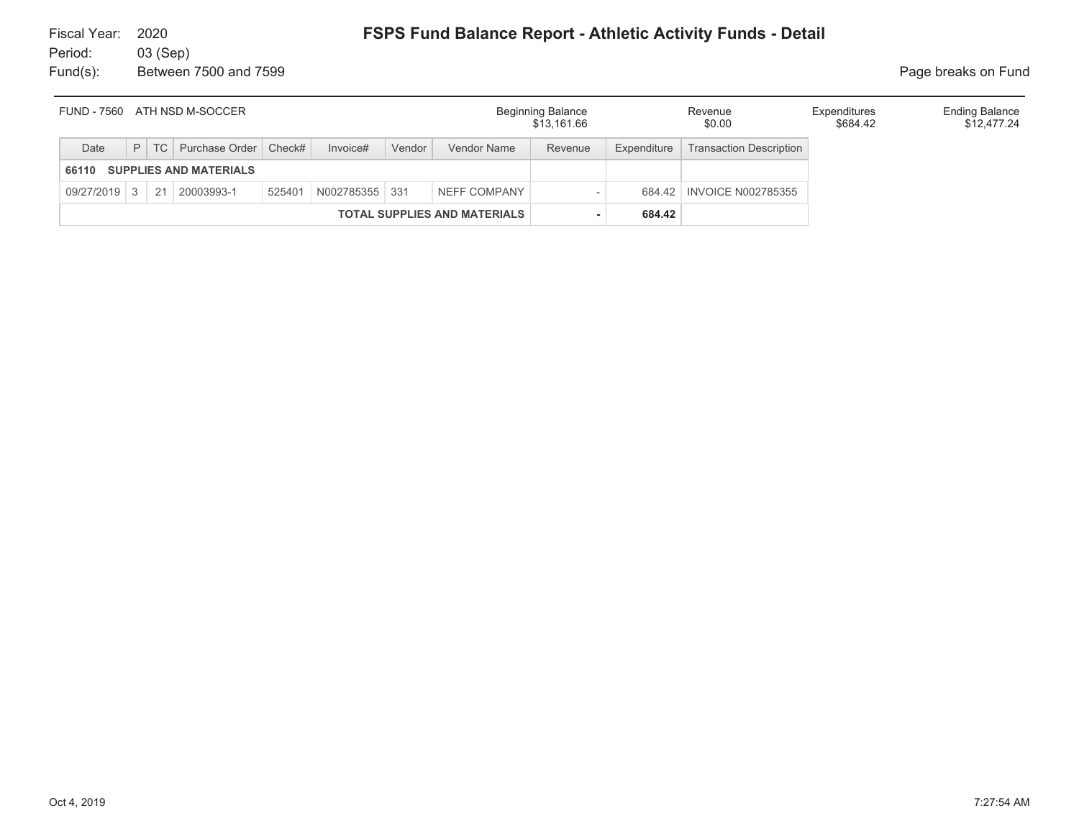| FUND - 7560                         |  |  | ATH NSD M-SOCCER                 |        |            |        |                    | <b>Beginning Balance</b><br>\$13,161.66 |             | Revenue<br>\$0.00              | Expenditures<br>\$684.42 | <b>Ending Balance</b><br>\$12,477.24 |
|-------------------------------------|--|--|----------------------------------|--------|------------|--------|--------------------|-----------------------------------------|-------------|--------------------------------|--------------------------|--------------------------------------|
| Date                                |  |  | P   TC   Purchase Order   Check# |        | Invoice#   | Vendor | <b>Vendor Name</b> | Revenue                                 | Expenditure | <b>Transaction Description</b> |                          |                                      |
| 66110                               |  |  | <b>SUPPLIES AND MATERIALS</b>    |        |            |        |                    |                                         |             |                                |                          |                                      |
| 09/27/2019 3                        |  |  | 21 20003993-1                    | 525401 | N002785355 | 331    | NEFF COMPANY       |                                         | 684.42      | <b>INVOICE N002785355</b>      |                          |                                      |
| <b>TOTAL SUPPLIES AND MATERIALS</b> |  |  |                                  |        |            |        |                    |                                         | 684.42      |                                |                          |                                      |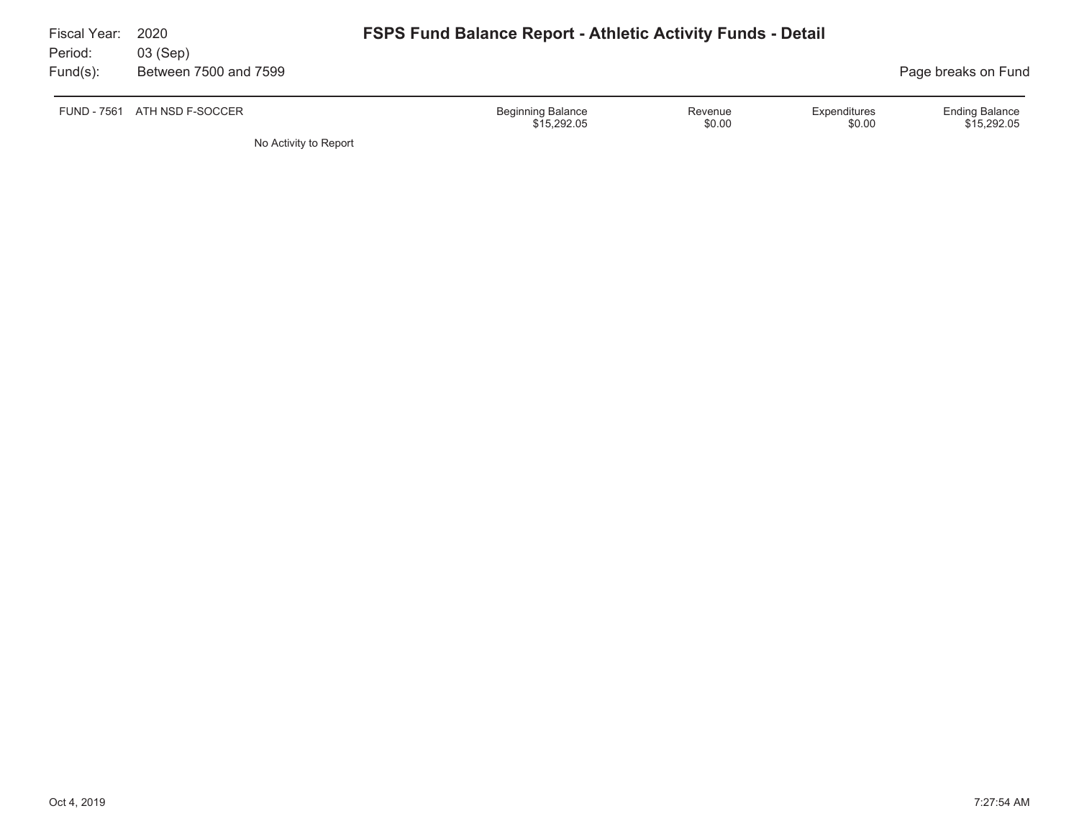| Fiscal Year:<br>Period: | 2020<br>03 (Sep)             | <b>FSPS Fund Balance Report - Athletic Activity Funds - Detail</b> |                   |                        |                                      |
|-------------------------|------------------------------|--------------------------------------------------------------------|-------------------|------------------------|--------------------------------------|
| $Fund(s)$ :             | Between 7500 and 7599        |                                                                    |                   |                        | Page breaks on Fund                  |
|                         | FUND - 7561 ATH NSD F-SOCCER | <b>Beginning Balance</b><br>\$15,292.05                            | Revenue<br>\$0.00 | Expenditures<br>\$0.00 | <b>Ending Balance</b><br>\$15,292.05 |

No Activity to Report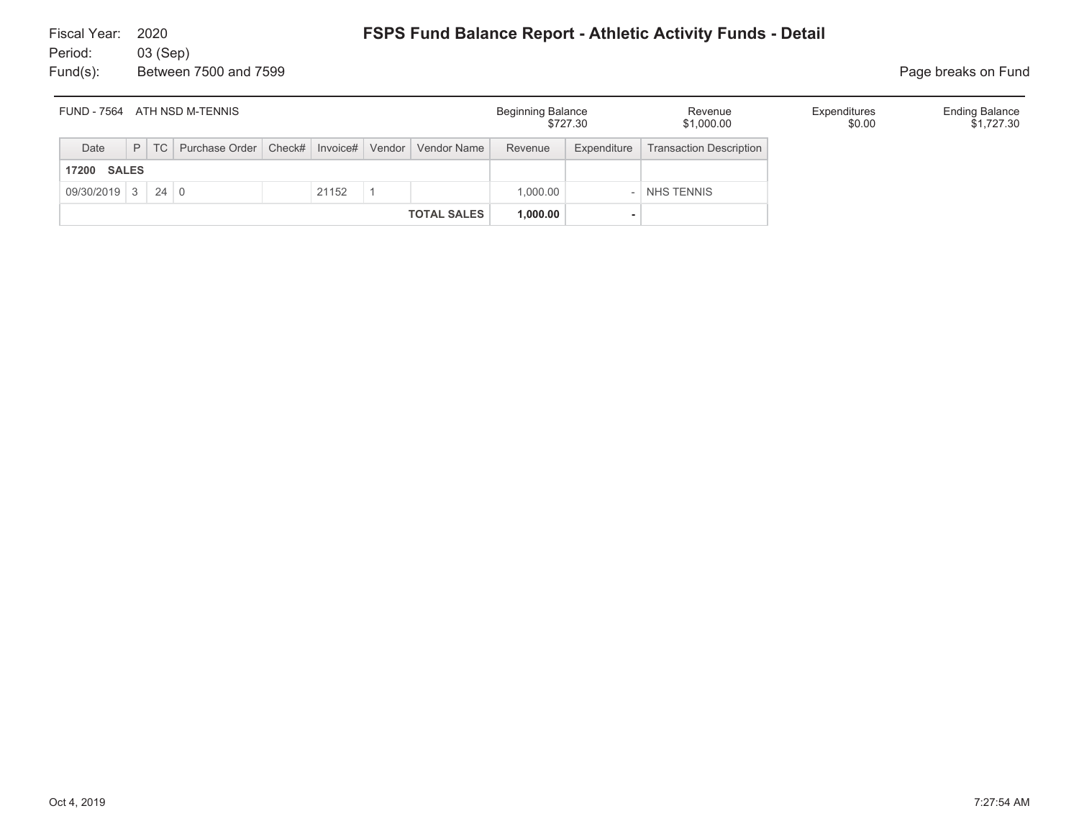| ATH NSD M-TENNIS<br><b>FUND - 7564</b> |  |  |                                                                    |  |       |  |                    | Beginning Balance | \$727.30    | Revenue<br>\$1,000.00          | Expenditures<br>\$0.00 | <b>Ending Balance</b><br>\$1,727.30 |
|----------------------------------------|--|--|--------------------------------------------------------------------|--|-------|--|--------------------|-------------------|-------------|--------------------------------|------------------------|-------------------------------------|
| Date                                   |  |  | P   TC   Purchase Order   Check#   Invoice#   Vendor   Vendor Name |  |       |  |                    | Revenue           | Expenditure | <b>Transaction Description</b> |                        |                                     |
| <b>17200 SALES</b>                     |  |  |                                                                    |  |       |  |                    |                   |             |                                |                        |                                     |
| $09/30/2019$ 3 24 0                    |  |  |                                                                    |  | 21152 |  |                    | 1.000.00          |             | NHS TENNIS                     |                        |                                     |
|                                        |  |  |                                                                    |  |       |  | <b>TOTAL SALES</b> | 1,000.00          |             |                                |                        |                                     |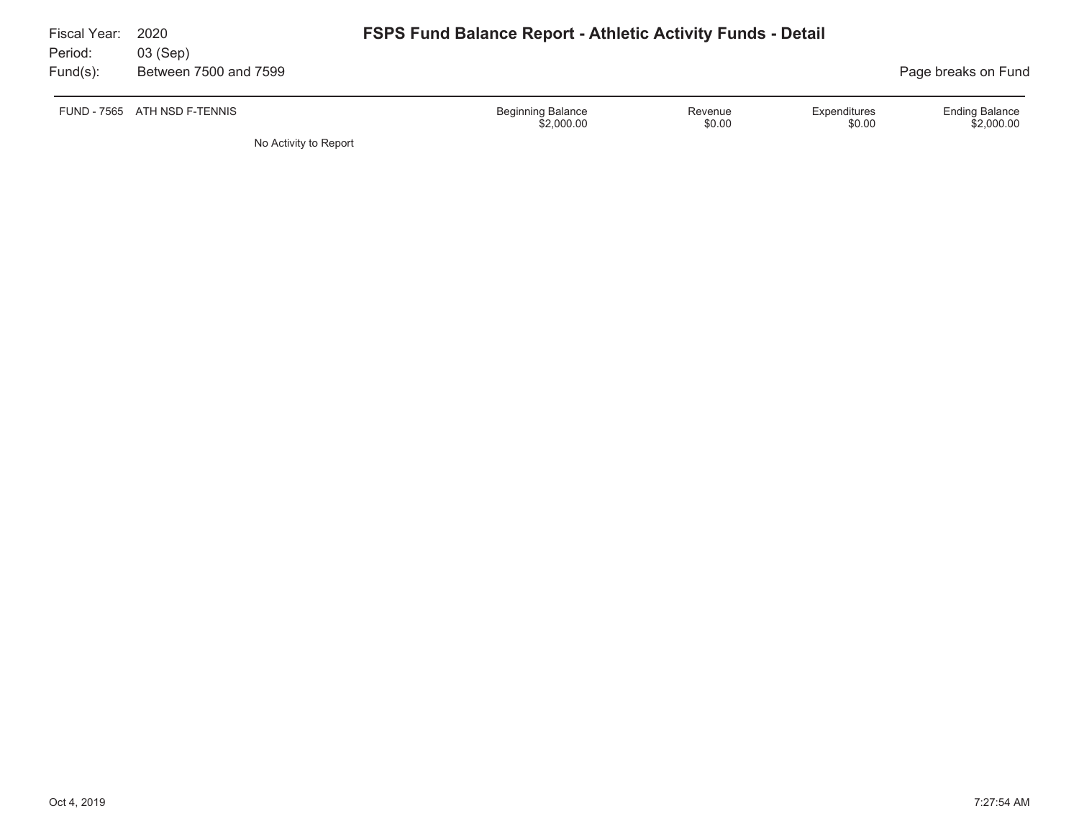| Fiscal Year:<br>Period: | 2020<br>03 (Sep)             | <b>FSPS Fund Balance Report - Athletic Activity Funds - Detail</b>                    |                                     |
|-------------------------|------------------------------|---------------------------------------------------------------------------------------|-------------------------------------|
| $Fund(s)$ :             | Between 7500 and 7599        |                                                                                       | Page breaks on Fund                 |
|                         | FUND - 7565 ATH NSD F-TENNIS | <b>Beginning Balance</b><br>Expenditures<br>Revenue<br>\$2,000.00<br>\$0.00<br>\$0.00 | <b>Ending Balance</b><br>\$2,000.00 |
|                         | No Activity to Report        |                                                                                       |                                     |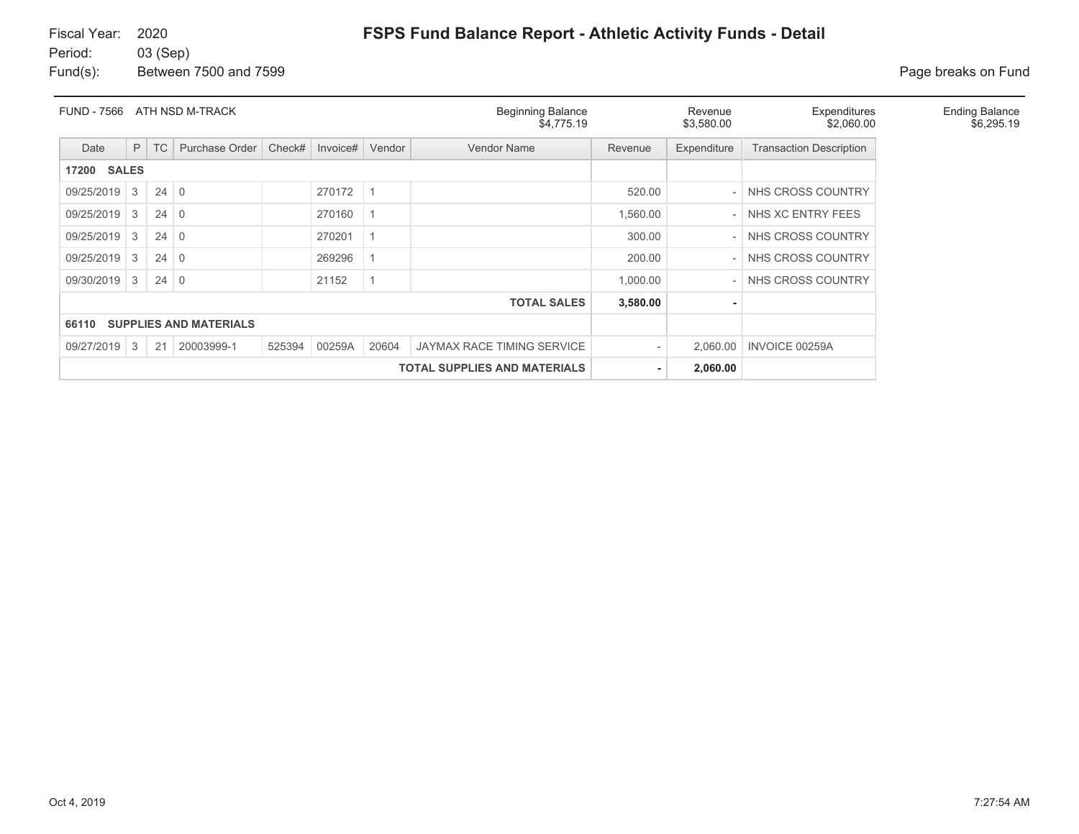## **FSPS Fund Balance Report - Athletic Activity Funds - Detail**

Fund(s): Between 7500 and 7599 **Page breaks on Fund** 

| <b>FUND - 7566</b>                              |              |             | ATH NSD M-TRACK               |        |                            |                   | <b>Beginning Balance</b><br>\$4,775.19 | Revenue<br>\$3,580.00 | Expenditures<br>\$2,060.00     |                   |  |
|-------------------------------------------------|--------------|-------------|-------------------------------|--------|----------------------------|-------------------|----------------------------------------|-----------------------|--------------------------------|-------------------|--|
| Date                                            | P            | TC          | Purchase Order                | Check# | Invoice#                   | Vendor Name       | Revenue                                | Expenditure           | <b>Transaction Description</b> |                   |  |
| 17200                                           | <b>SALES</b> |             |                               |        |                            |                   |                                        |                       |                                |                   |  |
| 09/25/2019                                      | 3            | $24 \mid 0$ |                               | 520.00 |                            | NHS CROSS COUNTRY |                                        |                       |                                |                   |  |
| 09/25/2019                                      | 3            | $24 \mid 0$ |                               |        | 270160                     |                   |                                        | 1,560.00              |                                | NHS XC ENTRY FEES |  |
| 09/25/2019                                      | 3            | $24 \mid 0$ |                               |        | 270201                     |                   |                                        | 300.00                |                                | NHS CROSS COUNTRY |  |
| 09/25/2019                                      | 3            | $24 \mid 0$ |                               |        | 269296                     |                   |                                        | 200.00                |                                | NHS CROSS COUNTRY |  |
| 09/30/2019                                      | 3            | $24 \mid 0$ |                               |        | 21152                      |                   |                                        | 1,000.00              |                                | NHS CROSS COUNTRY |  |
|                                                 |              |             |                               |        |                            |                   | <b>TOTAL SALES</b>                     | 3,580.00              | ۰                              |                   |  |
| 66110                                           |              |             | <b>SUPPLIES AND MATERIALS</b> |        |                            |                   |                                        |                       |                                |                   |  |
| 09/27/2019                                      | 3            | 21          | 20003999-1                    | 525394 | JAYMAX RACE TIMING SERVICE |                   | 2.060.00                               | <b>INVOICE 00259A</b> |                                |                   |  |
| <b>TOTAL SUPPLIES AND MATERIALS</b><br>2,060.00 |              |             |                               |        |                            |                   |                                        |                       |                                |                   |  |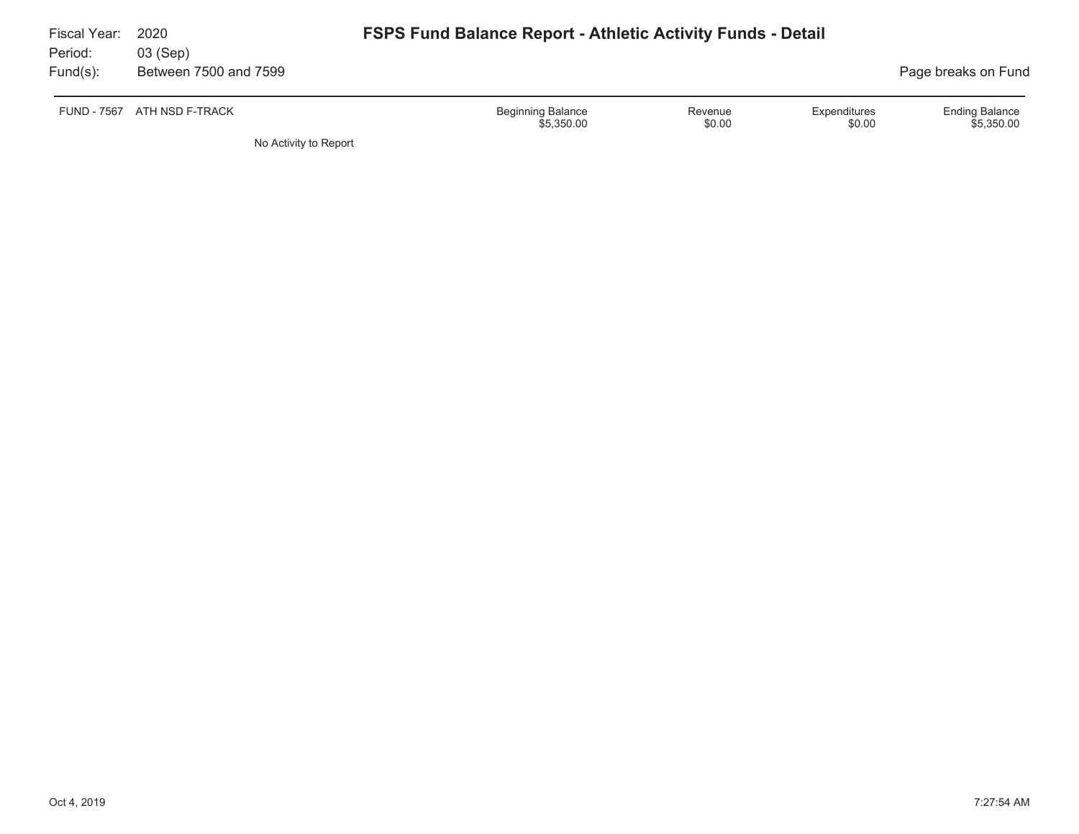| Fiscal Year:<br>Period: | 2020<br>03 (Sep)            | <b>FSPS Fund Balance Report - Athletic Activity Funds - Detail</b> |                   |                        |                                     |
|-------------------------|-----------------------------|--------------------------------------------------------------------|-------------------|------------------------|-------------------------------------|
| Fund(s):                | Between 7500 and 7599       |                                                                    |                   |                        | Page breaks on Fund                 |
|                         | FUND - 7567 ATH NSD F-TRACK | <b>Beginning Balance</b><br>\$5,350,00                             | Revenue<br>\$0.00 | Expenditures<br>\$0.00 | <b>Ending Balance</b><br>\$5,350.00 |

No Activity to Report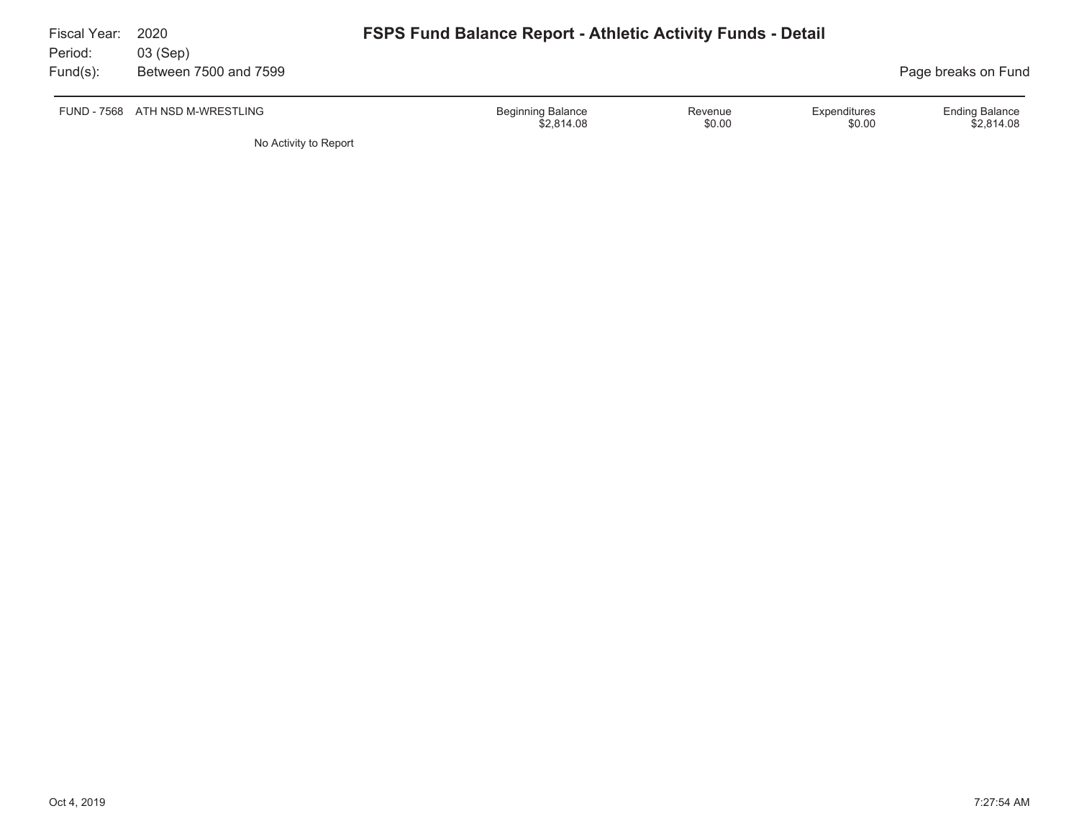| Fiscal Year:<br>Period: | 2020<br>03 (Sep)                | <b>FSPS Fund Balance Report - Athletic Activity Funds - Detail</b> |                   |                        |                                     |
|-------------------------|---------------------------------|--------------------------------------------------------------------|-------------------|------------------------|-------------------------------------|
| Fund(s):                | Between 7500 and 7599           |                                                                    |                   |                        | Page breaks on Fund                 |
|                         | FUND - 7568 ATH NSD M-WRESTLING | <b>Beginning Balance</b><br>\$2,814.08                             | Revenue<br>\$0.00 | Expenditures<br>\$0.00 | <b>Ending Balance</b><br>\$2.814.08 |

No Activity to Report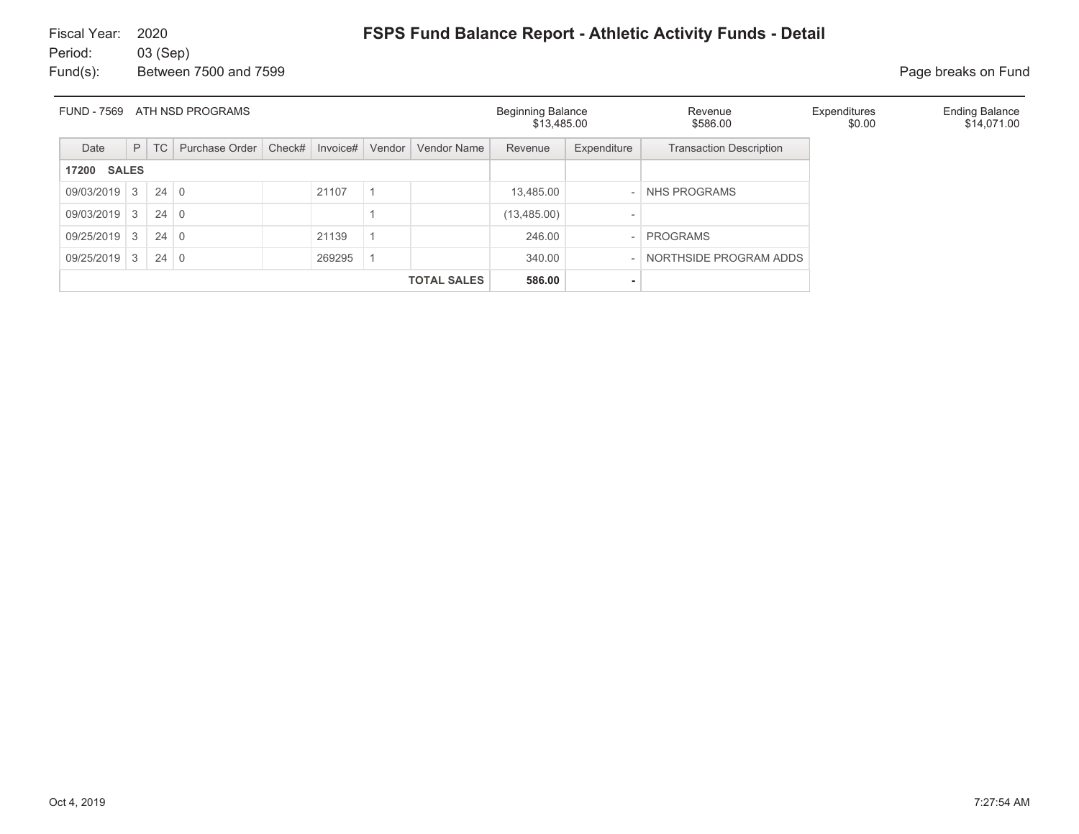| <b>FUND - 7569</b><br>ATH NSD PROGRAMS |                |             |                |        |                 |  |                    | <b>Beginning Balance</b><br>\$13,485.00 |                              | Revenue<br>\$586.00            | Expenditures<br>\$0.00 | <b>Ending Balance</b><br>\$14,071.00 |
|----------------------------------------|----------------|-------------|----------------|--------|-----------------|--|--------------------|-----------------------------------------|------------------------------|--------------------------------|------------------------|--------------------------------------|
| Date                                   | P              | <b>TC</b>   | Purchase Order | Check# | Invoice# Vendor |  | Vendor Name        | Revenue                                 | Expenditure                  | <b>Transaction Description</b> |                        |                                      |
| <b>SALES</b><br>17200                  |                |             |                |        |                 |  |                    |                                         |                              |                                |                        |                                      |
| 09/03/2019                             | 13             | $24 \mid 0$ |                |        | 21107           |  |                    | 13.485.00                               |                              | <b>NHS PROGRAMS</b>            |                        |                                      |
| 09/03/2019                             | 3              | $24 \mid 0$ |                |        |                 |  |                    | (13, 485.00)                            | $\qquad \qquad \blacksquare$ |                                |                        |                                      |
| 09/25/2019                             | $\mathcal{E}$  | $24 \mid 0$ |                |        | 21139           |  |                    | 246.00                                  |                              | <b>PROGRAMS</b>                |                        |                                      |
| 09/25/2019                             | 3 <sup>1</sup> | $24 \mid 0$ |                |        | 269295          |  |                    | 340.00                                  |                              | NORTHSIDE PROGRAM ADDS         |                        |                                      |
|                                        |                |             |                |        |                 |  | <b>TOTAL SALES</b> | 586.00                                  | ۰                            |                                |                        |                                      |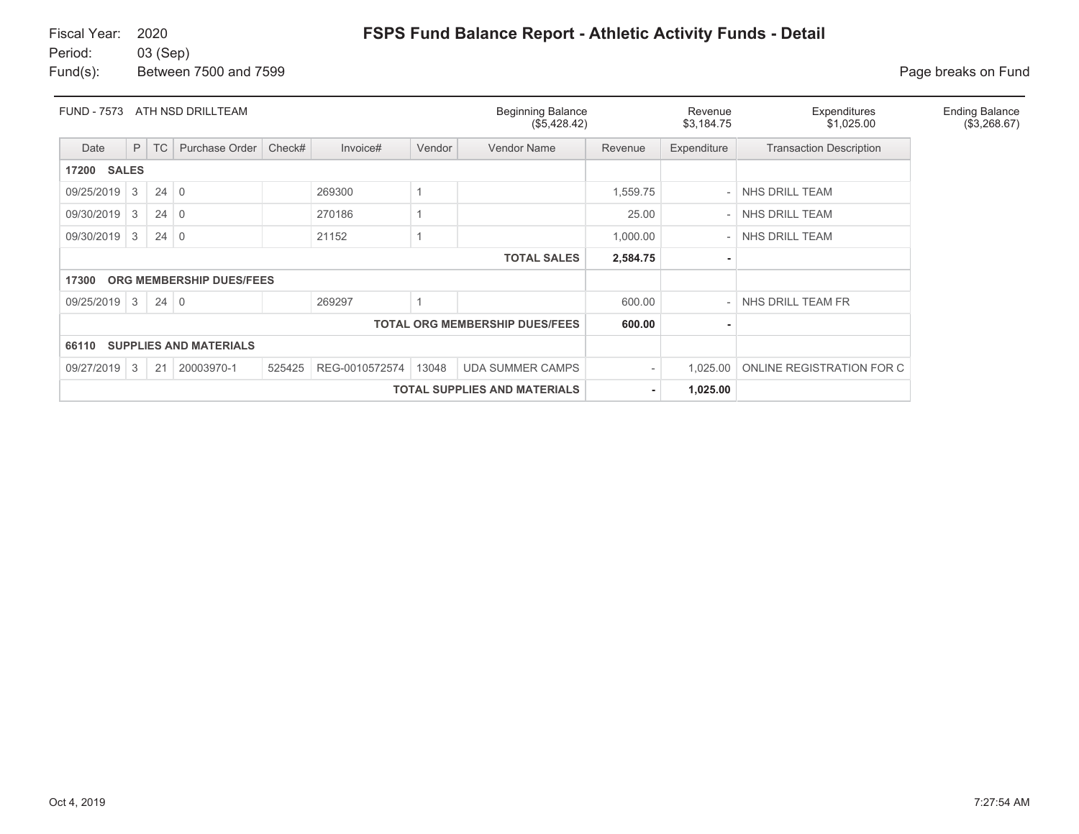Fund(s): Between 7500 and 7599 **Page breaks** on Fund

| <b>FUND - 7573</b>                                                     |   |             | ATH NSD DRILLTEAM               |        |                |        | <b>Beginning Balance</b><br>(\$5,428.42) |                | Revenue<br>\$3,184.75 | Expenditures<br>\$1,025.00     | <b>Ending Balance</b><br>(\$3,268.67) |  |
|------------------------------------------------------------------------|---|-------------|---------------------------------|--------|----------------|--------|------------------------------------------|----------------|-----------------------|--------------------------------|---------------------------------------|--|
| Date                                                                   | P | TC          | Purchase Order                  | Check# | Invoice#       | Vendor | Vendor Name                              | Revenue        | Expenditure           | <b>Transaction Description</b> |                                       |  |
| <b>17200 SALES</b>                                                     |   |             |                                 |        |                |        |                                          |                |                       |                                |                                       |  |
| $24 \mid 0$<br>3<br>1,559.75<br>NHS DRILL TEAM<br>09/25/2019<br>269300 |   |             |                                 |        |                |        |                                          |                |                       |                                |                                       |  |
| 09/30/2019                                                             | 3 | 24          | $\overline{0}$                  |        | 270186         | 25.00  |                                          | NHS DRILL TEAM |                       |                                |                                       |  |
| 09/30/2019                                                             | 3 | $24 \mid 0$ |                                 |        | 21152          |        |                                          | 1,000.00       |                       | NHS DRILL TEAM                 |                                       |  |
|                                                                        |   |             |                                 |        |                |        | <b>TOTAL SALES</b>                       | 2,584.75       |                       |                                |                                       |  |
| 17300                                                                  |   |             | <b>ORG MEMBERSHIP DUES/FEES</b> |        |                |        |                                          |                |                       |                                |                                       |  |
| 09/25/2019                                                             | 3 | $24 \mid 0$ |                                 |        | 269297         |        |                                          | 600.00         |                       | NHS DRILL TEAM FR              |                                       |  |
|                                                                        |   |             |                                 |        |                |        | <b>TOTAL ORG MEMBERSHIP DUES/FEES</b>    | 600.00         |                       |                                |                                       |  |
| <b>SUPPLIES AND MATERIALS</b><br>66110                                 |   |             |                                 |        |                |        |                                          |                |                       |                                |                                       |  |
| 09/27/2019                                                             | 3 | 21          | 20003970-1                      | 525425 | REG-0010572574 | 13048  | <b>UDA SUMMER CAMPS</b>                  |                | 1,025.00              | ONLINE REGISTRATION FOR C      |                                       |  |
|                                                                        |   |             |                                 |        |                |        | <b>TOTAL SUPPLIES AND MATERIALS</b>      | ٠.             | 1,025.00              |                                |                                       |  |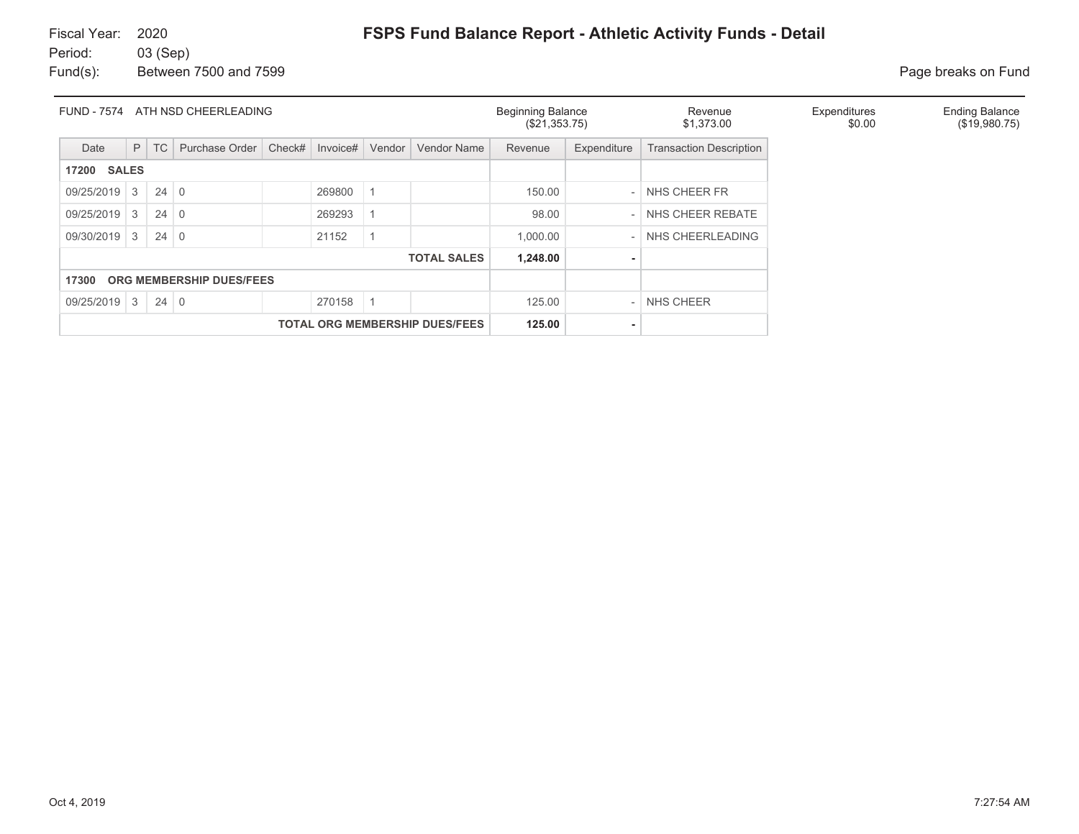Fund(s): Between 7500 and 7599 **Page breaks on Fund** 

| ATH NSD CHEERLEADING<br><b>FUND - 7574</b> |           |             |                |        |          |        |                                       | <b>Beginning Balance</b><br>(\$21,353.75) |             | Revenue<br>\$1,373.00          | Expenditures<br>\$0.00 | <b>Ending Balance</b><br>(\$19,980.75) |
|--------------------------------------------|-----------|-------------|----------------|--------|----------|--------|---------------------------------------|-------------------------------------------|-------------|--------------------------------|------------------------|----------------------------------------|
| Date                                       | P         | <b>TC</b>   | Purchase Order | Check# | Invoice# | Vendor | <b>Vendor Name</b>                    | Revenue                                   | Expenditure | <b>Transaction Description</b> |                        |                                        |
| <b>SALES</b><br>17200                      |           |             |                |        |          |        |                                       |                                           |             |                                |                        |                                        |
| $09/25/2019$ 3                             |           | $24 \mid 0$ |                |        | 269800   |        |                                       | 150.00                                    |             | NHS CHEER FR                   |                        |                                        |
| 09/25/2019                                 | 3         | 24          | $\overline{0}$ |        | 269293   |        |                                       | 98.00                                     |             | NHS CHEER REBATE               |                        |                                        |
| 09/30/2019                                 | $4 + 3 +$ | $24 \mid 0$ |                |        | 21152    |        |                                       | 1,000.00                                  |             | NHS CHEERLEADING               |                        |                                        |
|                                            |           |             |                |        |          |        | <b>TOTAL SALES</b>                    | 1,248.00                                  |             |                                |                        |                                        |
| ORG MEMBERSHIP DUES/FEES<br>17300          |           |             |                |        |          |        |                                       |                                           |             |                                |                        |                                        |
| 09/25/2019 3                               |           | $24 \mid 0$ |                |        | 270158   |        |                                       | 125.00                                    |             | NHS CHEER                      |                        |                                        |
|                                            |           |             |                |        |          |        | <b>TOTAL ORG MEMBERSHIP DUES/FEES</b> | 125.00                                    |             |                                |                        |                                        |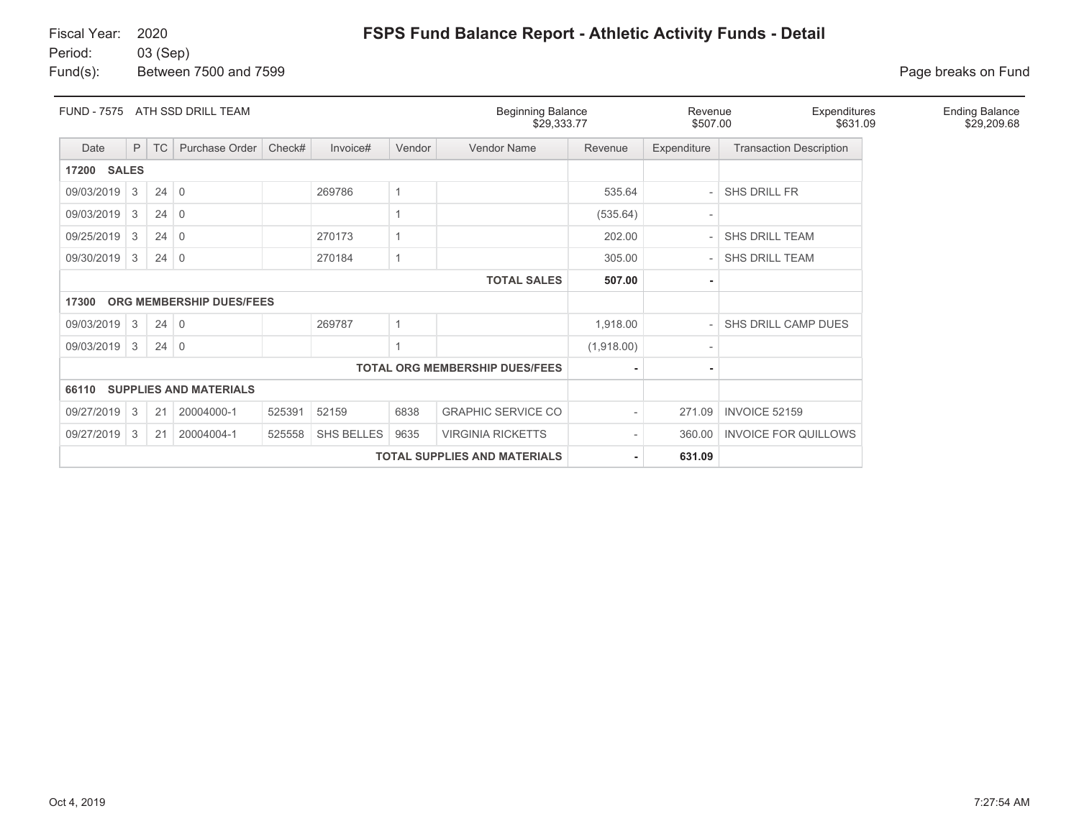## Fiscal Year: 2020

**FSPS Fund Balance Report - Athletic Activity Funds - Detail**

Period: 03 (Sep) Fund(s): Between 7500 and 7599 **Page breaks on Fund** 

| <b>FUND - 7575</b><br>ATH SSD DRILL TEAM                                                        |                |             |                               |        |          |        | <b>Beginning Balance</b><br>\$29,333.77 |            | Expenditures<br>Revenue<br>\$507.00<br>\$631.09 |                                | <b>Ending Balance</b><br>\$29,209.68 |
|-------------------------------------------------------------------------------------------------|----------------|-------------|-------------------------------|--------|----------|--------|-----------------------------------------|------------|-------------------------------------------------|--------------------------------|--------------------------------------|
| Date                                                                                            | P              | <b>TC</b>   | Purchase Order                | Check# | Invoice# | Vendor | Vendor Name                             | Revenue    | Expenditure                                     | <b>Transaction Description</b> |                                      |
| <b>17200 SALES</b>                                                                              |                |             |                               |        |          |        |                                         |            |                                                 |                                |                                      |
| 09/03/2019                                                                                      | 3              | 24          | $\mathbf 0$                   |        | 269786   | 1      |                                         | 535.64     |                                                 | <b>SHS DRILL FR</b>            |                                      |
| 09/03/2019                                                                                      | 3              | 24          | $\Omega$                      |        |          |        |                                         | (535.64)   | $\overline{\phantom{a}}$                        |                                |                                      |
| 09/25/2019                                                                                      | -3             | 24          | $\overline{0}$                |        | 270173   |        |                                         | 202.00     |                                                 | <b>SHS DRILL TEAM</b>          |                                      |
| 09/30/2019                                                                                      | 3              | 24          | $\mathbf 0$                   |        | 270184   | 1      |                                         | 305.00     |                                                 | SHS DRILL TEAM                 |                                      |
|                                                                                                 |                |             |                               |        |          |        | <b>TOTAL SALES</b>                      | 507.00     | ٠                                               |                                |                                      |
| 17300                                                                                           |                |             | ORG MEMBERSHIP DUES/FEES      |        |          |        |                                         |            |                                                 |                                |                                      |
| 09/03/2019                                                                                      | $\overline{3}$ | $24 \mid 0$ |                               |        | 269787   |        |                                         | 1,918.00   |                                                 | SHS DRILL CAMP DUES            |                                      |
| 09/03/2019                                                                                      | $\overline{3}$ | 24          | $\overline{0}$                |        |          |        |                                         | (1,918.00) |                                                 |                                |                                      |
|                                                                                                 |                |             |                               |        |          |        | <b>TOTAL ORG MEMBERSHIP DUES/FEES</b>   |            |                                                 |                                |                                      |
| 66110                                                                                           |                |             | <b>SUPPLIES AND MATERIALS</b> |        |          |        |                                         |            |                                                 |                                |                                      |
| <b>GRAPHIC SERVICE CO</b><br>09/27/2019<br>525391<br>52159<br>6838<br>3<br>20004000-1<br>21     |                |             |                               |        |          |        |                                         |            | 271.09                                          | INVOICE 52159                  |                                      |
| 09/27/2019<br>SHS BELLES<br>9635<br><b>VIRGINIA RICKETTS</b><br>3<br>20004004-1<br>525558<br>21 |                |             |                               |        |          |        |                                         |            | 360.00                                          | <b>INVOICE FOR QUILLOWS</b>    |                                      |
|                                                                                                 |                |             |                               |        | 631.09   |        |                                         |            |                                                 |                                |                                      |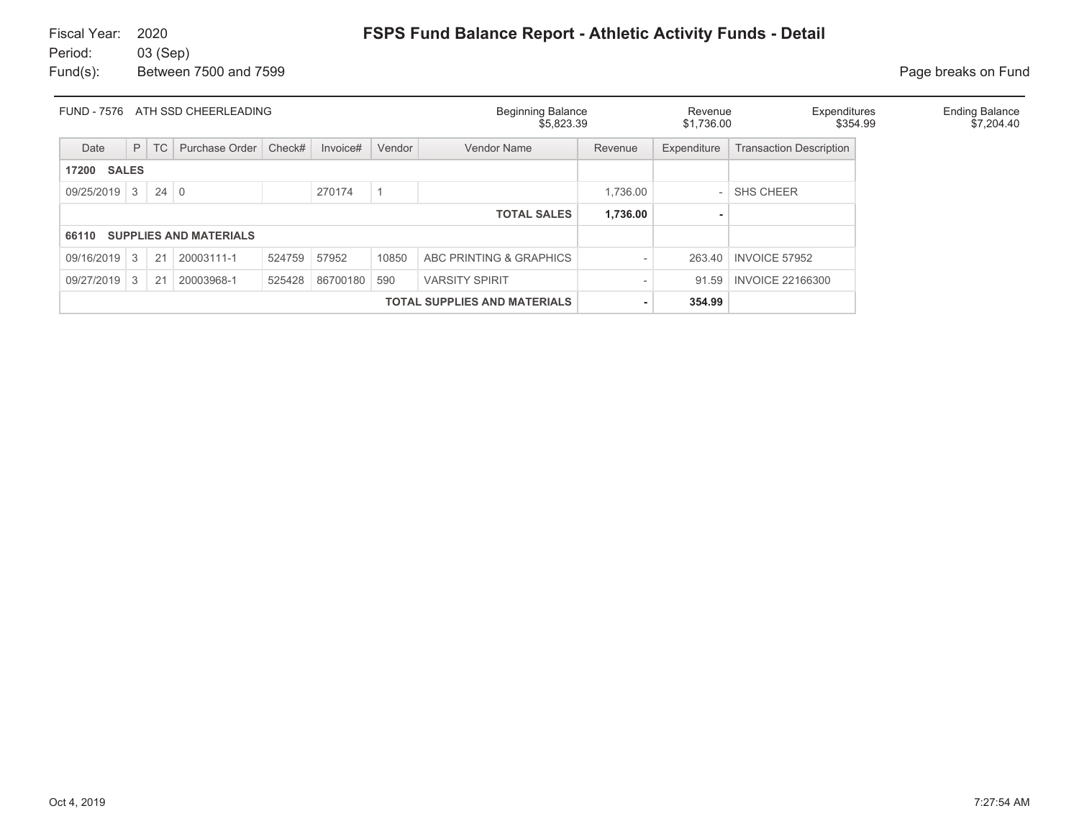| <b>FUND - 7576</b><br>ATH SSD CHEERLEADING |   |             |                               |        |          |                                     | <b>Beginning Balance</b><br>\$5.823.39 |          | Expenditures<br>Revenue<br>\$1,736.00 |                                | \$354.99 | <b>Ending Balance</b><br>\$7,204.40 |
|--------------------------------------------|---|-------------|-------------------------------|--------|----------|-------------------------------------|----------------------------------------|----------|---------------------------------------|--------------------------------|----------|-------------------------------------|
| Date                                       | P | <b>TC</b>   | Purchase Order                | Check# | Invoice# | Vendor                              | <b>Vendor Name</b>                     | Revenue  | Expenditure                           | <b>Transaction Description</b> |          |                                     |
| <b>SALES</b><br>17200                      |   |             |                               |        |          |                                     |                                        |          |                                       |                                |          |                                     |
| 09/25/2019 3                               |   | $24 \mid 0$ |                               |        | 270174   |                                     |                                        | 1,736.00 |                                       | <b>SHS CHEER</b>               |          |                                     |
| 1,736.00<br><b>TOTAL SALES</b>             |   |             |                               |        |          |                                     |                                        |          |                                       |                                |          |                                     |
| 66110                                      |   |             | <b>SUPPLIES AND MATERIALS</b> |        |          |                                     |                                        |          |                                       |                                |          |                                     |
| 09/16/2019                                 | 3 | 21          | 20003111-1                    | 524759 | 57952    | 10850                               | ABC PRINTING & GRAPHICS                |          | 263.40                                | INVOICE 57952                  |          |                                     |
| 09/27/2019                                 | 3 | 21          | 20003968-1                    | 525428 | 86700180 | 590                                 | <b>VARSITY SPIRIT</b>                  |          | 91.59                                 | <b>INVOICE 22166300</b>        |          |                                     |
|                                            |   |             |                               |        |          | <b>TOTAL SUPPLIES AND MATERIALS</b> |                                        | 354.99   |                                       |                                |          |                                     |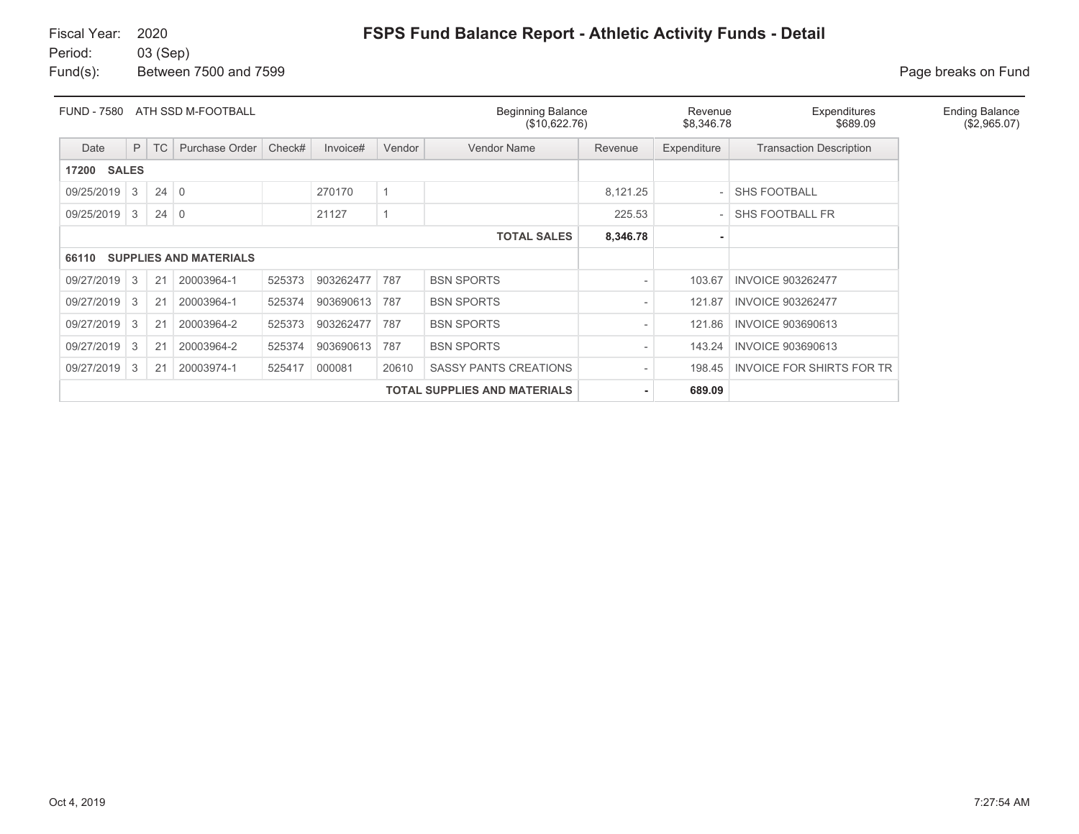# Fiscal Year: 2020

# **FSPS Fund Balance Report - Athletic Activity Funds - Detail**

Period: 03 (Sep) Fund(s): Between 7500 and 7599 **Page breaks** on Fund

| ATH SSD M-FOOTBALL<br><b>FUND - 7580</b> |                                                                          |             |                               |        |           | <b>Beginning Balance</b><br>(\$10,622.76) |                                     |          | Expenditures<br>Revenue<br>\$689.09<br>\$8,346.78 |                                  | <b>Ending Balance</b><br>(\$2,965.07) |
|------------------------------------------|--------------------------------------------------------------------------|-------------|-------------------------------|--------|-----------|-------------------------------------------|-------------------------------------|----------|---------------------------------------------------|----------------------------------|---------------------------------------|
| Date                                     | P                                                                        | <b>TC</b>   | Purchase Order                | Check# | Invoice#  | Vendor                                    | Vendor Name                         | Revenue  | Expenditure                                       | <b>Transaction Description</b>   |                                       |
| <b>SALES</b><br>17200                    |                                                                          |             |                               |        |           |                                           |                                     |          |                                                   |                                  |                                       |
| 09/25/2019                               | 3                                                                        | $24 \mid 0$ |                               |        | 270170    |                                           |                                     | 8,121.25 |                                                   | <b>SHS FOOTBALL</b>              |                                       |
| 09/25/2019                               | 3                                                                        | $24 \mid 0$ |                               |        | 21127     |                                           |                                     | 225.53   |                                                   | SHS FOOTBALL FR                  |                                       |
|                                          |                                                                          |             |                               |        |           |                                           | <b>TOTAL SALES</b>                  | 8,346.78 |                                                   |                                  |                                       |
| 66110                                    |                                                                          |             | <b>SUPPLIES AND MATERIALS</b> |        |           |                                           |                                     |          |                                                   |                                  |                                       |
| 09/27/2019                               | 3                                                                        | 21          | 20003964-1                    | 525373 | 903262477 | 787                                       | <b>BSN SPORTS</b>                   |          | 103.67                                            | <b>INVOICE 903262477</b>         |                                       |
| 09/27/2019                               | 3                                                                        | 21          | 20003964-1                    | 525374 | 903690613 | 787                                       | <b>BSN SPORTS</b>                   |          | 121.87                                            | <b>INVOICE 903262477</b>         |                                       |
| 09/27/2019                               | 20003964-2<br>525373<br>903262477<br><b>BSN SPORTS</b><br>3<br>21<br>787 |             |                               |        |           |                                           |                                     |          | 121.86                                            | <b>INVOICE 903690613</b>         |                                       |
| 09/27/2019                               | 20003964-2<br>525374<br>903690613<br>787<br><b>BSN SPORTS</b><br>3<br>21 |             |                               |        |           |                                           |                                     |          | 143.24                                            | <b>INVOICE 903690613</b>         |                                       |
| 09/27/2019                               | 3                                                                        | 21          | 20003974-1                    | 525417 | 000081    | 20610                                     | <b>SASSY PANTS CREATIONS</b>        |          | 198.45                                            | <b>INVOICE FOR SHIRTS FOR TR</b> |                                       |
|                                          |                                                                          |             |                               |        |           |                                           | <b>TOTAL SUPPLIES AND MATERIALS</b> |          | 689.09                                            |                                  |                                       |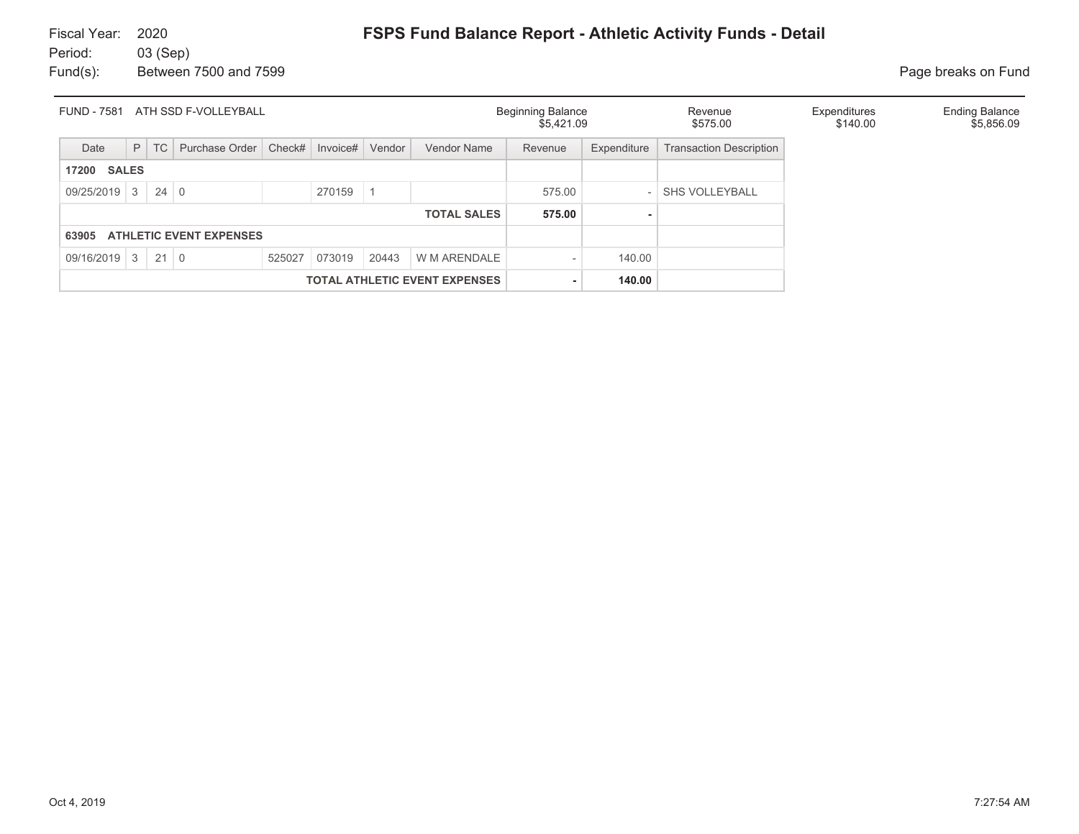| ATH SSD F-VOLLEYBALL<br><b>FUND - 7581</b> |                                |             |                |        |                 |       |                                      | <b>Beginning Balance</b><br>\$5,421.09 |                          | Revenue<br>\$575.00            | Expenditures<br>\$140.00 | <b>Ending Balance</b><br>\$5,856.09 |
|--------------------------------------------|--------------------------------|-------------|----------------|--------|-----------------|-------|--------------------------------------|----------------------------------------|--------------------------|--------------------------------|--------------------------|-------------------------------------|
| Date                                       | P                              | <b>TC</b>   | Purchase Order | Check# | Invoice# Vendor |       | Vendor Name                          | Revenue                                | Expenditure              | <b>Transaction Description</b> |                          |                                     |
| 17200                                      | <b>SALES</b>                   |             |                |        |                 |       |                                      |                                        |                          |                                |                          |                                     |
| $09/25/2019$ 3                             |                                | $24 \mid 0$ |                |        | 270159          |       |                                      | 575.00                                 | $\overline{\phantom{a}}$ | <b>SHS VOLLEYBALL</b>          |                          |                                     |
|                                            |                                |             |                |        |                 |       | <b>TOTAL SALES</b>                   | 575.00                                 |                          |                                |                          |                                     |
| 63905                                      | <b>ATHLETIC EVENT EXPENSES</b> |             |                |        |                 |       |                                      |                                        |                          |                                |                          |                                     |
| $09/16/2019$ 3                             |                                | $21 \mid 0$ |                | 525027 | 073019          | 20443 | W M ARENDALE                         |                                        | 140.00                   |                                |                          |                                     |
|                                            |                                |             |                |        |                 |       | <b>TOTAL ATHLETIC EVENT EXPENSES</b> |                                        | 140.00                   |                                |                          |                                     |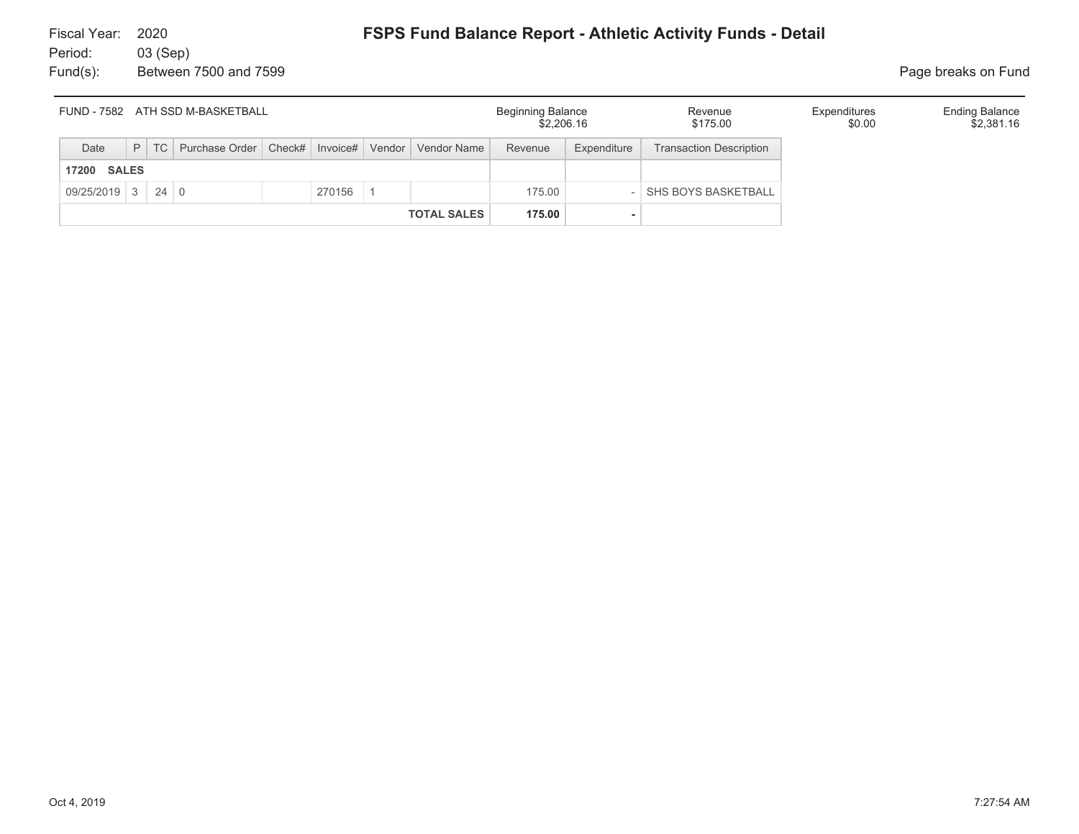| FUND - 7582 ATH SSD M-BASKETBALL |  |  |                                                                    |  |        |  |                    | <b>Beginning Balance</b><br>\$2,206.16 |             | Revenue<br>\$175.00            | Expenditures<br>\$0.00 | <b>Ending Balance</b><br>\$2,381.16 |
|----------------------------------|--|--|--------------------------------------------------------------------|--|--------|--|--------------------|----------------------------------------|-------------|--------------------------------|------------------------|-------------------------------------|
| Date                             |  |  | P   TC   Purchase Order   Check#   Invoice#   Vendor   Vendor Name |  |        |  |                    | Revenue                                | Expenditure | <b>Transaction Description</b> |                        |                                     |
| <b>SALES</b><br>17200            |  |  |                                                                    |  |        |  |                    |                                        |             |                                |                        |                                     |
| $09/25/2019$ 3 24 0              |  |  |                                                                    |  | 270156 |  |                    | 175.00                                 |             | <b>SHS BOYS BASKETBALL</b>     |                        |                                     |
|                                  |  |  |                                                                    |  |        |  | <b>TOTAL SALES</b> | 175.00                                 |             |                                |                        |                                     |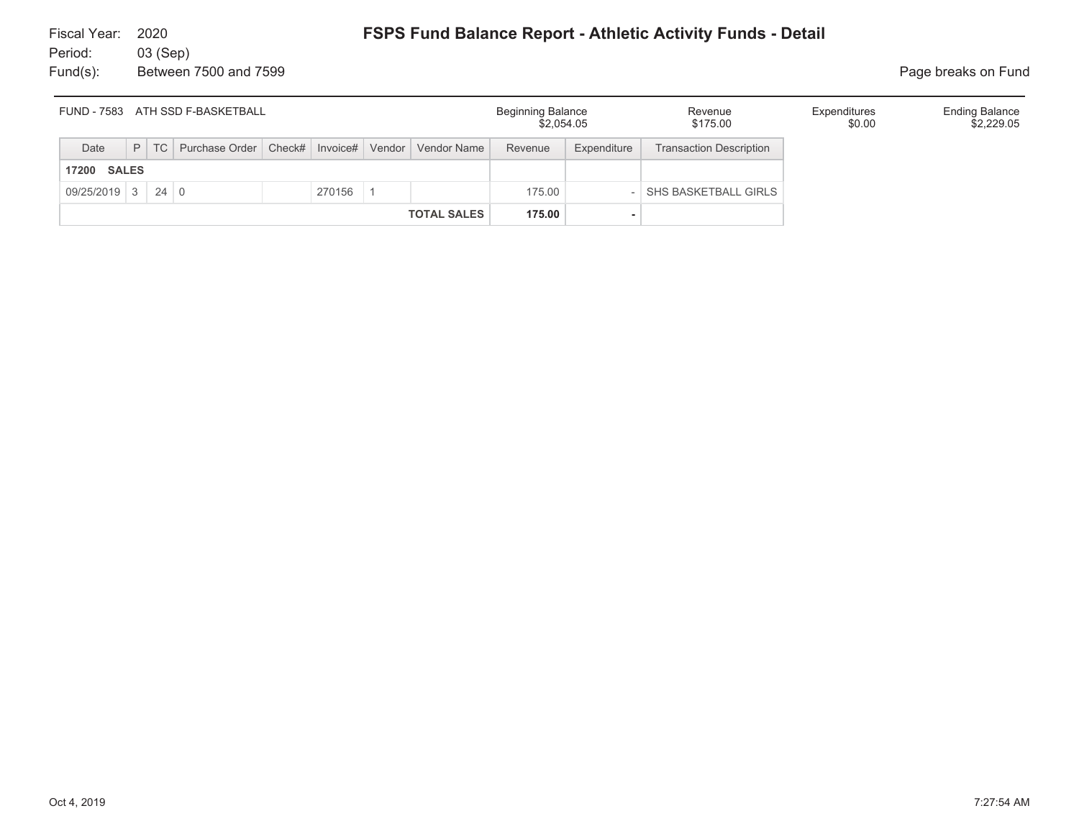| FUND - 7583 ATH SSD F-BASKETBALL |  |  |                                                                    |  |        |  |                    | Beginning Balance<br>\$2,054.05 |             | Revenue<br>\$175.00            | Expenditures<br>\$0.00 | <b>Ending Balance</b><br>\$2,229.05 |
|----------------------------------|--|--|--------------------------------------------------------------------|--|--------|--|--------------------|---------------------------------|-------------|--------------------------------|------------------------|-------------------------------------|
| Date                             |  |  | P   TC   Purchase Order   Check#   Invoice#   Vendor   Vendor Name |  |        |  |                    | Revenue                         | Expenditure | <b>Transaction Description</b> |                        |                                     |
| <b>SALES</b><br>17200            |  |  |                                                                    |  |        |  |                    |                                 |             |                                |                        |                                     |
| $09/25/2019$ 3 24 0              |  |  |                                                                    |  | 270156 |  |                    | 175.00                          |             | SHS BASKETBALL GIRLS           |                        |                                     |
|                                  |  |  |                                                                    |  |        |  | <b>TOTAL SALES</b> | 175.00                          |             |                                |                        |                                     |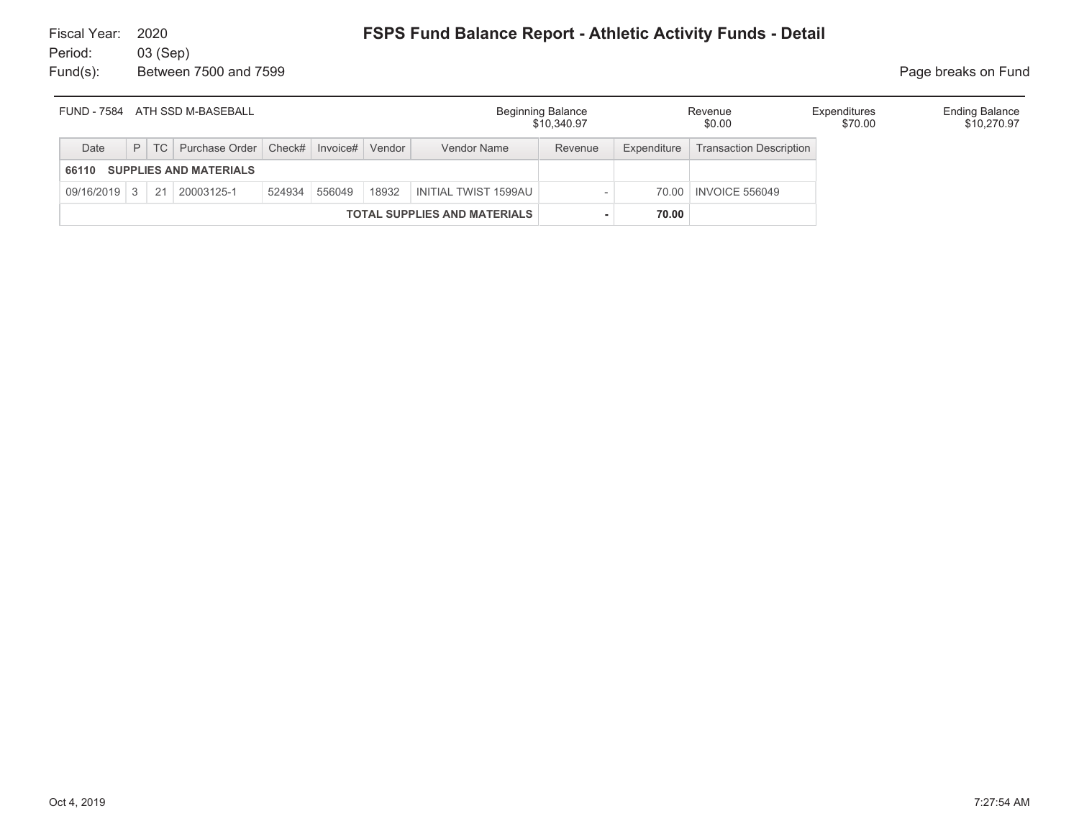| FUND - 7584  |  | ATH SSD M-BASEBALL               |        |          |        |                                     | <b>Beginning Balance</b><br>\$10,340.97 |             | Revenue<br>\$0.00              | Expenditures<br>\$70.00 | <b>Ending Balance</b><br>\$10,270.97 |
|--------------|--|----------------------------------|--------|----------|--------|-------------------------------------|-----------------------------------------|-------------|--------------------------------|-------------------------|--------------------------------------|
| Date         |  | P   TC   Purchase Order   Check# |        | Invoice# | Vendor | Vendor Name                         | Revenue                                 | Expenditure | <b>Transaction Description</b> |                         |                                      |
| 66110        |  | <b>SUPPLIES AND MATERIALS</b>    |        |          |        |                                     |                                         |             |                                |                         |                                      |
| 09/16/2019 3 |  | 21 20003125-1                    | 524934 | 556049   | 18932  | INITIAL TWIST 1599AU                |                                         |             | 70.00   INVOICE 556049         |                         |                                      |
|              |  |                                  |        |          |        | <b>TOTAL SUPPLIES AND MATERIALS</b> |                                         | 70.00       |                                |                         |                                      |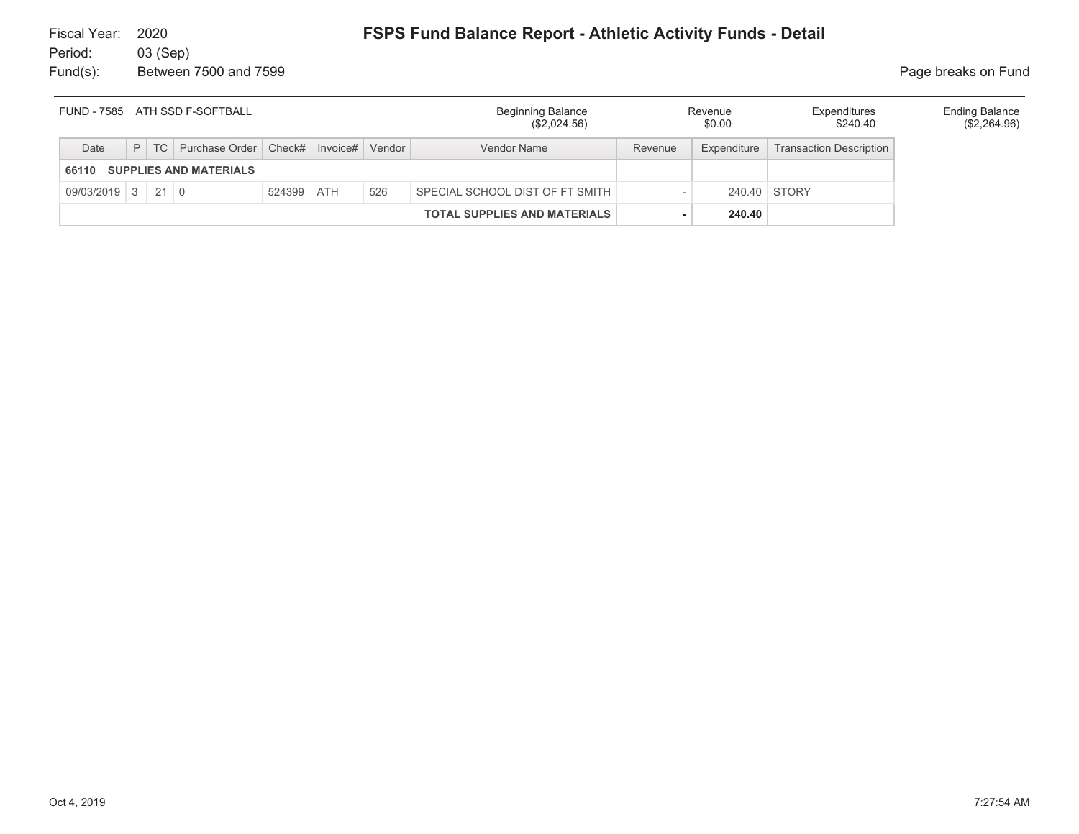| FUND - 7585 ATH SSD F-SOFTBALL |  |  |                                             |            |  |        | <b>Beginning Balance</b><br>(\$2,024.56) |         | Revenue<br>\$0.00 | Expenditures<br>\$240.40       | <b>Ending Balance</b><br>$(\$2,264.96)$ |
|--------------------------------|--|--|---------------------------------------------|------------|--|--------|------------------------------------------|---------|-------------------|--------------------------------|-----------------------------------------|
| Date                           |  |  | P   TC   Purchase Order   Check#   Invoice# |            |  | Vendor | Vendor Name                              | Revenue | Expenditure       | <b>Transaction Description</b> |                                         |
| 66110                          |  |  | <b>SUPPLIES AND MATERIALS</b>               |            |  |        |                                          |         |                   |                                |                                         |
| $09/03/2019$ 3 21 0            |  |  |                                             | 524399 ATH |  | 526    | SPECIAL SCHOOL DIST OF FT SMITH          |         |                   | 240.40 STORY                   |                                         |
|                                |  |  |                                             |            |  |        | <b>TOTAL SUPPLIES AND MATERIALS</b>      |         | 240.40            |                                |                                         |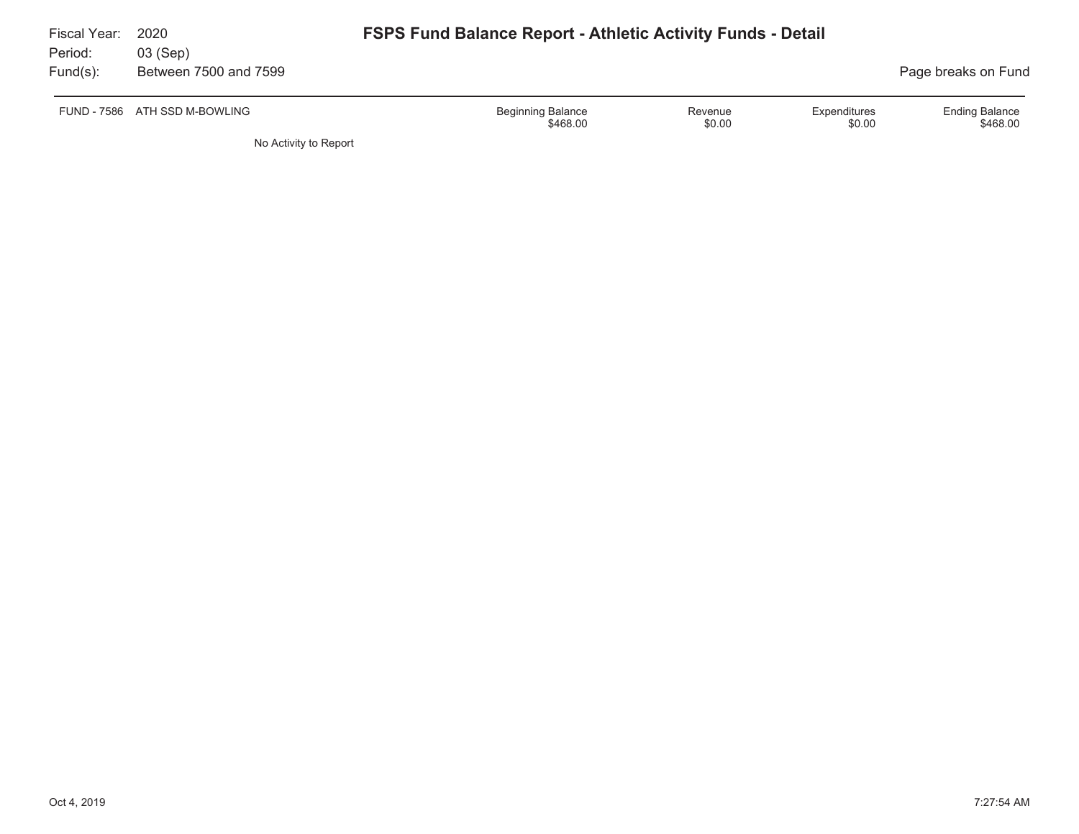| Fiscal Year:<br>Period: | 2020<br>03 (Sep)              | <b>FSPS Fund Balance Report - Athletic Activity Funds - Detail</b> |                                                             |
|-------------------------|-------------------------------|--------------------------------------------------------------------|-------------------------------------------------------------|
| $Fund(s)$ :             | Between 7500 and 7599         |                                                                    | Page breaks on Fund                                         |
|                         | FUND - 7586 ATH SSD M-BOWLING | <b>Beginning Balance</b><br>Revenue<br>\$0.00<br>\$468.00          | <b>Ending Balance</b><br>Expenditures<br>\$468.00<br>\$0.00 |
|                         | No Activity to Report         |                                                                    |                                                             |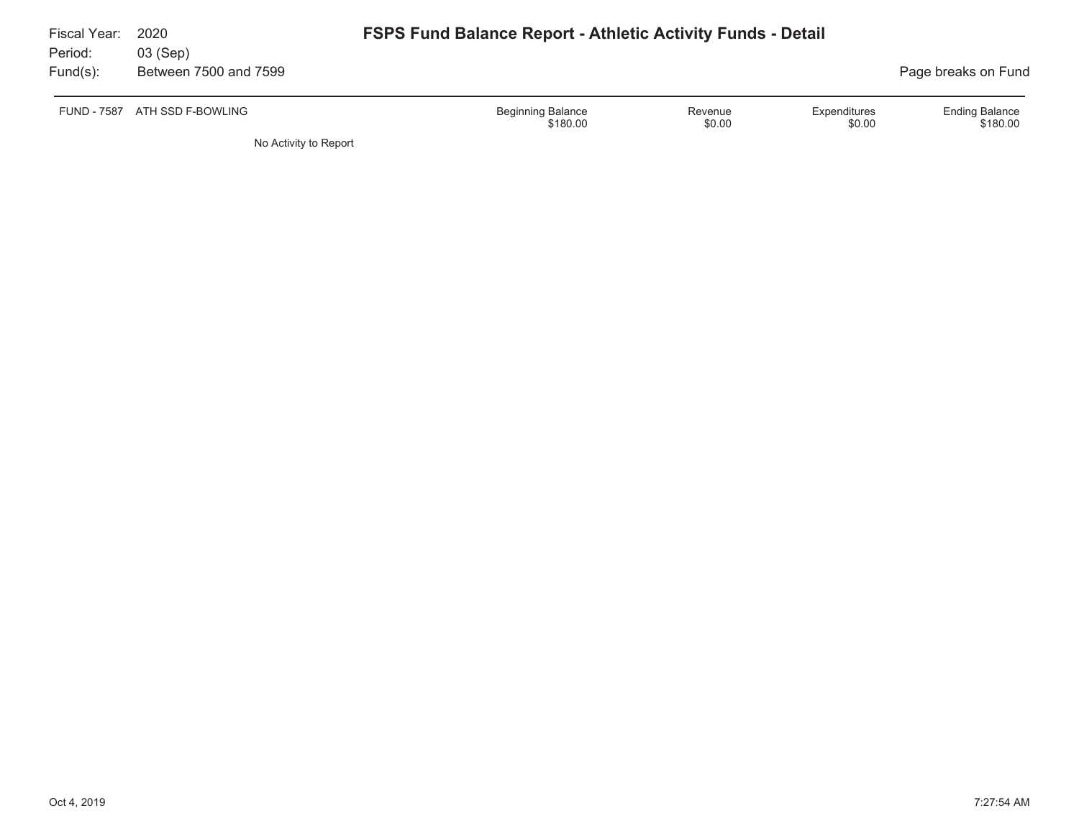| Fiscal Year:<br>Period: | 2020<br>03 (Sep)      | <b>FSPS Fund Balance Report - Athletic Activity Funds - Detail</b>        |                                             |
|-------------------------|-----------------------|---------------------------------------------------------------------------|---------------------------------------------|
| $Fund(s)$ :             | Between 7500 and 7599 |                                                                           | Page breaks on Fund                         |
| <b>FUND - 7587</b>      | ATH SSD F-BOWLING     | <b>Beginning Balance</b><br>Expenditures<br>Revenue<br>\$0.00<br>\$180.00 | <b>Ending Balance</b><br>\$180.00<br>\$0.00 |
|                         | No Activity to Report |                                                                           |                                             |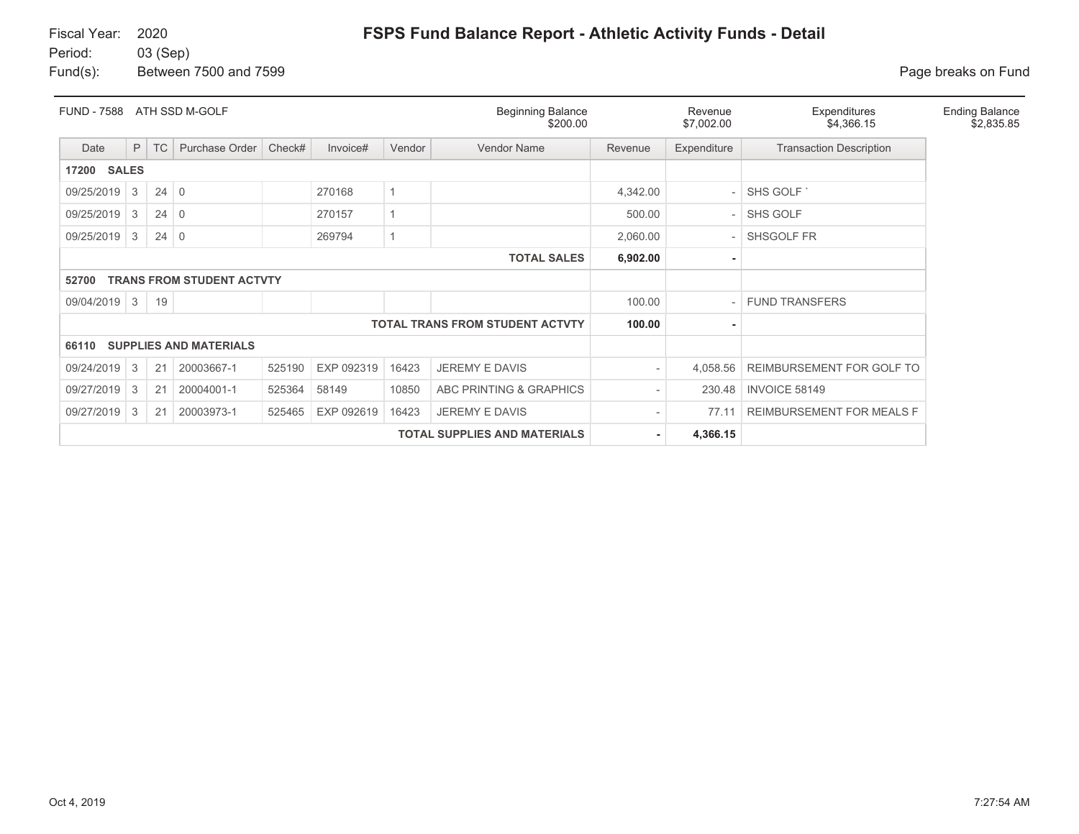## Fiscal Year: 2020

Period: 03 (Sep)

Fund(s): Between 7500 and 7599 **Page breaks** on Fund

| <b>FUND - 7588</b> |                    |             | ATH SSD M-GOLF                   |        |            |        | <b>Beginning Balance</b><br>\$200.00   |          | Revenue<br>\$7,002.00 | Expenditures<br>\$4,366.15     | <b>Ending Balance</b><br>\$2,835.85 |
|--------------------|--------------------|-------------|----------------------------------|--------|------------|--------|----------------------------------------|----------|-----------------------|--------------------------------|-------------------------------------|
| Date               | P                  | <b>TC</b>   | Purchase Order                   | Check# | Invoice#   | Vendor | <b>Vendor Name</b>                     | Revenue  | Expenditure           | <b>Transaction Description</b> |                                     |
| 17200              | <b>SALES</b>       |             |                                  |        |            |        |                                        |          |                       |                                |                                     |
| 09/25/2019         | 3                  | $24 \mid 0$ |                                  |        | 270168     | 1      |                                        | 4,342.00 |                       | SHS GOLF                       |                                     |
| 09/25/2019         | 3                  | $24 \mid 0$ |                                  |        | 270157     | 1      |                                        | 500.00   |                       | <b>SHS GOLF</b>                |                                     |
| 09/25/2019         | 3                  | $24 \mid 0$ |                                  |        | 269794     | 1      |                                        | 2,060.00 |                       | SHSGOLF FR                     |                                     |
|                    | <b>TOTAL SALES</b> |             |                                  |        |            |        |                                        |          |                       |                                |                                     |
| 52700              |                    |             | <b>TRANS FROM STUDENT ACTVTY</b> |        |            |        |                                        |          |                       |                                |                                     |
| 09/04/2019         | $\mathbf{3}$       | 19          |                                  |        |            |        |                                        | 100.00   |                       | <b>FUND TRANSFERS</b>          |                                     |
|                    |                    |             |                                  |        |            |        | <b>TOTAL TRANS FROM STUDENT ACTVTY</b> | 100.00   |                       |                                |                                     |
| 66110              |                    |             | <b>SUPPLIES AND MATERIALS</b>    |        |            |        |                                        |          |                       |                                |                                     |
| 09/24/2019         | 3                  | 21          | 20003667-1                       | 525190 | EXP 092319 | 16423  | <b>JEREMY E DAVIS</b>                  |          | 4,058.56              | REIMBURSEMENT FOR GOLF TO      |                                     |
| 09/27/2019         | 3                  | 21          | 20004001-1                       | 525364 | 58149      | 10850  | ABC PRINTING & GRAPHICS                |          | 230.48                | <b>INVOICE 58149</b>           |                                     |
| 09/27/2019         | 3                  | 21          | 20003973-1                       | 525465 | EXP 092619 | 16423  | <b>JEREMY E DAVIS</b>                  |          | 77.11                 | REIMBURSEMENT FOR MEALS F      |                                     |
|                    |                    |             |                                  |        |            |        | <b>TOTAL SUPPLIES AND MATERIALS</b>    |          | 4,366.15              |                                |                                     |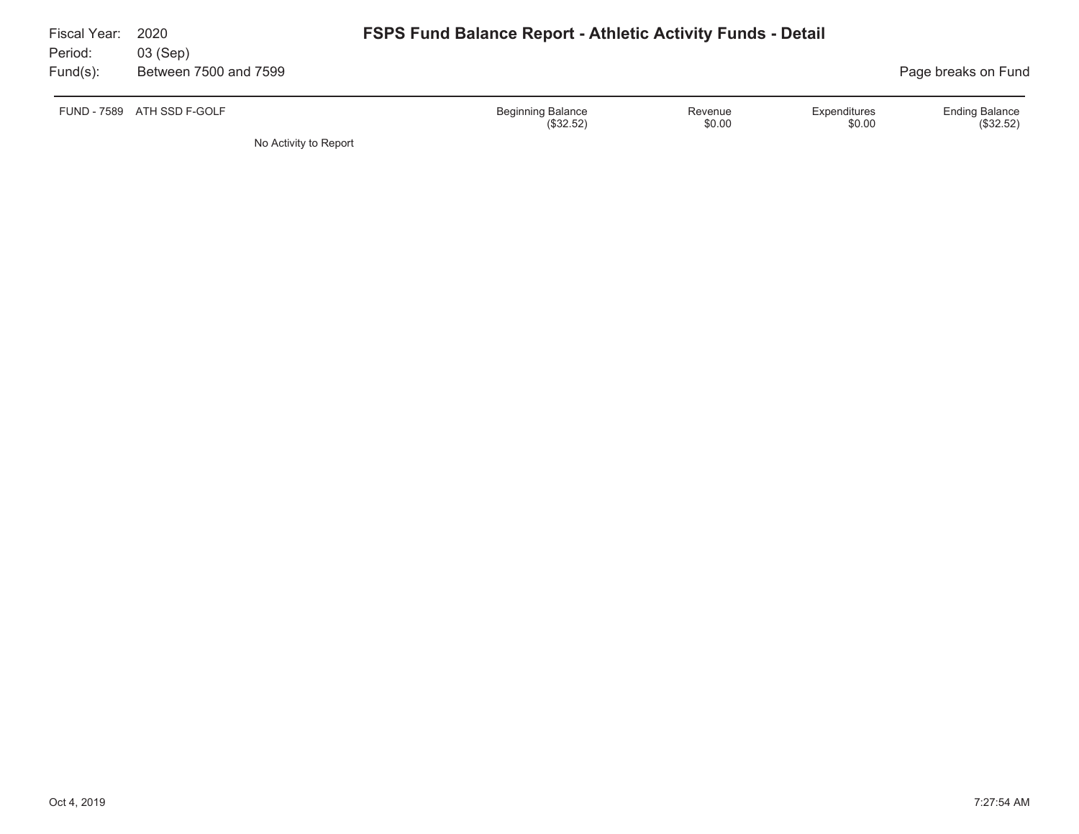| Fiscal Year:<br>Period: | 2020<br>03 (Sep)      | <b>FSPS Fund Balance Report - Athletic Activity Funds - Detail</b>                   |                                    |
|-------------------------|-----------------------|--------------------------------------------------------------------------------------|------------------------------------|
| $Fund(s)$ :             | Between 7500 and 7599 |                                                                                      | Page breaks on Fund                |
| FUND - 7589             | ATH SSD F-GOLF        | <b>Beginning Balance</b><br>Expenditures<br>Revenue<br>\$0.00<br>(\$32.52)<br>\$0.00 | <b>Ending Balance</b><br>(\$32.52) |
|                         | No Activity to Report |                                                                                      |                                    |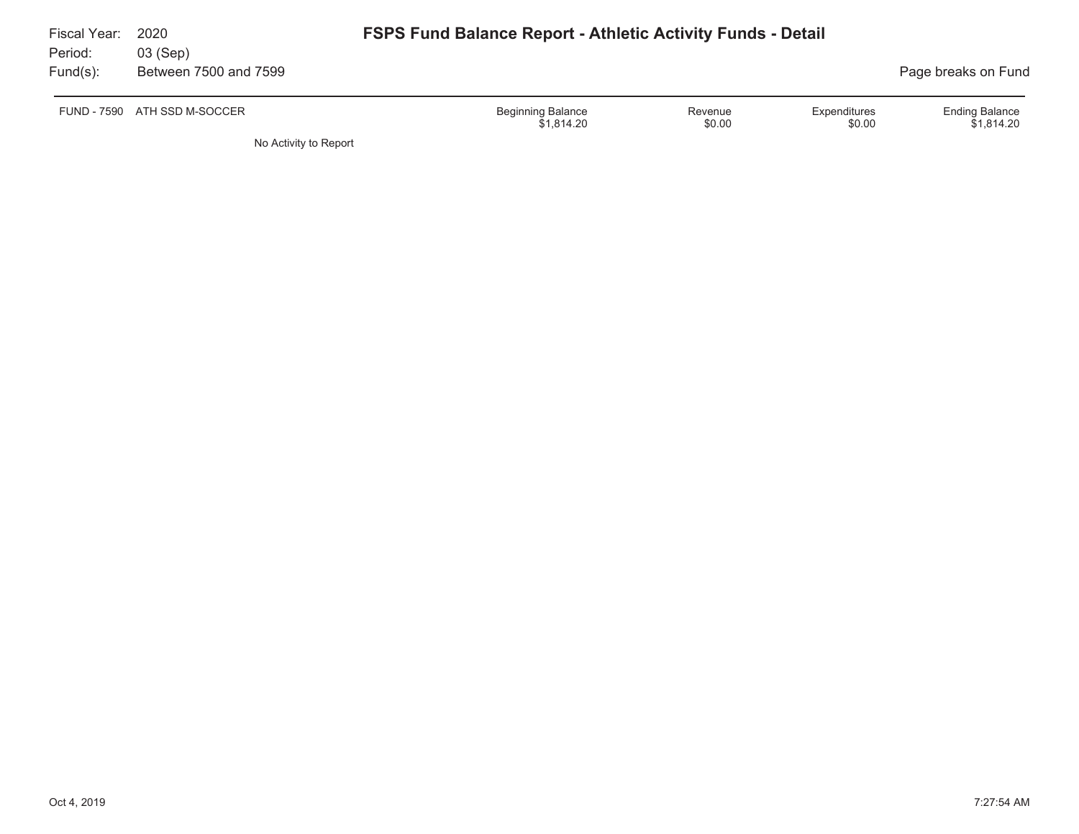| Fiscal Year:<br>Period: | 2020<br>03 (Sep)             | <b>FSPS Fund Balance Report - Athletic Activity Funds - Detail</b>                    |                                     |
|-------------------------|------------------------------|---------------------------------------------------------------------------------------|-------------------------------------|
| $Fund(s)$ :             | Between 7500 and 7599        |                                                                                       | Page breaks on Fund                 |
|                         | FUND - 7590 ATH SSD M-SOCCER | <b>Beginning Balance</b><br>Expenditures<br>Revenue<br>\$0.00<br>\$1.814.20<br>\$0.00 | <b>Ending Balance</b><br>\$1.814.20 |
|                         | No Activity to Report        |                                                                                       |                                     |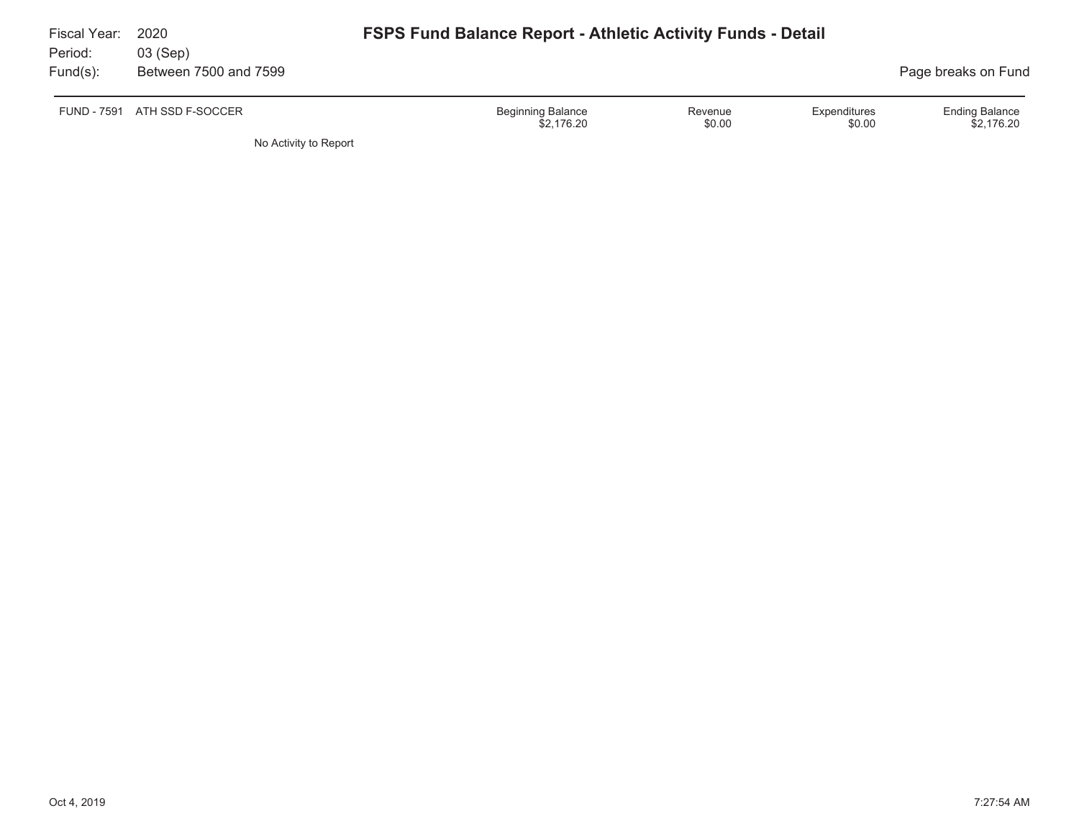| Fiscal Year:<br>Period: | 2020<br>03 (Sep)      | <b>FSPS Fund Balance Report - Athletic Activity Funds - Detail</b>                    |                                     |
|-------------------------|-----------------------|---------------------------------------------------------------------------------------|-------------------------------------|
| $Fund(s)$ :             | Between 7500 and 7599 |                                                                                       | Page breaks on Fund                 |
| <b>FUND - 7591</b>      | ATH SSD F-SOCCER      | <b>Beginning Balance</b><br>Expenditures<br>Revenue<br>\$0.00<br>\$0.00<br>\$2,176.20 | <b>Ending Balance</b><br>\$2,176.20 |
|                         | No Activity to Report |                                                                                       |                                     |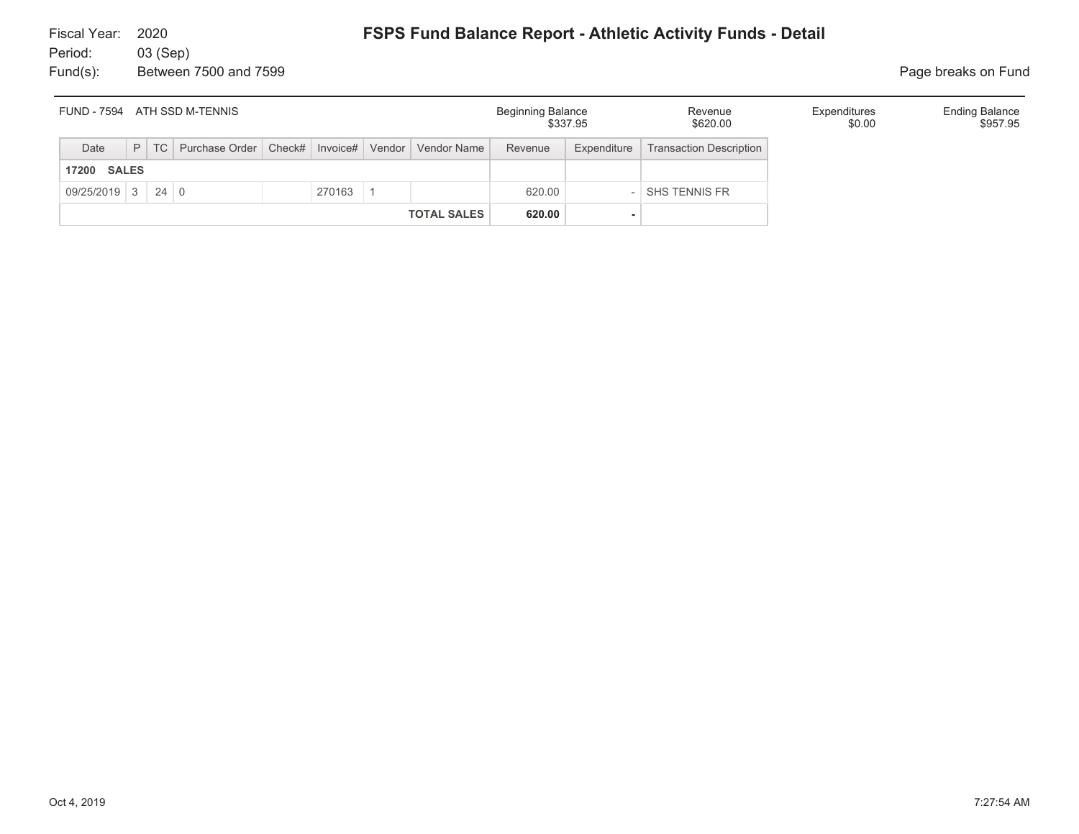| FUND - 7594 ATH SSD M-TENNIS |  |        |                                                           |  |        |  |                    | Beginning Balance | \$337.95    | Revenue<br>\$620.00            | Expenditures<br>\$0.00 | <b>Ending Balance</b><br>\$957.95 |
|------------------------------|--|--------|-----------------------------------------------------------|--|--------|--|--------------------|-------------------|-------------|--------------------------------|------------------------|-----------------------------------|
| Date                         |  | $P$ TC | Purchase Order   Check#   Invoice#   Vendor   Vendor Name |  |        |  |                    | Revenue           | Expenditure | <b>Transaction Description</b> |                        |                                   |
| <b>SALES</b><br>17200        |  |        |                                                           |  |        |  |                    |                   |             |                                |                        |                                   |
| $09/25/2019$ 3 24 0          |  |        |                                                           |  | 270163 |  |                    | 620.00            |             | SHS TENNIS FR                  |                        |                                   |
|                              |  |        |                                                           |  |        |  | <b>TOTAL SALES</b> | 620.00            |             |                                |                        |                                   |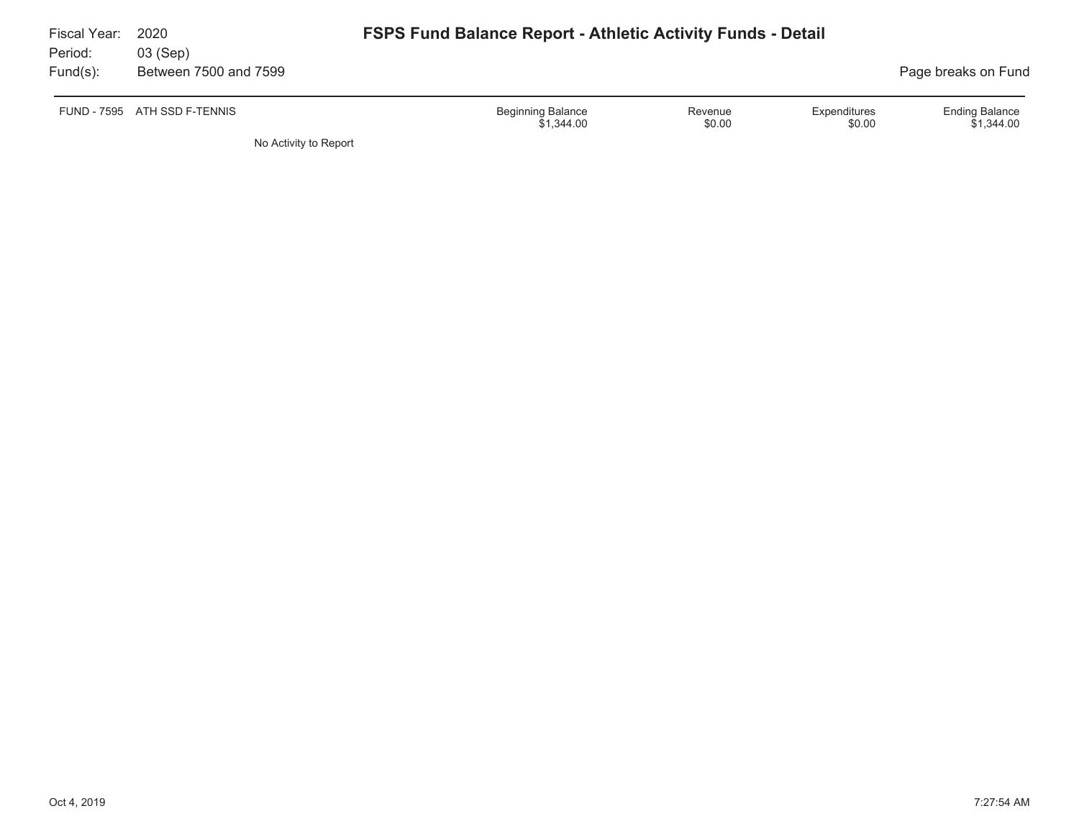| Fiscal Year:<br>Period: | 2020<br>03 (Sep)      | <b>FSPS Fund Balance Report - Athletic Activity Funds - Detail</b>                    |                                     |
|-------------------------|-----------------------|---------------------------------------------------------------------------------------|-------------------------------------|
| $Fund(s)$ :             | Between 7500 and 7599 |                                                                                       | Page breaks on Fund                 |
| FUND - 7595             | ATH SSD F-TENNIS      | <b>Beginning Balance</b><br>Expenditures<br>Revenue<br>\$0.00<br>\$1,344.00<br>\$0.00 | <b>Ending Balance</b><br>\$1,344.00 |
|                         | No Activity to Report |                                                                                       |                                     |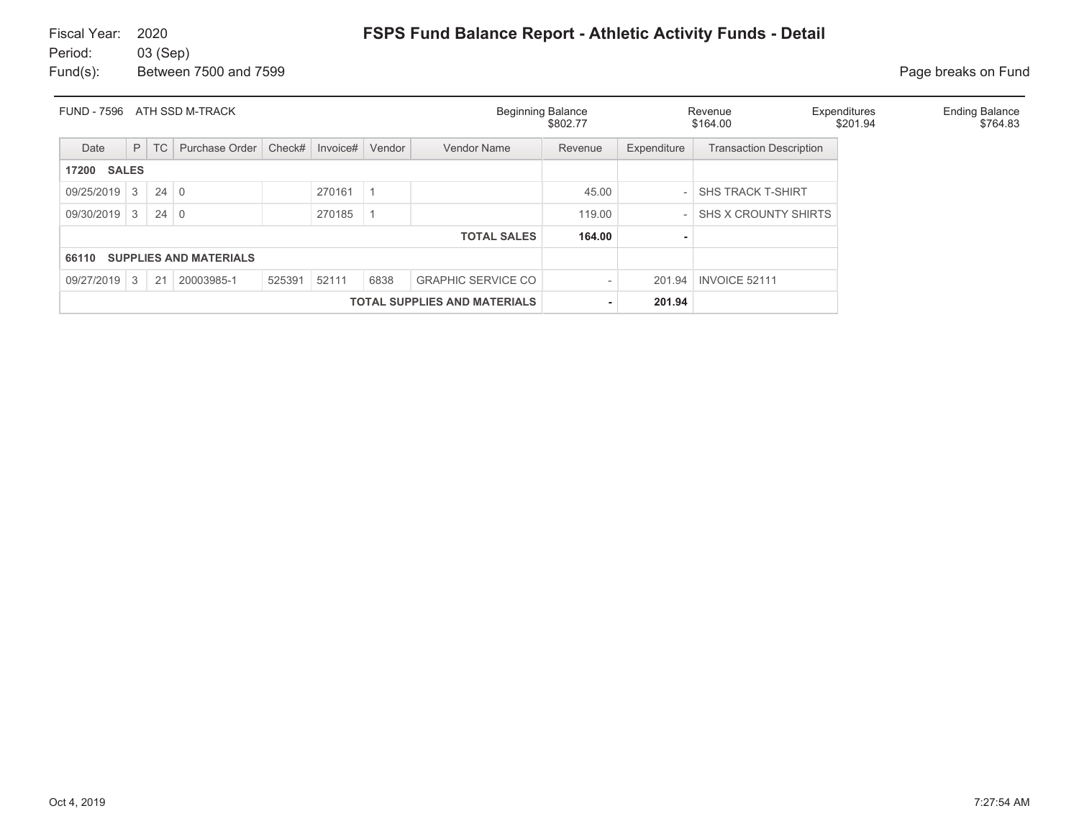| <b>FUND - 7596</b><br>ATH SSD M-TRACK  |              |             |                |        |          |        |                           | <b>Beginning Balance</b><br>\$802.77 |             | Revenue<br>\$164.00            | Expenditures<br>\$201.94 | <b>Ending Balance</b><br>\$764.83 |
|----------------------------------------|--------------|-------------|----------------|--------|----------|--------|---------------------------|--------------------------------------|-------------|--------------------------------|--------------------------|-----------------------------------|
| Date                                   | P            | TC          | Purchase Order | Check# | Invoice# | Vendor | Vendor Name               | Revenue                              | Expenditure | <b>Transaction Description</b> |                          |                                   |
| <b>17200 SALES</b>                     |              |             |                |        |          |        |                           |                                      |             |                                |                          |                                   |
| 09/25/2019                             | $\mathbf{3}$ | $24 \mid 0$ |                |        | 270161   |        |                           | 45.00                                |             | <b>SHS TRACK T-SHIRT</b>       |                          |                                   |
| 09/30/2019                             | 3            | $24 \mid 0$ |                |        | 270185   |        |                           | 119.00                               |             | SHS X CROUNTY SHIRTS           |                          |                                   |
|                                        |              |             |                |        |          |        | <b>TOTAL SALES</b>        | 164.00                               |             |                                |                          |                                   |
| <b>SUPPLIES AND MATERIALS</b><br>66110 |              |             |                |        |          |        |                           |                                      |             |                                |                          |                                   |
| 09/27/2019                             | 3            | 21          | 20003985-1     | 525391 | 52111    | 6838   | <b>GRAPHIC SERVICE CO</b> |                                      | 201.94      | INVOICE 52111                  |                          |                                   |
| <b>TOTAL SUPPLIES AND MATERIALS</b>    |              |             |                |        |          |        |                           |                                      | 201.94      |                                |                          |                                   |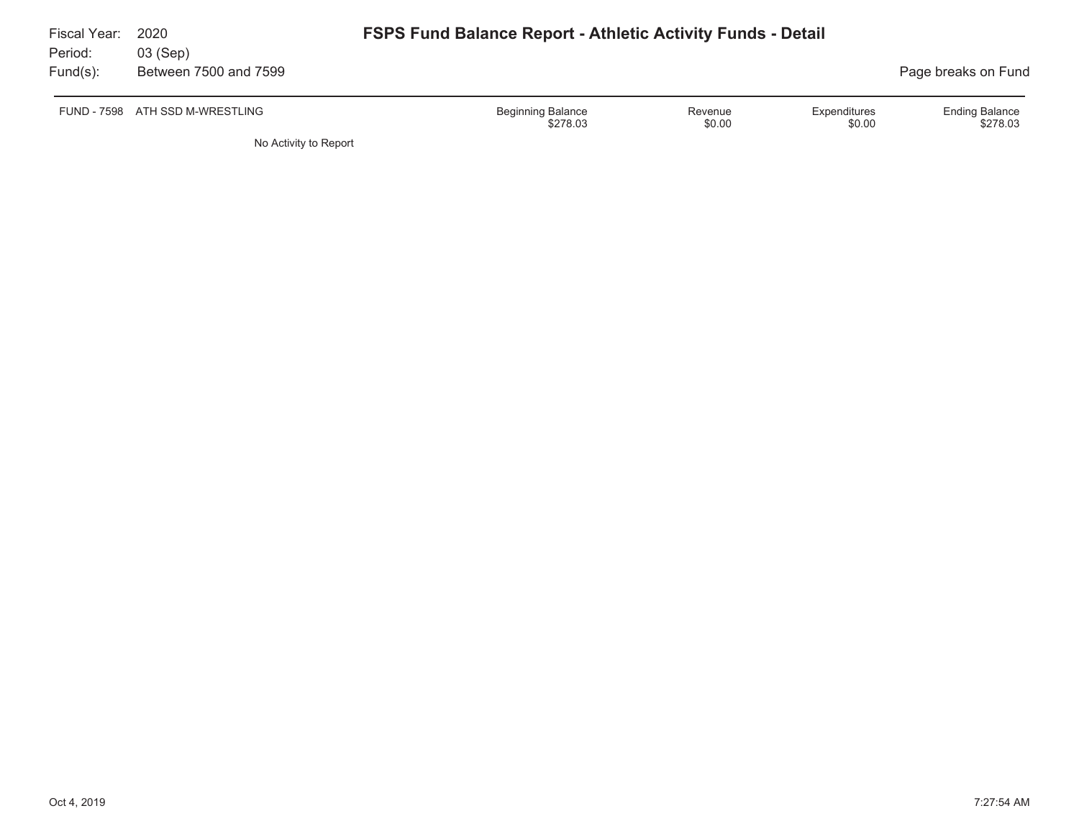| Fiscal Year:<br>Period: | 2020<br>03 (Sep)                | <b>FSPS Fund Balance Report - Athletic Activity Funds - Detail</b> |                        |                                   |
|-------------------------|---------------------------------|--------------------------------------------------------------------|------------------------|-----------------------------------|
| $Fund(s)$ :             | Between 7500 and 7599           |                                                                    |                        | Page breaks on Fund               |
|                         | FUND - 7598 ATH SSD M-WRESTLING | <b>Beginning Balance</b><br>Revenue<br>\$0.00<br>\$278.03          | Expenditures<br>\$0.00 | <b>Ending Balance</b><br>\$278.03 |
|                         | No Activity to Report           |                                                                    |                        |                                   |